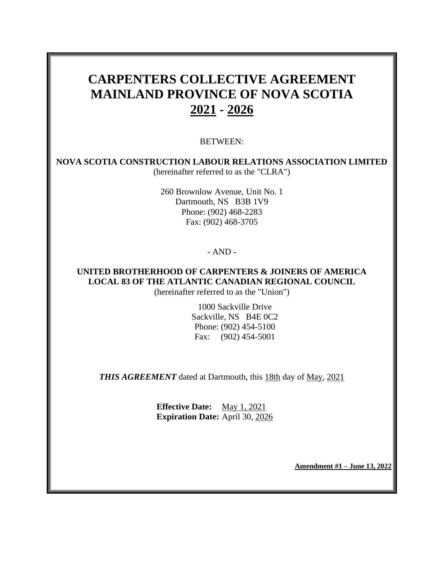# **CARPENTERS COLLECTIVE AGREEMENT MAINLAND PROVINCE OF NOVA SCOTIA 2021 - 2026**

BETWEEN:

**NOVA SCOTIA CONSTRUCTION LABOUR RELATIONS ASSOCIATION LIMITED** (hereinafter referred to as the "CLRA")

> 260 Brownlow Avenue, Unit No. 1 Dartmouth, NS B3B 1V9 Phone: (902) 468-2283 Fax: (902) 468-3705

### - AND -

## **UNITED BROTHERHOOD OF CARPENTERS & JOINERS OF AMERICA LOCAL 83 OF THE ATLANTIC CANADIAN REGIONAL COUNCIL**

(hereinafter referred to as the "Union")

1000 Sackville Drive Sackville, NS B4E 0C2 Phone: (902) 454-5100 Fax: (902) 454-5001

*THIS AGREEMENT* dated at Dartmouth, this 18th day of May, 2021

**Effective Date:** May 1, 2021 **Expiration Date:** April 30, 2026

**Amendment #1 – June 13, 2022**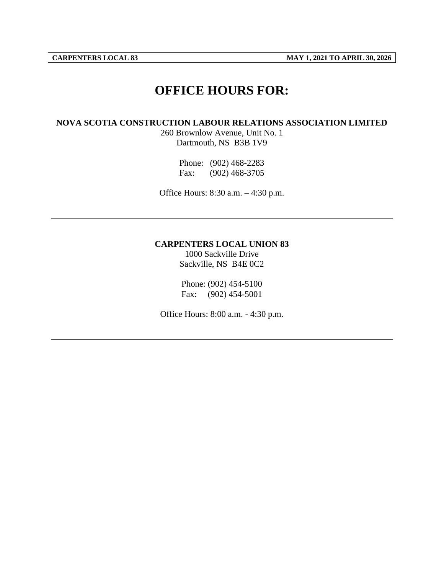# **OFFICE HOURS FOR:**

#### **NOVA SCOTIA CONSTRUCTION LABOUR RELATIONS ASSOCIATION LIMITED**

260 Brownlow Avenue, Unit No. 1 Dartmouth, NS B3B 1V9

> Phone: (902) 468-2283 Fax: (902) 468-3705

Office Hours: 8:30 a.m. – 4:30 p.m.

#### **CARPENTERS LOCAL UNION 83**

1000 Sackville Drive Sackville, NS B4E 0C2

Phone: (902) 454-5100 Fax: (902) 454-5001

Office Hours: 8:00 a.m. - 4:30 p.m.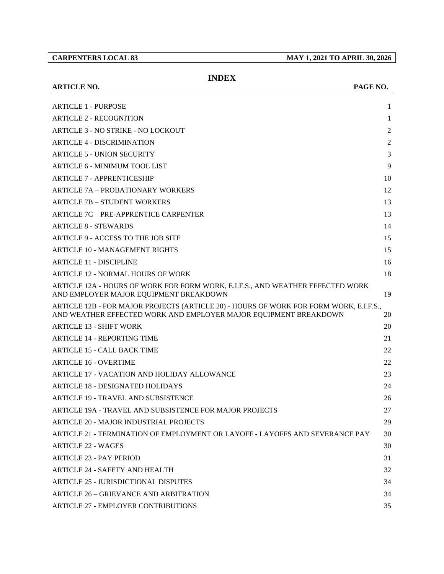**CARPENTERS LOCAL 83 MAY 1, 2021 TO APRIL 30, 2026**

| <b>ARTICLE NO.</b>                                                                                                                                         | PAGE NO.       |
|------------------------------------------------------------------------------------------------------------------------------------------------------------|----------------|
| <b>ARTICLE 1 - PURPOSE</b>                                                                                                                                 | 1              |
| <b>ARTICLE 2 - RECOGNITION</b>                                                                                                                             | 1              |
| ARTICLE 3 - NO STRIKE - NO LOCKOUT                                                                                                                         | $\overline{2}$ |
| <b>ARTICLE 4 - DISCRIMINATION</b>                                                                                                                          | $\overline{2}$ |
| <b>ARTICLE 5 - UNION SECURITY</b>                                                                                                                          | 3              |
| <b>ARTICLE 6 - MINIMUM TOOL LIST</b>                                                                                                                       | 9              |
| <b>ARTICLE 7 - APPRENTICESHIP</b>                                                                                                                          | 10             |
| <b>ARTICLE 7A - PROBATIONARY WORKERS</b>                                                                                                                   | 12             |
| <b>ARTICLE 7B – STUDENT WORKERS</b>                                                                                                                        | 13             |
| ARTICLE 7C - PRE-APPRENTICE CARPENTER                                                                                                                      | 13             |
| <b>ARTICLE 8 - STEWARDS</b>                                                                                                                                | 14             |
| <b>ARTICLE 9 - ACCESS TO THE JOB SITE</b>                                                                                                                  | 15             |
| <b>ARTICLE 10 - MANAGEMENT RIGHTS</b>                                                                                                                      | 15             |
| <b>ARTICLE 11 - DISCIPLINE</b>                                                                                                                             | 16             |
| <b>ARTICLE 12 - NORMAL HOURS OF WORK</b>                                                                                                                   | 18             |
| ARTICLE 12A - HOURS OF WORK FOR FORM WORK, E.I.F.S., AND WEATHER EFFECTED WORK<br>AND EMPLOYER MAJOR EQUIPMENT BREAKDOWN                                   | 19             |
| ARTICLE 12B - FOR MAJOR PROJECTS (ARTICLE 20) - HOURS OF WORK FOR FORM WORK, E.I.F.S.,<br>AND WEATHER EFFECTED WORK AND EMPLOYER MAJOR EQUIPMENT BREAKDOWN | 20             |
| <b>ARTICLE 13 - SHIFT WORK</b>                                                                                                                             | 20             |
| <b>ARTICLE 14 - REPORTING TIME</b>                                                                                                                         | 21             |
| <b>ARTICLE 15 - CALL BACK TIME</b>                                                                                                                         | 22             |
| <b>ARTICLE 16 - OVERTIME</b>                                                                                                                               | 22             |
| ARTICLE 17 - VACATION AND HOLIDAY ALLOWANCE                                                                                                                | 23             |
| ARTICLE 18 - DESIGNATED HOLIDAYS                                                                                                                           | 24             |
| <b>ARTICLE 19 - TRAVEL AND SUBSISTENCE</b>                                                                                                                 | 26             |
| ARTICLE 19A - TRAVEL AND SUBSISTENCE FOR MAJOR PROJECTS                                                                                                    | 27             |
| <b>ARTICLE 20 - MAJOR INDUSTRIAL PROJECTS</b>                                                                                                              | 29             |
| ARTICLE 21 - TERMINATION OF EMPLOYMENT OR LAYOFF - LAYOFFS AND SEVERANCE PAY                                                                               | 30             |
| <b>ARTICLE 22 - WAGES</b>                                                                                                                                  | 30             |
| <b>ARTICLE 23 - PAY PERIOD</b>                                                                                                                             | 31             |
| ARTICLE 24 - SAFETY AND HEALTH                                                                                                                             | 32             |
| <b>ARTICLE 25 - JURISDICTIONAL DISPUTES</b>                                                                                                                | 34             |
| ARTICLE 26 - GRIEVANCE AND ARBITRATION                                                                                                                     | 34             |
| ARTICLE 27 - EMPLOYER CONTRIBUTIONS                                                                                                                        | 35             |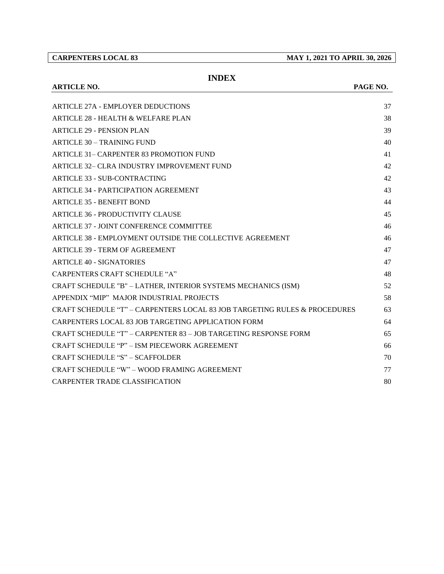**CARPENTERS LOCAL 83 MAY 1, 2021 TO APRIL 30, 2026**

**INDEX**

| <b>ARTICLE NO.</b>                                                        | PAGE NO. |
|---------------------------------------------------------------------------|----------|
|                                                                           |          |
| <b>ARTICLE 27A - EMPLOYER DEDUCTIONS</b>                                  | 37       |
| ARTICLE 28 - HEALTH & WELFARE PLAN                                        | 38       |
| ARTICLE 29 - PENSION PLAN                                                 | 39       |
| ARTICLE 30 – TRAINING FUND                                                | 40       |
| <b>ARTICLE 31– CARPENTER 83 PROMOTION FUND</b>                            | 41       |
| ARTICLE 32– CLRA INDUSTRY IMPROVEMENT FUND                                | 42       |
| ARTICLE 33 - SUB-CONTRACTING                                              | 42       |
| <b>ARTICLE 34 - PARTICIPATION AGREEMENT</b>                               | 43       |
| <b>ARTICLE 35 - BENEFIT BOND</b>                                          | 44       |
| <b>ARTICLE 36 - PRODUCTIVITY CLAUSE</b>                                   | 45       |
| ARTICLE 37 - JOINT CONFERENCE COMMITTEE                                   | 46       |
| ARTICLE 38 - EMPLOYMENT OUTSIDE THE COLLECTIVE AGREEMENT                  | 46       |
| <b>ARTICLE 39 - TERM OF AGREEMENT</b>                                     | 47       |
| <b>ARTICLE 40 - SIGNATORIES</b>                                           | 47       |
| CARPENTERS CRAFT SCHEDULE "A"                                             | 48       |
| CRAFT SCHEDULE "B" - LATHER, INTERIOR SYSTEMS MECHANICS (ISM)             | 52       |
| APPENDIX "MIP" MAJOR INDUSTRIAL PROJECTS                                  | 58       |
| CRAFT SCHEDULE "T" – CARPENTERS LOCAL 83 JOB TARGETING RULES & PROCEDURES | 63       |
| CARPENTERS LOCAL 83 JOB TARGETING APPLICATION FORM                        | 64       |
| CRAFT SCHEDULE "T" – CARPENTER 83 – JOB TARGETING RESPONSE FORM           | 65       |
| CRAFT SCHEDULE "P" – ISM PIECEWORK AGREEMENT                              | 66       |
| CRAFT SCHEDULE "S" – SCAFFOLDER                                           | 70       |
| CRAFT SCHEDULE "W" – WOOD FRAMING AGREEMENT                               | 77       |
| CARPENTER TRADE CLASSIFICATION                                            | 80       |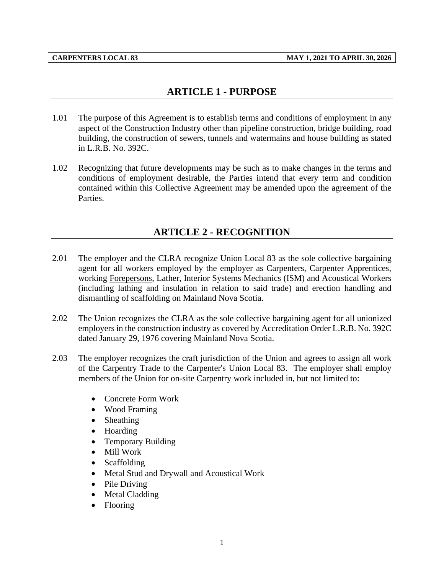## **ARTICLE 1 - PURPOSE**

- <span id="page-4-0"></span>1.01 The purpose of this Agreement is to establish terms and conditions of employment in any aspect of the Construction Industry other than pipeline construction, bridge building, road building, the construction of sewers, tunnels and watermains and house building as stated in L.R.B. No. 392C.
- 1.02 Recognizing that future developments may be such as to make changes in the terms and conditions of employment desirable, the Parties intend that every term and condition contained within this Collective Agreement may be amended upon the agreement of the Parties.

## **ARTICLE 2 - RECOGNITION**

- <span id="page-4-1"></span>2.01 The employer and the CLRA recognize Union Local 83 as the sole collective bargaining agent for all workers employed by the employer as Carpenters, Carpenter Apprentices, working Forepersons, Lather, Interior Systems Mechanics (ISM) and Acoustical Workers (including lathing and insulation in relation to said trade) and erection handling and dismantling of scaffolding on Mainland Nova Scotia.
- 2.02 The Union recognizes the CLRA as the sole collective bargaining agent for all unionized employers in the construction industry as covered by Accreditation Order L.R.B. No. 392C dated January 29, 1976 covering Mainland Nova Scotia.
- 2.03 The employer recognizes the craft jurisdiction of the Union and agrees to assign all work of the Carpentry Trade to the Carpenter's Union Local 83. The employer shall employ members of the Union for on-site Carpentry work included in, but not limited to:
	- Concrete Form Work
	- Wood Framing
	- Sheathing
	- Hoarding
	- Temporary Building
	- Mill Work
	- Scaffolding
	- Metal Stud and Drywall and Acoustical Work
	- Pile Driving
	- Metal Cladding
	- Flooring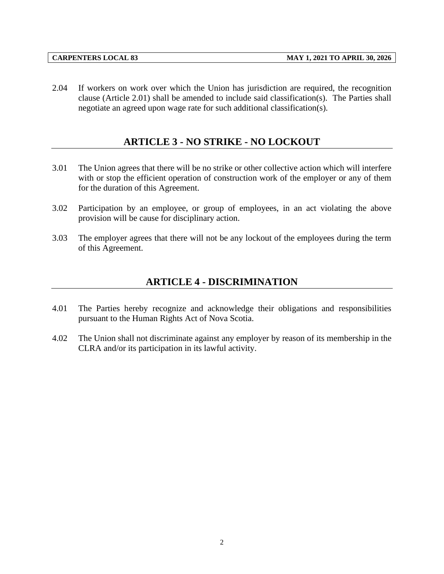<span id="page-5-0"></span>2.04 If workers on work over which the Union has jurisdiction are required, the recognition clause (Article 2.01) shall be amended to include said classification(s). The Parties shall negotiate an agreed upon wage rate for such additional classification(s).

## **ARTICLE 3 - NO STRIKE - NO LOCKOUT**

- 3.01 The Union agrees that there will be no strike or other collective action which will interfere with or stop the efficient operation of construction work of the employer or any of them for the duration of this Agreement.
- 3.02 Participation by an employee, or group of employees, in an act violating the above provision will be cause for disciplinary action.
- <span id="page-5-1"></span>3.03 The employer agrees that there will not be any lockout of the employees during the term of this Agreement.

## **ARTICLE 4 - DISCRIMINATION**

- 4.01 The Parties hereby recognize and acknowledge their obligations and responsibilities pursuant to the Human Rights Act of Nova Scotia.
- 4.02 The Union shall not discriminate against any employer by reason of its membership in the CLRA and/or its participation in its lawful activity.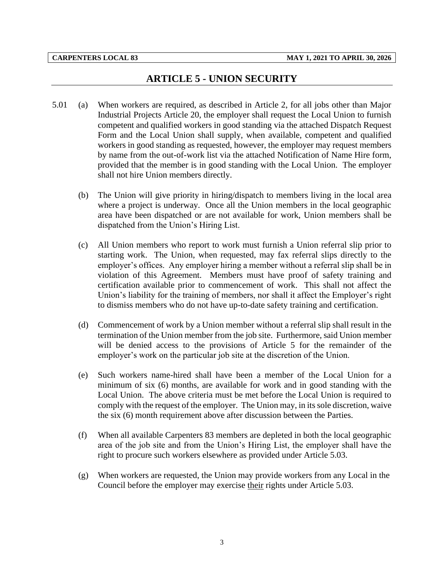## **ARTICLE 5 - UNION SECURITY**

- <span id="page-6-0"></span>5.01 (a) When workers are required, as described in Article 2, for all jobs other than Major Industrial Projects Article 20, the employer shall request the Local Union to furnish competent and qualified workers in good standing via the attached Dispatch Request Form and the Local Union shall supply, when available, competent and qualified workers in good standing as requested, however, the employer may request members by name from the out-of-work list via the attached Notification of Name Hire form, provided that the member is in good standing with the Local Union. The employer shall not hire Union members directly.
	- (b) The Union will give priority in hiring/dispatch to members living in the local area where a project is underway. Once all the Union members in the local geographic area have been dispatched or are not available for work, Union members shall be dispatched from the Union's Hiring List.
	- (c) All Union members who report to work must furnish a Union referral slip prior to starting work. The Union, when requested, may fax referral slips directly to the employer's offices. Any employer hiring a member without a referral slip shall be in violation of this Agreement. Members must have proof of safety training and certification available prior to commencement of work. This shall not affect the Union's liability for the training of members, nor shall it affect the Employer's right to dismiss members who do not have up-to-date safety training and certification.
	- (d) Commencement of work by a Union member without a referral slip shall result in the termination of the Union member from the job site. Furthermore, said Union member will be denied access to the provisions of Article 5 for the remainder of the employer's work on the particular job site at the discretion of the Union.
	- (e) Such workers name-hired shall have been a member of the Local Union for a minimum of six (6) months, are available for work and in good standing with the Local Union. The above criteria must be met before the Local Union is required to comply with the request of the employer. The Union may, in its sole discretion, waive the six (6) month requirement above after discussion between the Parties.
	- (f) When all available Carpenters 83 members are depleted in both the local geographic area of the job site and from the Union's Hiring List, the employer shall have the right to procure such workers elsewhere as provided under Article 5.03.
	- (g) When workers are requested, the Union may provide workers from any Local in the Council before the employer may exercise their rights under Article 5.03.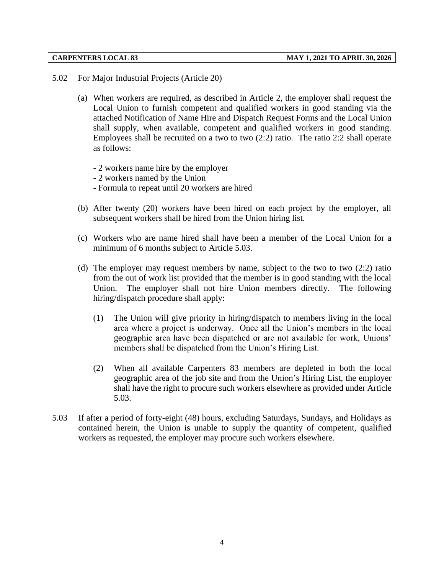- 5.02 For Major Industrial Projects (Article 20)
	- (a) When workers are required, as described in Article 2, the employer shall request the Local Union to furnish competent and qualified workers in good standing via the attached Notification of Name Hire and Dispatch Request Forms and the Local Union shall supply, when available, competent and qualified workers in good standing. Employees shall be recruited on a two to two (2:2) ratio. The ratio 2:2 shall operate as follows:
		- 2 workers name hire by the employer
		- 2 workers named by the Union
		- Formula to repeat until 20 workers are hired
	- (b) After twenty (20) workers have been hired on each project by the employer, all subsequent workers shall be hired from the Union hiring list.
	- (c) Workers who are name hired shall have been a member of the Local Union for a minimum of 6 months subject to Article 5.03.
	- (d) The employer may request members by name, subject to the two to two (2:2) ratio from the out of work list provided that the member is in good standing with the local Union. The employer shall not hire Union members directly. The following hiring/dispatch procedure shall apply:
		- (1) The Union will give priority in hiring/dispatch to members living in the local area where a project is underway. Once all the Union's members in the local geographic area have been dispatched or are not available for work, Unions' members shall be dispatched from the Union's Hiring List.
		- (2) When all available Carpenters 83 members are depleted in both the local geographic area of the job site and from the Union's Hiring List, the employer shall have the right to procure such workers elsewhere as provided under Article 5.03.
- 5.03 If after a period of forty-eight (48) hours, excluding Saturdays, Sundays, and Holidays as contained herein, the Union is unable to supply the quantity of competent, qualified workers as requested, the employer may procure such workers elsewhere.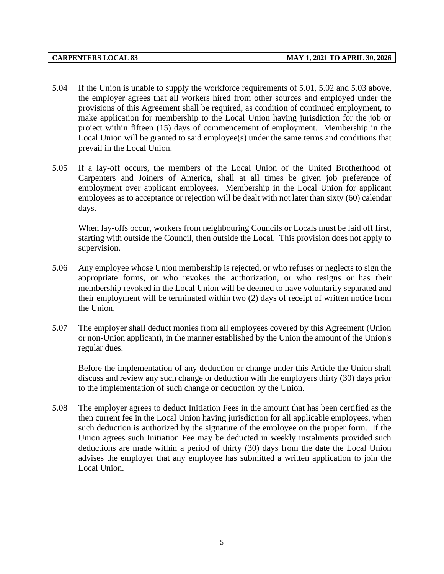- 5.04 If the Union is unable to supply the workforce requirements of 5.01, 5.02 and 5.03 above, the employer agrees that all workers hired from other sources and employed under the provisions of this Agreement shall be required, as condition of continued employment, to make application for membership to the Local Union having jurisdiction for the job or project within fifteen (15) days of commencement of employment. Membership in the Local Union will be granted to said employee(s) under the same terms and conditions that prevail in the Local Union.
- 5.05 If a lay-off occurs, the members of the Local Union of the United Brotherhood of Carpenters and Joiners of America, shall at all times be given job preference of employment over applicant employees. Membership in the Local Union for applicant employees as to acceptance or rejection will be dealt with not later than sixty (60) calendar days.

When lay-offs occur, workers from neighbouring Councils or Locals must be laid off first, starting with outside the Council, then outside the Local. This provision does not apply to supervision.

- 5.06 Any employee whose Union membership is rejected, or who refuses or neglects to sign the appropriate forms, or who revokes the authorization, or who resigns or has their membership revoked in the Local Union will be deemed to have voluntarily separated and their employment will be terminated within two (2) days of receipt of written notice from the Union.
- 5.07 The employer shall deduct monies from all employees covered by this Agreement (Union or non-Union applicant), in the manner established by the Union the amount of the Union's regular dues.

Before the implementation of any deduction or change under this Article the Union shall discuss and review any such change or deduction with the employers thirty (30) days prior to the implementation of such change or deduction by the Union.

5.08 The employer agrees to deduct Initiation Fees in the amount that has been certified as the then current fee in the Local Union having jurisdiction for all applicable employees, when such deduction is authorized by the signature of the employee on the proper form. If the Union agrees such Initiation Fee may be deducted in weekly instalments provided such deductions are made within a period of thirty (30) days from the date the Local Union advises the employer that any employee has submitted a written application to join the Local Union.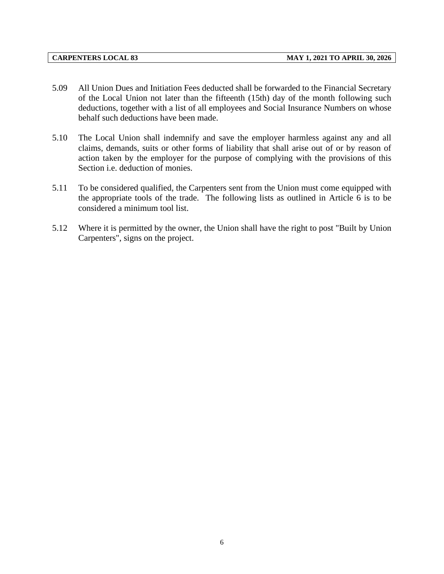- 5.09 All Union Dues and Initiation Fees deducted shall be forwarded to the Financial Secretary of the Local Union not later than the fifteenth (15th) day of the month following such deductions, together with a list of all employees and Social Insurance Numbers on whose behalf such deductions have been made.
- 5.10 The Local Union shall indemnify and save the employer harmless against any and all claims, demands, suits or other forms of liability that shall arise out of or by reason of action taken by the employer for the purpose of complying with the provisions of this Section i.e. deduction of monies.
- 5.11 To be considered qualified, the Carpenters sent from the Union must come equipped with the appropriate tools of the trade. The following lists as outlined in Article 6 is to be considered a minimum tool list.
- 5.12 Where it is permitted by the owner, the Union shall have the right to post "Built by Union Carpenters", signs on the project.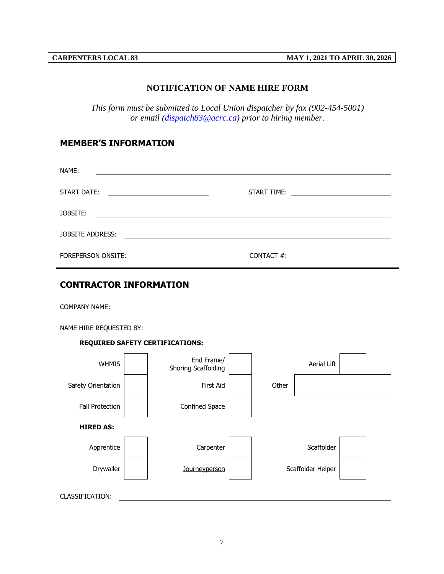### **NOTIFICATION OF NAME HIRE FORM**

*This form must be submitted to Local Union dispatcher by fax (902-454-5001) or email [\(dispatch83@acrc.ca\)](mailto:dispatch83@acrc.ca) prior to hiring member.*

## **MEMBER'S INFORMATION**

| NAME:                     |             |
|---------------------------|-------------|
| START DATE:               | START TIME: |
| JOBSITE:                  |             |
| JOBSITE ADDRESS:          |             |
| <b>FOREPERSON ONSITE:</b> | CONTACT #:  |

## **CONTRACTOR INFORMATION**

COMPANY NAME: <u> 1980 - Johann Barnett, fransk politik (d. 1980)</u> NAME HIRE REQUESTED BY: **REQUIRED SAFETY CERTIFICATIONS:** WHMIS End Frame/ Shoring Scaffolding Aerial Lift Safety Orientation | The Research Safety Orientation | The Communist Communist Communist Communist Communist Co Fall Protection | | Confined Space **HIRED AS:** Apprentice | | Carpenter | | Scaffolder Drywaller | | Journeyperson | | Scaffolder Helper CLASSIFICATION: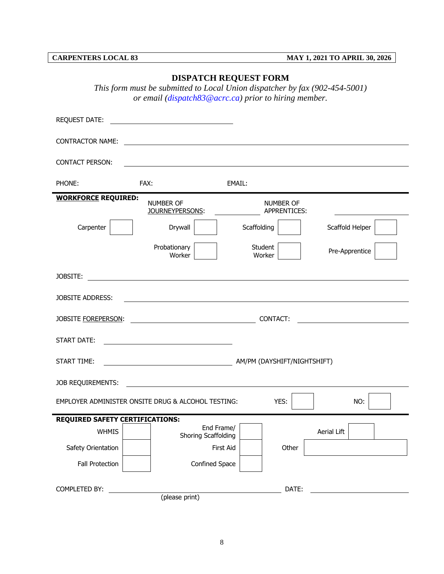**CARPENTERS LOCAL 83 MAY 1, 2021 TO APRIL 30, 2026**

|                                        | This form must be submitted to Local Union dispatcher by fax (902-454-5001)<br>or email (dispatch $83@arc.ca$ ) prior to hiring member. |                                  |                    |
|----------------------------------------|-----------------------------------------------------------------------------------------------------------------------------------------|----------------------------------|--------------------|
| <b>REQUEST DATE:</b>                   |                                                                                                                                         |                                  |                    |
| <b>CONTRACTOR NAME:</b>                | <u> 1989 - Johann Stoff, deutscher Stoffen und der Stoffen und der Stoffen und der Stoffen und der Stoffen und der</u>                  |                                  |                    |
| <b>CONTACT PERSON:</b>                 | and the control of the control of the control of the control of the control of the control of the control of the                        |                                  |                    |
| PHONE:                                 | FAX:                                                                                                                                    | EMAIL:                           |                    |
| <b>WORKFORCE REQUIRED:</b>             | <b>NUMBER OF</b><br>JOURNEYPERSONS:                                                                                                     | <b>NUMBER OF</b><br>APPRENTICES: |                    |
| Carpenter                              | Drywall                                                                                                                                 | Scaffolding                      | Scaffold Helper    |
|                                        | Probationary<br>Worker                                                                                                                  | Student<br>Worker                | Pre-Apprentice     |
| JOBSITE:                               | <u> 1980 - John Stein, Amerikaansk konstantiner (</u>                                                                                   |                                  |                    |
| JOBSITE ADDRESS:                       |                                                                                                                                         |                                  |                    |
|                                        | JOBSITE FOREPERSON: CONTACT:                                                                                                            |                                  |                    |
| START DATE:                            | <u> 1980 - Johann Barbara, martxa alemaniar a</u>                                                                                       |                                  |                    |
| START TIME:                            |                                                                                                                                         |                                  |                    |
| JOB REQUIREMENTS:                      |                                                                                                                                         |                                  |                    |
|                                        | EMPLOYER ADMINISTER ONSITE DRUG & ALCOHOL TESTING:                                                                                      | YES:                             | NO:                |
| <b>REQUIRED SAFETY CERTIFICATIONS:</b> |                                                                                                                                         |                                  |                    |
| <b>WHMIS</b>                           | End Frame/<br>Shoring Scaffolding                                                                                                       |                                  | <b>Aerial Lift</b> |
| Safety Orientation                     |                                                                                                                                         | Other<br>First Aid               |                    |
| Fall Protection                        | Confined Space                                                                                                                          |                                  |                    |
| COMPLETED BY:                          |                                                                                                                                         | DATE:                            |                    |
|                                        | (please print)                                                                                                                          |                                  |                    |

**DISPATCH REQUEST FORM**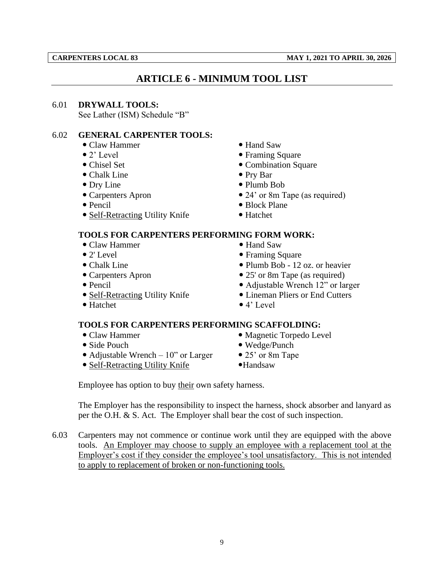## **ARTICLE 6 - MINIMUM TOOL LIST**

#### <span id="page-12-0"></span>6.01 **DRYWALL TOOLS:**

See Lather (ISM) Schedule "B"

### 6.02 **GENERAL CARPENTER TOOLS:**

- Claw Hammer Hand Saw
- 2' Level Framing Square Framing Square Framing Square Framing Square Framing Square Framing Square Framing Square Framing Square Framing Square Framing Square Framing Square Framing Square Frami
- Chisel Set Combination Square
- Chalk Line Pry Bar
- Dry Line Plumb Bob
- Carpenters Apron 24' or 8m Tape (as required)
- 
- Self-Retracting Utility Knife Hatchet
- 
- Pencil Block Plane
	-

### **TOOLS FOR CARPENTERS PERFORMING FORM WORK:**

- Claw Hammer Hand Saw
- 
- 
- 
- 
- 
- 
- 
- 2' Level Framing Square
- Chalk Line Plumb Bob 12 oz. or heavier
- Carpenters Apron 25' or 8m Tape (as required)
- Pencil Adjustable Wrench 12" or larger
- Self-Retracting Utility Knife Lineman Pliers or End Cutters
	-

## **TOOLS FOR CARPENTERS PERFORMING SCAFFOLDING:**

- Claw Hammer Magnetic Torpedo Level
- Side Pouch Wedge/Punch Wedge/Punch Wedge/Punch Wedge/Punch Wedge/Punch Wedge/Punch Wedge/Punch Wedge/Punch  $\blacksquare$
- Adjustable Wrench  $10^{\circ}$  or Larger 25' or 8m Tape
- Self-Retracting Utility Knife Handsaw
- Employee has option to buy their own safety harness.

The Employer has the responsibility to inspect the harness, shock absorber and lanyard as per the O.H. & S. Act. The Employer shall bear the cost of such inspection.

6.03 Carpenters may not commence or continue work until they are equipped with the above tools. An Employer may choose to supply an employee with a replacement tool at the Employer's cost if they consider the employee's tool unsatisfactory. This is not intended to apply to replacement of broken or non-functioning tools.

- 
- 
- Hatchet 4' Level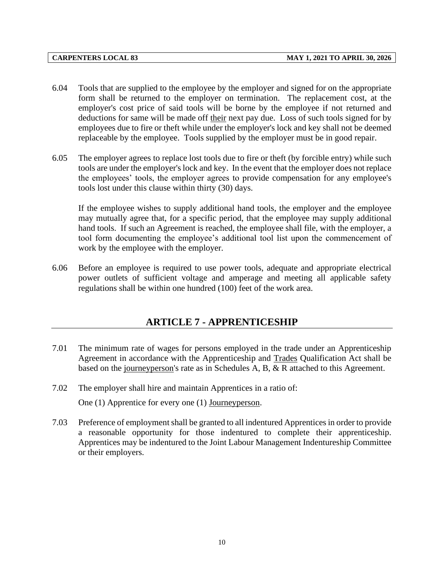- 6.04 Tools that are supplied to the employee by the employer and signed for on the appropriate form shall be returned to the employer on termination. The replacement cost, at the employer's cost price of said tools will be borne by the employee if not returned and deductions for same will be made off their next pay due. Loss of such tools signed for by employees due to fire or theft while under the employer's lock and key shall not be deemed replaceable by the employee. Tools supplied by the employer must be in good repair.
- 6.05 The employer agrees to replace lost tools due to fire or theft (by forcible entry) while such tools are under the employer's lock and key. In the event that the employer does not replace the employees' tools, the employer agrees to provide compensation for any employee's tools lost under this clause within thirty (30) days.

If the employee wishes to supply additional hand tools, the employer and the employee may mutually agree that, for a specific period, that the employee may supply additional hand tools. If such an Agreement is reached, the employee shall file, with the employer, a tool form documenting the employee's additional tool list upon the commencement of work by the employee with the employer.

<span id="page-13-0"></span>6.06 Before an employee is required to use power tools, adequate and appropriate electrical power outlets of sufficient voltage and amperage and meeting all applicable safety regulations shall be within one hundred (100) feet of the work area.

## **ARTICLE 7 - APPRENTICESHIP**

- 7.01 The minimum rate of wages for persons employed in the trade under an Apprenticeship Agreement in accordance with the Apprenticeship and Trades Qualification Act shall be based on the journeyperson's rate as in Schedules A, B, & R attached to this Agreement.
- 7.02 The employer shall hire and maintain Apprentices in a ratio of: One (1) Apprentice for every one (1) Journeyperson.
- 7.03 Preference of employment shall be granted to all indentured Apprentices in order to provide a reasonable opportunity for those indentured to complete their apprenticeship. Apprentices may be indentured to the Joint Labour Management Indentureship Committee or their employers.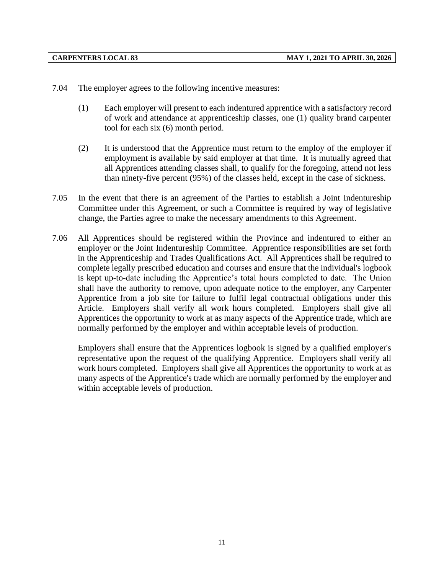- 7.04 The employer agrees to the following incentive measures:
	- (1) Each employer will present to each indentured apprentice with a satisfactory record of work and attendance at apprenticeship classes, one (1) quality brand carpenter tool for each six (6) month period.
	- (2) It is understood that the Apprentice must return to the employ of the employer if employment is available by said employer at that time. It is mutually agreed that all Apprentices attending classes shall, to qualify for the foregoing, attend not less than ninety-five percent (95%) of the classes held, except in the case of sickness.
- 7.05 In the event that there is an agreement of the Parties to establish a Joint Indentureship Committee under this Agreement, or such a Committee is required by way of legislative change, the Parties agree to make the necessary amendments to this Agreement.
- 7.06 All Apprentices should be registered within the Province and indentured to either an employer or the Joint Indentureship Committee. Apprentice responsibilities are set forth in the Apprenticeship and Trades Qualifications Act. All Apprentices shall be required to complete legally prescribed education and courses and ensure that the individual's logbook is kept up-to-date including the Apprentice's total hours completed to date. The Union shall have the authority to remove, upon adequate notice to the employer, any Carpenter Apprentice from a job site for failure to fulfil legal contractual obligations under this Article. Employers shall verify all work hours completed. Employers shall give all Apprentices the opportunity to work at as many aspects of the Apprentice trade, which are normally performed by the employer and within acceptable levels of production.

Employers shall ensure that the Apprentices logbook is signed by a qualified employer's representative upon the request of the qualifying Apprentice. Employers shall verify all work hours completed. Employers shall give all Apprentices the opportunity to work at as many aspects of the Apprentice's trade which are normally performed by the employer and within acceptable levels of production.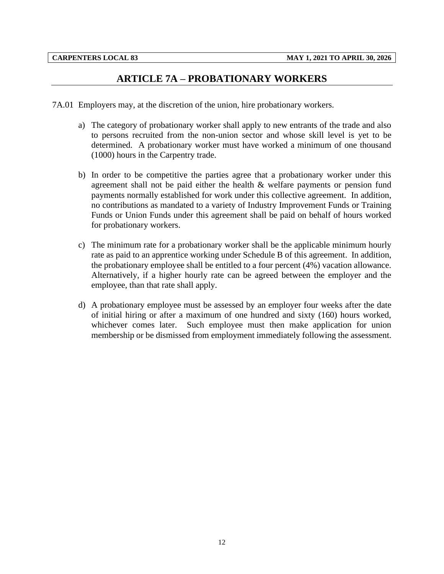## **ARTICLE 7A – PROBATIONARY WORKERS**

<span id="page-15-0"></span>7A.01 Employers may, at the discretion of the union, hire probationary workers.

- a) The category of probationary worker shall apply to new entrants of the trade and also to persons recruited from the non-union sector and whose skill level is yet to be determined. A probationary worker must have worked a minimum of one thousand (1000) hours in the Carpentry trade.
- b) In order to be competitive the parties agree that a probationary worker under this agreement shall not be paid either the health & welfare payments or pension fund payments normally established for work under this collective agreement. In addition, no contributions as mandated to a variety of Industry Improvement Funds or Training Funds or Union Funds under this agreement shall be paid on behalf of hours worked for probationary workers.
- c) The minimum rate for a probationary worker shall be the applicable minimum hourly rate as paid to an apprentice working under Schedule B of this agreement. In addition, the probationary employee shall be entitled to a four percent (4%) vacation allowance. Alternatively, if a higher hourly rate can be agreed between the employer and the employee, than that rate shall apply.
- d) A probationary employee must be assessed by an employer four weeks after the date of initial hiring or after a maximum of one hundred and sixty (160) hours worked, whichever comes later. Such employee must then make application for union membership or be dismissed from employment immediately following the assessment.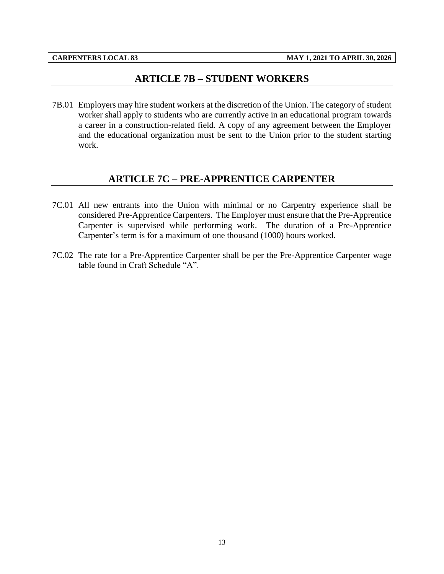## **ARTICLE 7B – STUDENT WORKERS**

<span id="page-16-0"></span>7B.01 Employers may hire student workers at the discretion of the Union. The category of student worker shall apply to students who are currently active in an educational program towards a career in a construction-related field. A copy of any agreement between the Employer and the educational organization must be sent to the Union prior to the student starting work.

## **ARTICLE 7C – PRE-APPRENTICE CARPENTER**

- <span id="page-16-1"></span>7C.01 All new entrants into the Union with minimal or no Carpentry experience shall be considered Pre-Apprentice Carpenters. The Employer must ensure that the Pre-Apprentice Carpenter is supervised while performing work. The duration of a Pre-Apprentice Carpenter's term is for a maximum of one thousand (1000) hours worked.
- 7C.02 The rate for a Pre-Apprentice Carpenter shall be per the Pre-Apprentice Carpenter wage table found in Craft Schedule "A".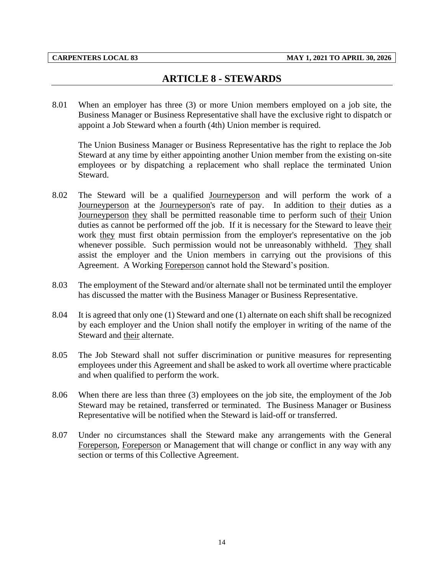## **ARTICLE 8 - STEWARDS**

<span id="page-17-0"></span>8.01 When an employer has three (3) or more Union members employed on a job site, the Business Manager or Business Representative shall have the exclusive right to dispatch or appoint a Job Steward when a fourth (4th) Union member is required.

The Union Business Manager or Business Representative has the right to replace the Job Steward at any time by either appointing another Union member from the existing on-site employees or by dispatching a replacement who shall replace the terminated Union Steward.

- 8.02 The Steward will be a qualified Journeyperson and will perform the work of a Journeyperson at the Journeyperson's rate of pay. In addition to their duties as a Journeyperson they shall be permitted reasonable time to perform such of their Union duties as cannot be performed off the job. If it is necessary for the Steward to leave their work they must first obtain permission from the employer's representative on the job whenever possible. Such permission would not be unreasonably withheld. They shall assist the employer and the Union members in carrying out the provisions of this Agreement. A Working Foreperson cannot hold the Steward's position.
- 8.03 The employment of the Steward and/or alternate shall not be terminated until the employer has discussed the matter with the Business Manager or Business Representative.
- 8.04 It is agreed that only one (1) Steward and one (1) alternate on each shift shall be recognized by each employer and the Union shall notify the employer in writing of the name of the Steward and their alternate.
- 8.05 The Job Steward shall not suffer discrimination or punitive measures for representing employees under this Agreement and shall be asked to work all overtime where practicable and when qualified to perform the work.
- 8.06 When there are less than three (3) employees on the job site, the employment of the Job Steward may be retained, transferred or terminated. The Business Manager or Business Representative will be notified when the Steward is laid-off or transferred.
- 8.07 Under no circumstances shall the Steward make any arrangements with the General Foreperson, Foreperson or Management that will change or conflict in any way with any section or terms of this Collective Agreement.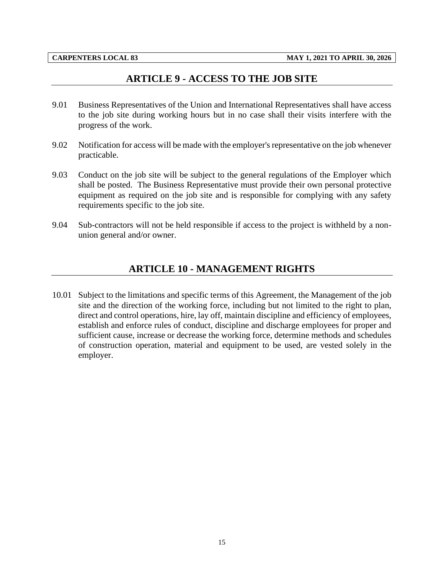## **ARTICLE 9 - ACCESS TO THE JOB SITE**

- <span id="page-18-0"></span>9.01 Business Representatives of the Union and International Representatives shall have access to the job site during working hours but in no case shall their visits interfere with the progress of the work.
- 9.02 Notification for access will be made with the employer's representative on the job whenever practicable.
- 9.03 Conduct on the job site will be subject to the general regulations of the Employer which shall be posted. The Business Representative must provide their own personal protective equipment as required on the job site and is responsible for complying with any safety requirements specific to the job site.
- <span id="page-18-1"></span>9.04 Sub-contractors will not be held responsible if access to the project is withheld by a nonunion general and/or owner.

## **ARTICLE 10 - MANAGEMENT RIGHTS**

10.01 Subject to the limitations and specific terms of this Agreement, the Management of the job site and the direction of the working force, including but not limited to the right to plan, direct and control operations, hire, lay off, maintain discipline and efficiency of employees, establish and enforce rules of conduct, discipline and discharge employees for proper and sufficient cause, increase or decrease the working force, determine methods and schedules of construction operation, material and equipment to be used, are vested solely in the employer.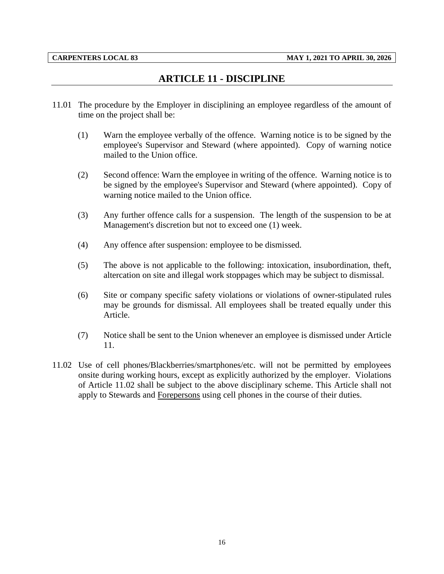## **ARTICLE 11 - DISCIPLINE**

- <span id="page-19-0"></span>11.01 The procedure by the Employer in disciplining an employee regardless of the amount of time on the project shall be:
	- (1) Warn the employee verbally of the offence. Warning notice is to be signed by the employee's Supervisor and Steward (where appointed). Copy of warning notice mailed to the Union office.
	- (2) Second offence: Warn the employee in writing of the offence. Warning notice is to be signed by the employee's Supervisor and Steward (where appointed). Copy of warning notice mailed to the Union office.
	- (3) Any further offence calls for a suspension. The length of the suspension to be at Management's discretion but not to exceed one (1) week.
	- (4) Any offence after suspension: employee to be dismissed.
	- (5) The above is not applicable to the following: intoxication, insubordination, theft, altercation on site and illegal work stoppages which may be subject to dismissal.
	- (6) Site or company specific safety violations or violations of owner-stipulated rules may be grounds for dismissal. All employees shall be treated equally under this Article.
	- (7) Notice shall be sent to the Union whenever an employee is dismissed under Article 11.
- 11.02 Use of cell phones/Blackberries/smartphones/etc. will not be permitted by employees onsite during working hours, except as explicitly authorized by the employer. Violations of Article 11.02 shall be subject to the above disciplinary scheme. This Article shall not apply to Stewards and Forepersons using cell phones in the course of their duties.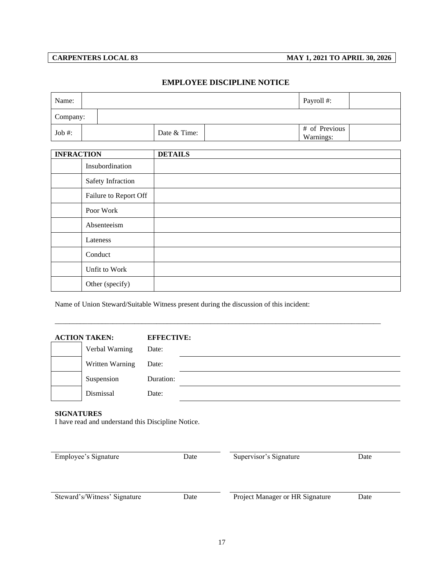### **CARPENTERS LOCAL 83 MAY 1, 2021 TO APRIL 30, 2026**

#### **EMPLOYEE DISCIPLINE NOTICE**

| Name:     |              | Payroll #:                 |  |
|-----------|--------------|----------------------------|--|
| Company:  |              |                            |  |
| Job $#$ : | Date & Time: | # of Previous<br>Warnings: |  |

| <b>INFRACTION</b> |                       | <b>DETAILS</b> |
|-------------------|-----------------------|----------------|
|                   | Insubordination       |                |
|                   | Safety Infraction     |                |
|                   | Failure to Report Off |                |
|                   | Poor Work             |                |
|                   | Absenteeism           |                |
|                   | Lateness              |                |
|                   | Conduct               |                |
|                   | Unfit to Work         |                |
|                   | Other (specify)       |                |

Name of Union Steward/Suitable Witness present during the discussion of this incident:

| Verbal Warning  | Date:     |  |
|-----------------|-----------|--|
|                 |           |  |
| Written Warning | Date:     |  |
| Suspension      | Duration: |  |
| Dismissal       | Date:     |  |

\_\_\_\_\_\_\_\_\_\_\_\_\_\_\_\_\_\_\_\_\_\_\_\_\_\_\_\_\_\_\_\_\_\_\_\_\_\_\_\_\_\_\_\_\_\_\_\_\_\_\_\_\_\_\_\_\_\_\_\_\_\_\_\_\_\_\_\_\_\_\_\_\_\_\_\_\_\_\_\_\_\_\_\_\_\_\_\_\_\_

#### **SIGNATURES**

I have read and understand this Discipline Notice.

| Employee's Signature         | Date | Supervisor's Signature          | Date |
|------------------------------|------|---------------------------------|------|
| Steward's/Witness' Signature | Date | Project Manager or HR Signature | Date |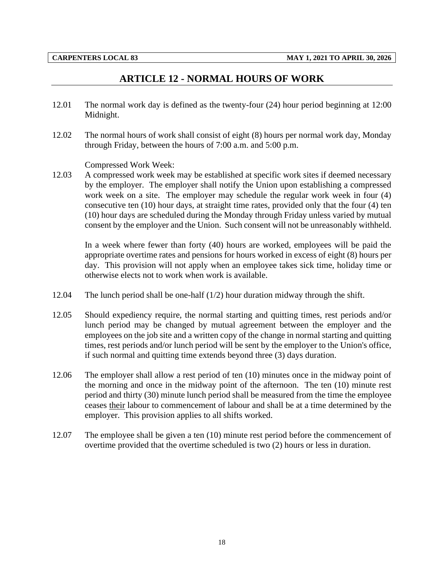## **ARTICLE 12 - NORMAL HOURS OF WORK**

- <span id="page-21-0"></span>12.01 The normal work day is defined as the twenty-four (24) hour period beginning at 12:00 Midnight.
- 12.02 The normal hours of work shall consist of eight (8) hours per normal work day, Monday through Friday, between the hours of 7:00 a.m. and 5:00 p.m.

Compressed Work Week:

12.03 A compressed work week may be established at specific work sites if deemed necessary by the employer. The employer shall notify the Union upon establishing a compressed work week on a site. The employer may schedule the regular work week in four (4) consecutive ten (10) hour days, at straight time rates, provided only that the four (4) ten (10) hour days are scheduled during the Monday through Friday unless varied by mutual consent by the employer and the Union. Such consent will not be unreasonably withheld.

In a week where fewer than forty (40) hours are worked, employees will be paid the appropriate overtime rates and pensions for hours worked in excess of eight (8) hours per day. This provision will not apply when an employee takes sick time, holiday time or otherwise elects not to work when work is available.

- 12.04 The lunch period shall be one-half (1/2) hour duration midway through the shift.
- 12.05 Should expediency require, the normal starting and quitting times, rest periods and/or lunch period may be changed by mutual agreement between the employer and the employees on the job site and a written copy of the change in normal starting and quitting times, rest periods and/or lunch period will be sent by the employer to the Union's office, if such normal and quitting time extends beyond three (3) days duration.
- 12.06 The employer shall allow a rest period of ten (10) minutes once in the midway point of the morning and once in the midway point of the afternoon. The ten (10) minute rest period and thirty (30) minute lunch period shall be measured from the time the employee ceases their labour to commencement of labour and shall be at a time determined by the employer. This provision applies to all shifts worked.
- 12.07 The employee shall be given a ten (10) minute rest period before the commencement of overtime provided that the overtime scheduled is two (2) hours or less in duration.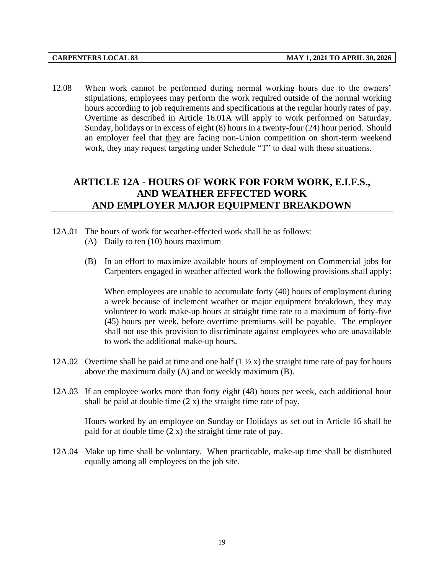12.08 When work cannot be performed during normal working hours due to the owners' stipulations, employees may perform the work required outside of the normal working hours according to job requirements and specifications at the regular hourly rates of pay. Overtime as described in Article 16.01A will apply to work performed on Saturday, Sunday, holidays or in excess of eight (8) hours in a twenty-four (24) hour period. Should an employer feel that they are facing non-Union competition on short-term weekend work, they may request targeting under Schedule "T" to deal with these situations.

## <span id="page-22-0"></span>**ARTICLE 12A - HOURS OF WORK FOR FORM WORK, E.I.F.S., AND WEATHER EFFECTED WORK AND EMPLOYER MAJOR EQUIPMENT BREAKDOWN**

- 12A.01 The hours of work for weather-effected work shall be as follows:
	- (A) Daily to ten (10) hours maximum
	- (B) In an effort to maximize available hours of employment on Commercial jobs for Carpenters engaged in weather affected work the following provisions shall apply:

When employees are unable to accumulate forty (40) hours of employment during a week because of inclement weather or major equipment breakdown, they may volunteer to work make-up hours at straight time rate to a maximum of forty-five (45) hours per week, before overtime premiums will be payable. The employer shall not use this provision to discriminate against employees who are unavailable to work the additional make-up hours.

- 12A.02 Overtime shall be paid at time and one half  $(1 \frac{1}{2} x)$  the straight time rate of pay for hours above the maximum daily (A) and or weekly maximum (B).
- 12A.03 If an employee works more than forty eight (48) hours per week, each additional hour shall be paid at double time (2 x) the straight time rate of pay.

Hours worked by an employee on Sunday or Holidays as set out in Article 16 shall be paid for at double time (2 x) the straight time rate of pay.

12A.04 Make up time shall be voluntary. When practicable, make-up time shall be distributed equally among all employees on the job site.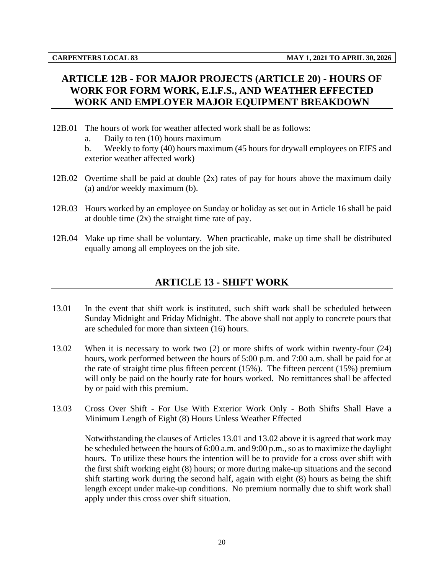## <span id="page-23-0"></span>**ARTICLE 12B - FOR MAJOR PROJECTS (ARTICLE 20) - HOURS OF WORK FOR FORM WORK, E.I.F.S., AND WEATHER EFFECTED WORK AND EMPLOYER MAJOR EQUIPMENT BREAKDOWN**

- 12B.01 The hours of work for weather affected work shall be as follows:
	- a. Daily to ten (10) hours maximum

b. Weekly to forty (40) hours maximum (45 hours for drywall employees on EIFS and exterior weather affected work)

- 12B.02 Overtime shall be paid at double (2x) rates of pay for hours above the maximum daily (a) and/or weekly maximum (b).
- 12B.03 Hours worked by an employee on Sunday or holiday as set out in Article 16 shall be paid at double time  $(2x)$  the straight time rate of pay.
- <span id="page-23-1"></span>12B.04 Make up time shall be voluntary. When practicable, make up time shall be distributed equally among all employees on the job site.

## **ARTICLE 13 - SHIFT WORK**

- 13.01 In the event that shift work is instituted, such shift work shall be scheduled between Sunday Midnight and Friday Midnight. The above shall not apply to concrete pours that are scheduled for more than sixteen (16) hours.
- 13.02 When it is necessary to work two (2) or more shifts of work within twenty-four (24) hours, work performed between the hours of 5:00 p.m. and 7:00 a.m. shall be paid for at the rate of straight time plus fifteen percent (15%). The fifteen percent (15%) premium will only be paid on the hourly rate for hours worked. No remittances shall be affected by or paid with this premium.
- 13.03 Cross Over Shift For Use With Exterior Work Only Both Shifts Shall Have a Minimum Length of Eight (8) Hours Unless Weather Effected

Notwithstanding the clauses of Articles 13.01 and 13.02 above it is agreed that work may be scheduled between the hours of 6:00 a.m. and 9:00 p.m., so as to maximize the daylight hours. To utilize these hours the intention will be to provide for a cross over shift with the first shift working eight (8) hours; or more during make-up situations and the second shift starting work during the second half, again with eight (8) hours as being the shift length except under make-up conditions. No premium normally due to shift work shall apply under this cross over shift situation.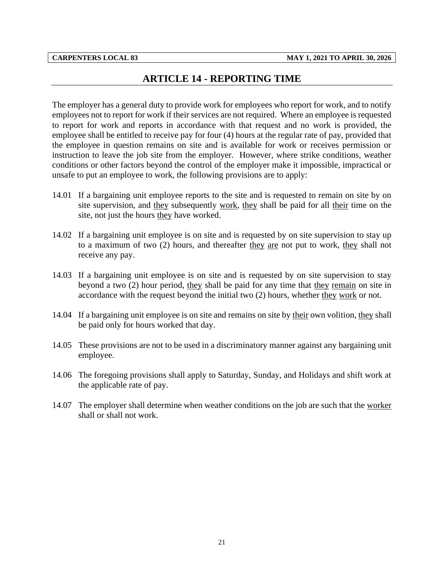## **ARTICLE 14 - REPORTING TIME**

<span id="page-24-0"></span>The employer has a general duty to provide work for employees who report for work, and to notify employees not to report for work if their services are not required. Where an employee is requested to report for work and reports in accordance with that request and no work is provided, the employee shall be entitled to receive pay for four (4) hours at the regular rate of pay, provided that the employee in question remains on site and is available for work or receives permission or instruction to leave the job site from the employer. However, where strike conditions, weather conditions or other factors beyond the control of the employer make it impossible, impractical or unsafe to put an employee to work, the following provisions are to apply:

- 14.01 If a bargaining unit employee reports to the site and is requested to remain on site by on site supervision, and they subsequently work, they shall be paid for all their time on the site, not just the hours they have worked.
- 14.02 If a bargaining unit employee is on site and is requested by on site supervision to stay up to a maximum of two (2) hours, and thereafter they are not put to work, they shall not receive any pay.
- 14.03 If a bargaining unit employee is on site and is requested by on site supervision to stay beyond a two (2) hour period, they shall be paid for any time that they remain on site in accordance with the request beyond the initial two (2) hours, whether they work or not.
- 14.04 If a bargaining unit employee is on site and remains on site by their own volition, they shall be paid only for hours worked that day.
- 14.05 These provisions are not to be used in a discriminatory manner against any bargaining unit employee.
- 14.06 The foregoing provisions shall apply to Saturday, Sunday, and Holidays and shift work at the applicable rate of pay.
- 14.07 The employer shall determine when weather conditions on the job are such that the worker shall or shall not work.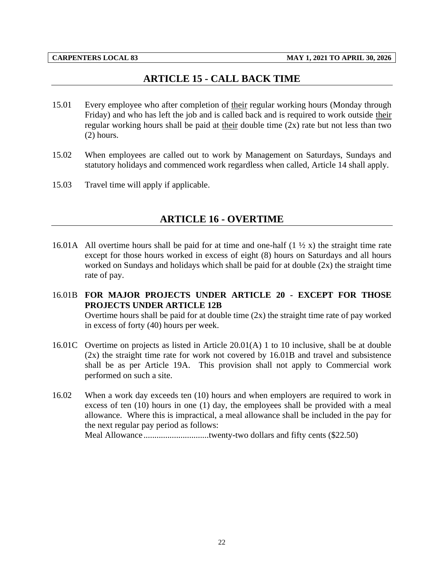## **ARTICLE 15 - CALL BACK TIME**

- <span id="page-25-0"></span>15.01 Every employee who after completion of their regular working hours (Monday through Friday) and who has left the job and is called back and is required to work outside their regular working hours shall be paid at their double time  $(2x)$  rate but not less than two (2) hours.
- 15.02 When employees are called out to work by Management on Saturdays, Sundays and statutory holidays and commenced work regardless when called, Article 14 shall apply.
- <span id="page-25-1"></span>15.03 Travel time will apply if applicable.

## **ARTICLE 16 - OVERTIME**

- 16.01A All overtime hours shall be paid for at time and one-half  $(1 \frac{1}{2} x)$  the straight time rate except for those hours worked in excess of eight (8) hours on Saturdays and all hours worked on Sundays and holidays which shall be paid for at double (2x) the straight time rate of pay.
- 16.01B **FOR MAJOR PROJECTS UNDER ARTICLE 20 - EXCEPT FOR THOSE PROJECTS UNDER ARTICLE 12B** Overtime hours shall be paid for at double time  $(2x)$  the straight time rate of pay worked in excess of forty (40) hours per week.
- 16.01C Overtime on projects as listed in Article 20.01(A) 1 to 10 inclusive, shall be at double (2x) the straight time rate for work not covered by 16.01B and travel and subsistence shall be as per Article 19A. This provision shall not apply to Commercial work performed on such a site.
- 16.02 When a work day exceeds ten (10) hours and when employers are required to work in excess of ten (10) hours in one (1) day, the employees shall be provided with a meal allowance. Where this is impractical, a meal allowance shall be included in the pay for the next regular pay period as follows: Meal Allowance ..............................twenty-two dollars and fifty cents (\$22.50)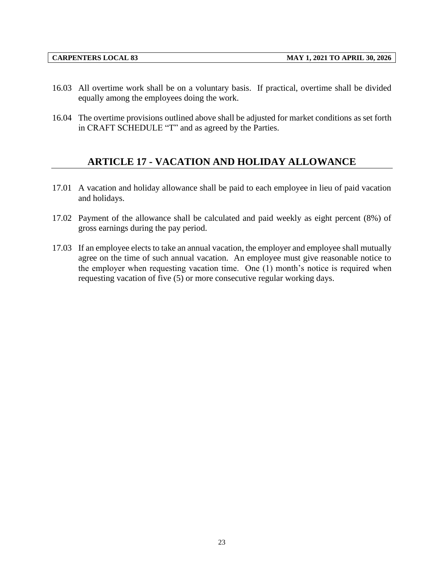- 16.03 All overtime work shall be on a voluntary basis. If practical, overtime shall be divided equally among the employees doing the work.
- <span id="page-26-0"></span>16.04 The overtime provisions outlined above shall be adjusted for market conditions as set forth in CRAFT SCHEDULE "T" and as agreed by the Parties.

## **ARTICLE 17 - VACATION AND HOLIDAY ALLOWANCE**

- 17.01 A vacation and holiday allowance shall be paid to each employee in lieu of paid vacation and holidays.
- 17.02 Payment of the allowance shall be calculated and paid weekly as eight percent (8%) of gross earnings during the pay period.
- 17.03 If an employee elects to take an annual vacation, the employer and employee shall mutually agree on the time of such annual vacation. An employee must give reasonable notice to the employer when requesting vacation time. One (1) month's notice is required when requesting vacation of five (5) or more consecutive regular working days.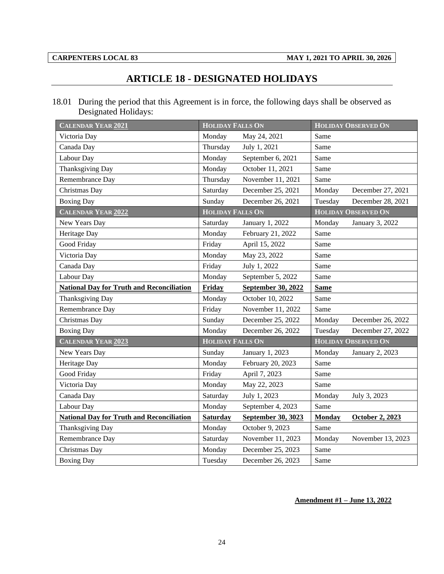## **ARTICLE 18 - DESIGNATED HOLIDAYS**

<span id="page-27-0"></span>18.01 During the period that this Agreement is in force, the following days shall be observed as Designated Holidays:

| <b>CALENDAR YEAR 2021</b>                        | <b>HOLIDAY FALLS ON</b> |                    |               | <b>HOLIDAY OBSERVED ON</b> |
|--------------------------------------------------|-------------------------|--------------------|---------------|----------------------------|
| Victoria Day                                     | Monday                  | May 24, 2021       | Same          |                            |
| Canada Day                                       | Thursday                | July 1, 2021       | Same          |                            |
| Labour Day                                       | Monday                  | September 6, 2021  | Same          |                            |
| Thanksgiving Day                                 | Monday                  | October 11, 2021   | Same          |                            |
| Remembrance Day                                  | Thursday                | November 11, 2021  | Same          |                            |
| Christmas Day                                    | Saturday                | December 25, 2021  | Monday        | December 27, 2021          |
| <b>Boxing Day</b>                                | Sunday                  | December 26, 2021  | Tuesday       | December 28, 2021          |
| <b>CALENDAR YEAR 2022</b>                        | <b>HOLIDAY FALLS ON</b> |                    |               | <b>HOLIDAY OBSERVED ON</b> |
| New Years Day                                    | Saturday                | January 1, 2022    | Monday        | January 3, 2022            |
| Heritage Day                                     | Monday                  | February 21, 2022  | Same          |                            |
| Good Friday                                      | Friday                  | April 15, 2022     | Same          |                            |
| Victoria Day                                     | Monday                  | May 23, 2022       | Same          |                            |
| Canada Day                                       | Friday                  | July 1, 2022       | Same          |                            |
| Labour Day                                       | Monday                  | September 5, 2022  | Same          |                            |
| <b>National Day for Truth and Reconciliation</b> | Friday                  | September 30, 2022 | <b>Same</b>   |                            |
| Thanksgiving Day                                 | Monday                  | October 10, 2022   | Same          |                            |
| Remembrance Day                                  | Friday                  | November 11, 2022  | Same          |                            |
| Christmas Day                                    | Sunday                  | December 25, 2022  | Monday        | December 26, 2022          |
| <b>Boxing Day</b>                                | Monday                  | December 26, 2022  | Tuesday       | December 27, 2022          |
| <b>CALENDAR YEAR 2023</b>                        | <b>HOLIDAY FALLS ON</b> |                    |               | <b>HOLIDAY OBSERVED ON</b> |
| New Years Day                                    | Sunday                  | January 1, 2023    | Monday        | January 2, 2023            |
| Heritage Day                                     | Monday                  | February 20, 2023  | Same          |                            |
| Good Friday                                      | Friday                  | April 7, 2023      | Same          |                            |
| Victoria Day                                     | Monday                  | May 22, 2023       | Same          |                            |
| Canada Day                                       | Saturday                | July 1, 2023       | Monday        | July 3, 2023               |
| Labour Day                                       | Monday                  | September 4, 2023  | Same          |                            |
| <b>National Day for Truth and Reconciliation</b> | <b>Saturday</b>         | September 30, 3023 | <b>Monday</b> | <b>October 2, 2023</b>     |
| Thanksgiving Day                                 | Monday                  | October 9, 2023    | Same          |                            |
| Remembrance Day                                  | Saturday                | November 11, 2023  | Monday        | November 13, 2023          |
| Christmas Day                                    | Monday                  | December 25, 2023  | Same          |                            |
| <b>Boxing Day</b>                                | Tuesday                 | December 26, 2023  | Same          |                            |

### **Amendment #1 – June 13, 2022**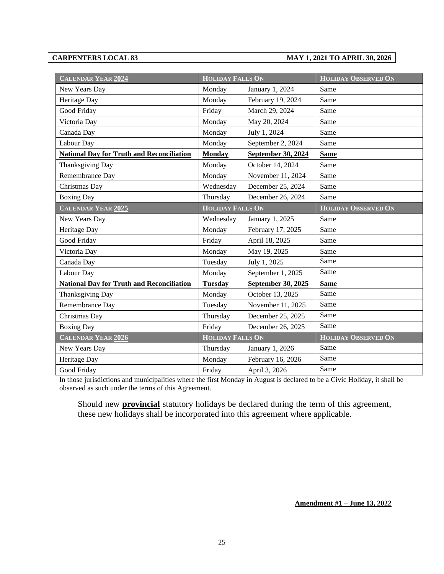#### **CARPENTERS LOCAL 83 MAY 1, 2021 TO APRIL 30, 2026**

| <b>CALENDAR YEAR 2024</b>                        | <b>HOLIDAY FALLS ON</b> |                    | <b>HOLIDAY OBSERVED ON</b> |
|--------------------------------------------------|-------------------------|--------------------|----------------------------|
| New Years Day                                    | Monday                  | January 1, 2024    | Same                       |
| Heritage Day                                     | Monday                  | February 19, 2024  | Same                       |
| Good Friday                                      | Friday                  | March 29, 2024     | Same                       |
| Victoria Day                                     | Monday                  | May 20, 2024       | Same                       |
| Canada Day                                       | Monday                  | July 1, 2024       | Same                       |
| Labour Day                                       | Monday                  | September 2, 2024  | Same                       |
| <b>National Day for Truth and Reconciliation</b> | <b>Monday</b>           | September 30, 2024 | <b>Same</b>                |
| Thanksgiving Day                                 | Monday                  | October 14, 2024   | Same                       |
| Remembrance Day                                  | Monday                  | November 11, 2024  | Same                       |
| Christmas Day                                    | Wednesday               | December 25, 2024  | Same                       |
| <b>Boxing Day</b>                                | Thursday                | December 26, 2024  | Same                       |
| CALENDAR YEAR 2025                               | <b>HOLIDAY FALLS ON</b> |                    | <b>HOLIDAY OBSERVED ON</b> |
| New Years Day                                    | Wednesday               | January 1, 2025    | Same                       |
| Heritage Day                                     | Monday                  | February 17, 2025  | Same                       |
| Good Friday                                      | Friday                  | April 18, 2025     | Same                       |
| Victoria Day                                     | Monday                  | May 19, 2025       | Same                       |
| Canada Day                                       | Tuesday                 | July 1, 2025       | Same                       |
| Labour Day                                       | Monday                  | September 1, 2025  | Same                       |
| <b>National Day for Truth and Reconciliation</b> | <b>Tuesday</b>          | September 30, 2025 | <b>Same</b>                |
| Thanksgiving Day                                 | Monday                  | October 13, 2025   | Same                       |
| Remembrance Day                                  | Tuesday                 | November 11, 2025  | Same                       |
| Christmas Day                                    | Thursday                | December 25, 2025  | Same                       |
| <b>Boxing Day</b>                                | Friday                  | December 26, 2025  | Same                       |
| <b>CALENDAR YEAR 2026</b>                        | <b>HOLIDAY FALLS ON</b> |                    | <b>HOLIDAY OBSERVED ON</b> |
| New Years Day                                    | Thursday                | January 1, 2026    | Same                       |
| Heritage Day                                     | Monday                  | February 16, 2026  | Same                       |
| Good Friday                                      | Friday                  | April 3, 2026      | Same                       |

In those jurisdictions and municipalities where the first Monday in August is declared to be a Civic Holiday, it shall be observed as such under the terms of this Agreement.

Should new **provincial** statutory holidays be declared during the term of this agreement, these new holidays shall be incorporated into this agreement where applicable.

**Amendment #1 – June 13, 2022**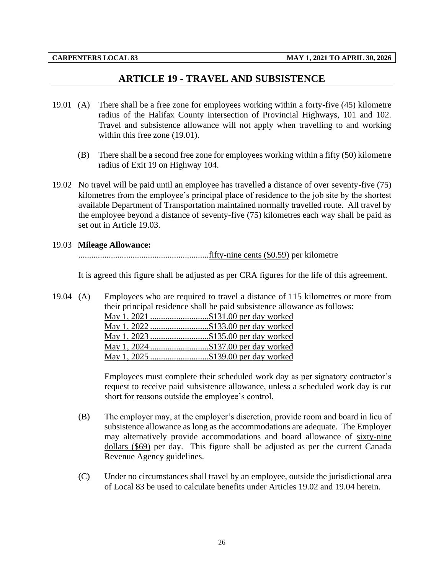## **ARTICLE 19 - TRAVEL AND SUBSISTENCE**

- <span id="page-29-0"></span>19.01 (A) There shall be a free zone for employees working within a forty-five (45) kilometre radius of the Halifax County intersection of Provincial Highways, 101 and 102. Travel and subsistence allowance will not apply when travelling to and working within this free zone (19.01).
	- (B) There shall be a second free zone for employees working within a fifty (50) kilometre radius of Exit 19 on Highway 104.
- 19.02 No travel will be paid until an employee has travelled a distance of over seventy-five (75) kilometres from the employee's principal place of residence to the job site by the shortest available Department of Transportation maintained normally travelled route. All travel by the employee beyond a distance of seventy-five (75) kilometres each way shall be paid as set out in Article 19.03.
- 19.03 **Mileage Allowance:**

............................................................fifty-nine cents (\$0.59) per kilometre

It is agreed this figure shall be adjusted as per CRA figures for the life of this agreement.

19.04 (A) Employees who are required to travel a distance of 115 kilometres or more from their principal residence shall be paid subsistence allowance as follows:

| May 1, 2021 \$131.00 per day worked |
|-------------------------------------|
| May 1, 2022 \$133.00 per day worked |
| May 1, 2023 \$135.00 per day worked |
| May 1, 2024 \$137.00 per day worked |
| May 1, 2025 \$139.00 per day worked |

Employees must complete their scheduled work day as per signatory contractor's request to receive paid subsistence allowance, unless a scheduled work day is cut short for reasons outside the employee's control.

- (B) The employer may, at the employer's discretion, provide room and board in lieu of subsistence allowance as long as the accommodations are adequate. The Employer may alternatively provide accommodations and board allowance of sixty-nine dollars (\$69) per day. This figure shall be adjusted as per the current Canada Revenue Agency guidelines.
- (C) Under no circumstances shall travel by an employee, outside the jurisdictional area of Local 83 be used to calculate benefits under Articles 19.02 and 19.04 herein.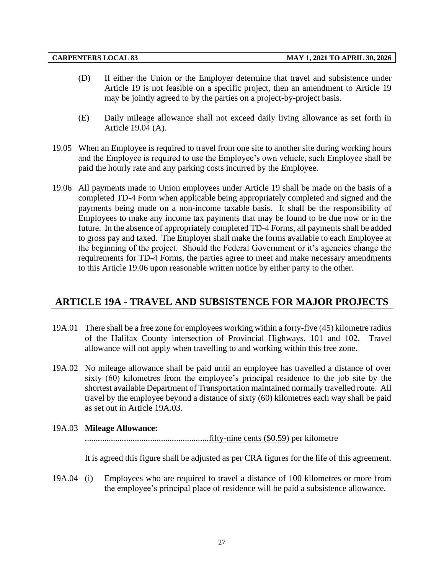- (D) If either the Union or the Employer determine that travel and subsistence under Article 19 is not feasible on a specific project, then an amendment to Article 19 may be jointly agreed to by the parties on a project-by-project basis.
- (E) Daily mileage allowance shall not exceed daily living allowance as set forth in Article 19.04 (A).
- 19.05 When an Employee is required to travel from one site to another site during working hours and the Employee is required to use the Employee's own vehicle, such Employee shall be paid the hourly rate and any parking costs incurred by the Employee.
- 19.06 All payments made to Union employees under Article 19 shall be made on the basis of a completed TD-4 Form when applicable being appropriately completed and signed and the payments being made on a non-income taxable basis. It shall be the responsibility of Employees to make any income tax payments that may be found to be due now or in the future. In the absence of appropriately completed TD-4 Forms, all payments shall be added to gross pay and taxed. The Employer shall make the forms available to each Employee at the beginning of the project. Should the Federal Government or it's agencies change the requirements for TD-4 Forms, the parties agree to meet and make necessary amendments to this Article 19.06 upon reasonable written notice by either party to the other.

## <span id="page-30-0"></span>**ARTICLE 19A - TRAVEL AND SUBSISTENCE FOR MAJOR PROJECTS**

- 19A.01 There shall be a free zone for employees working within a forty-five (45) kilometre radius of the Halifax County intersection of Provincial Highways, 101 and 102. Travel allowance will not apply when travelling to and working within this free zone.
- 19A.02 No mileage allowance shall be paid until an employee has travelled a distance of over sixty (60) kilometres from the employee's principal residence to the job site by the shortest available Department of Transportation maintained normally travelled route. All travel by the employee beyond a distance of sixty (60) kilometres each way shall be paid as set out in Article 19A.03.
- 19A.03 **Mileage Allowance:** .........................................................fifty-nine cents (\$0.59) per kilometre

It is agreed this figure shall be adjusted as per CRA figures for the life of this agreement.

19A.04 (i) Employees who are required to travel a distance of 100 kilometres or more from the employee's principal place of residence will be paid a subsistence allowance.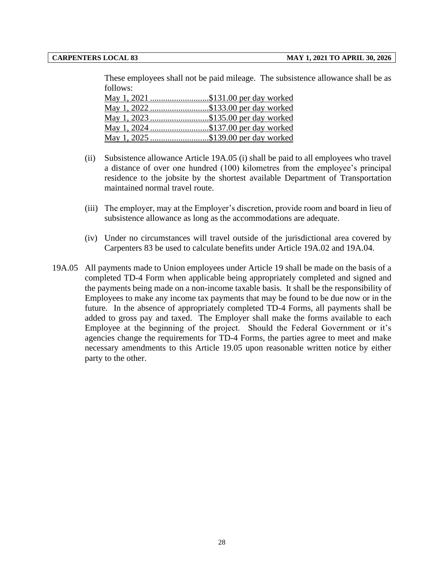These employees shall not be paid mileage. The subsistence allowance shall be as follows:

| May 1, 2021 \$131.00 per day worked |
|-------------------------------------|
| May 1, 2022 \$133.00 per day worked |
| May 1, 2023 \$135.00 per day worked |
| May 1, 2024 \$137.00 per day worked |
| May 1, 2025 \$139.00 per day worked |

- (ii) Subsistence allowance Article 19A.05 (i) shall be paid to all employees who travel a distance of over one hundred (100) kilometres from the employee's principal residence to the jobsite by the shortest available Department of Transportation maintained normal travel route.
- (iii) The employer, may at the Employer's discretion, provide room and board in lieu of subsistence allowance as long as the accommodations are adequate.
- (iv) Under no circumstances will travel outside of the jurisdictional area covered by Carpenters 83 be used to calculate benefits under Article 19A.02 and 19A.04.
- 19A.05 All payments made to Union employees under Article 19 shall be made on the basis of a completed TD-4 Form when applicable being appropriately completed and signed and the payments being made on a non-income taxable basis. It shall be the responsibility of Employees to make any income tax payments that may be found to be due now or in the future. In the absence of appropriately completed TD-4 Forms, all payments shall be added to gross pay and taxed. The Employer shall make the forms available to each Employee at the beginning of the project. Should the Federal Government or it's agencies change the requirements for TD-4 Forms, the parties agree to meet and make necessary amendments to this Article 19.05 upon reasonable written notice by either party to the other.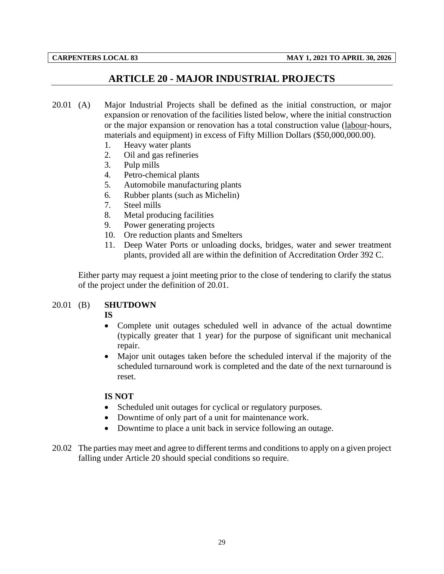## **ARTICLE 20 - MAJOR INDUSTRIAL PROJECTS**

- <span id="page-32-0"></span>20.01 (A) Major Industrial Projects shall be defined as the initial construction, or major expansion or renovation of the facilities listed below, where the initial construction or the major expansion or renovation has a total construction value (labour-hours, materials and equipment) in excess of Fifty Million Dollars (\$50,000,000.00).
	- 1. Heavy water plants
	- 2. Oil and gas refineries
	- 3. Pulp mills
	- 4. Petro-chemical plants
	- 5. Automobile manufacturing plants
	- 6. Rubber plants (such as Michelin)
	- 7. Steel mills
	- 8. Metal producing facilities
	- 9. Power generating projects
	- 10. Ore reduction plants and Smelters
	- 11. Deep Water Ports or unloading docks, bridges, water and sewer treatment plants, provided all are within the definition of Accreditation Order 392 C.

Either party may request a joint meeting prior to the close of tendering to clarify the status of the project under the definition of 20.01.

### 20.01 (B) **SHUTDOWN**

### **IS**

- Complete unit outages scheduled well in advance of the actual downtime (typically greater that 1 year) for the purpose of significant unit mechanical repair.
- Major unit outages taken before the scheduled interval if the majority of the scheduled turnaround work is completed and the date of the next turnaround is reset.

### **IS NOT**

- Scheduled unit outages for cyclical or regulatory purposes.
- Downtime of only part of a unit for maintenance work.
- Downtime to place a unit back in service following an outage.
- 20.02 The parties may meet and agree to different terms and conditions to apply on a given project falling under Article 20 should special conditions so require.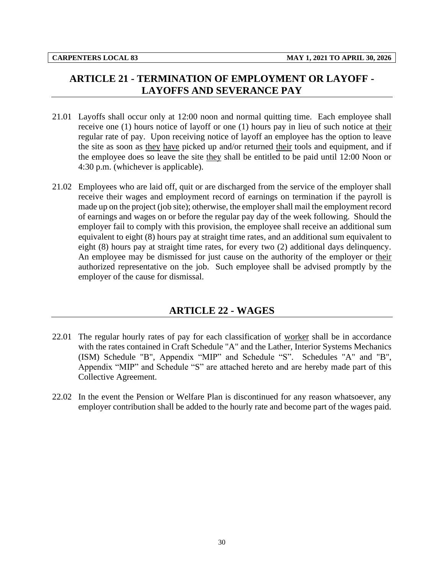## <span id="page-33-0"></span>**ARTICLE 21 - TERMINATION OF EMPLOYMENT OR LAYOFF - LAYOFFS AND SEVERANCE PAY**

- 21.01 Layoffs shall occur only at 12:00 noon and normal quitting time. Each employee shall receive one (1) hours notice of layoff or one (1) hours pay in lieu of such notice at their regular rate of pay. Upon receiving notice of layoff an employee has the option to leave the site as soon as they have picked up and/or returned their tools and equipment, and if the employee does so leave the site they shall be entitled to be paid until 12:00 Noon or 4:30 p.m. (whichever is applicable).
- 21.02 Employees who are laid off, quit or are discharged from the service of the employer shall receive their wages and employment record of earnings on termination if the payroll is made up on the project (job site); otherwise, the employer shall mail the employment record of earnings and wages on or before the regular pay day of the week following. Should the employer fail to comply with this provision, the employee shall receive an additional sum equivalent to eight (8) hours pay at straight time rates, and an additional sum equivalent to eight (8) hours pay at straight time rates, for every two (2) additional days delinquency. An employee may be dismissed for just cause on the authority of the employer or their authorized representative on the job. Such employee shall be advised promptly by the employer of the cause for dismissal.

## **ARTICLE 22 - WAGES**

- <span id="page-33-1"></span>22.01 The regular hourly rates of pay for each classification of worker shall be in accordance with the rates contained in Craft Schedule "A" and the Lather, Interior Systems Mechanics (ISM) Schedule "B", Appendix "MIP" and Schedule "S". Schedules "A" and "B", Appendix "MIP" and Schedule "S" are attached hereto and are hereby made part of this Collective Agreement.
- 22.02 In the event the Pension or Welfare Plan is discontinued for any reason whatsoever, any employer contribution shall be added to the hourly rate and become part of the wages paid.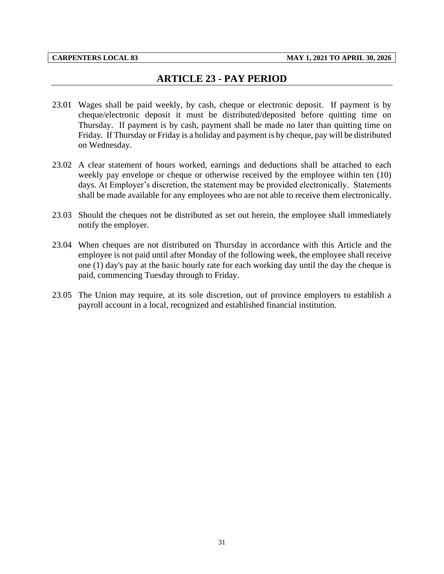## **ARTICLE 23 - PAY PERIOD**

- <span id="page-34-0"></span>23.01 Wages shall be paid weekly, by cash, cheque or electronic deposit. If payment is by cheque/electronic deposit it must be distributed/deposited before quitting time on Thursday. If payment is by cash, payment shall be made no later than quitting time on Friday. If Thursday or Friday is a holiday and payment is by cheque, pay will be distributed on Wednesday.
- 23.02 A clear statement of hours worked, earnings and deductions shall be attached to each weekly pay envelope or cheque or otherwise received by the employee within ten (10) days. At Employer's discretion, the statement may be provided electronically. Statements shall be made available for any employees who are not able to receive them electronically.
- 23.03 Should the cheques not be distributed as set out herein, the employee shall immediately notify the employer.
- 23.04 When cheques are not distributed on Thursday in accordance with this Article and the employee is not paid until after Monday of the following week, the employee shall receive one (1) day's pay at the basic hourly rate for each working day until the day the cheque is paid, commencing Tuesday through to Friday.
- 23.05 The Union may require, at its sole discretion, out of province employers to establish a payroll account in a local, recognized and established financial institution.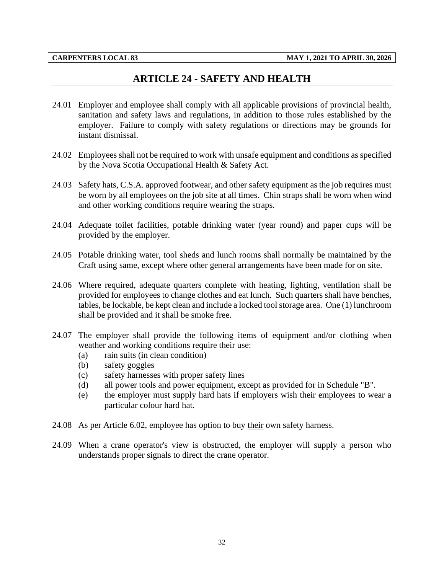## **ARTICLE 24 - SAFETY AND HEALTH**

- <span id="page-35-0"></span>24.01 Employer and employee shall comply with all applicable provisions of provincial health, sanitation and safety laws and regulations, in addition to those rules established by the employer. Failure to comply with safety regulations or directions may be grounds for instant dismissal.
- 24.02 Employees shall not be required to work with unsafe equipment and conditions as specified by the Nova Scotia Occupational Health & Safety Act.
- 24.03 Safety hats, C.S.A. approved footwear, and other safety equipment as the job requires must be worn by all employees on the job site at all times. Chin straps shall be worn when wind and other working conditions require wearing the straps.
- 24.04 Adequate toilet facilities, potable drinking water (year round) and paper cups will be provided by the employer.
- 24.05 Potable drinking water, tool sheds and lunch rooms shall normally be maintained by the Craft using same, except where other general arrangements have been made for on site.
- 24.06 Where required, adequate quarters complete with heating, lighting, ventilation shall be provided for employees to change clothes and eat lunch. Such quarters shall have benches, tables, be lockable, be kept clean and include a locked tool storage area. One (1) lunchroom shall be provided and it shall be smoke free.
- 24.07 The employer shall provide the following items of equipment and/or clothing when weather and working conditions require their use:
	- (a) rain suits (in clean condition)
	- (b) safety goggles
	- (c) safety harnesses with proper safety lines
	- (d) all power tools and power equipment, except as provided for in Schedule "B".
	- (e) the employer must supply hard hats if employers wish their employees to wear a particular colour hard hat.
- 24.08 As per Article 6.02, employee has option to buy their own safety harness.
- 24.09 When a crane operator's view is obstructed, the employer will supply a person who understands proper signals to direct the crane operator.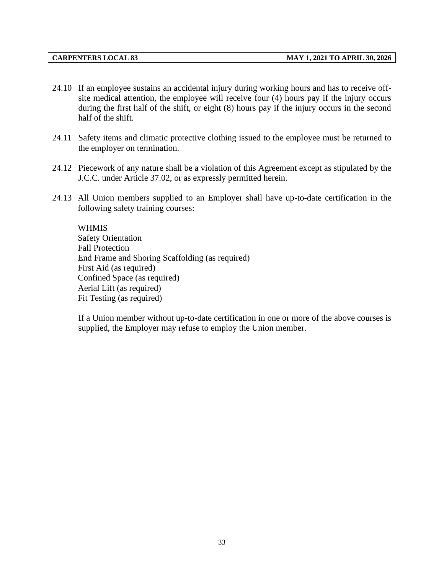- 24.10 If an employee sustains an accidental injury during working hours and has to receive offsite medical attention, the employee will receive four (4) hours pay if the injury occurs during the first half of the shift, or eight (8) hours pay if the injury occurs in the second half of the shift.
- 24.11 Safety items and climatic protective clothing issued to the employee must be returned to the employer on termination.
- 24.12 Piecework of any nature shall be a violation of this Agreement except as stipulated by the J.C.C. under Article 37.02, or as expressly permitted herein.
- 24.13 All Union members supplied to an Employer shall have up-to-date certification in the following safety training courses:

WHMIS Safety Orientation Fall Protection End Frame and Shoring Scaffolding (as required) First Aid (as required) Confined Space (as required) Aerial Lift (as required) Fit Testing (as required)

If a Union member without up-to-date certification in one or more of the above courses is supplied, the Employer may refuse to employ the Union member.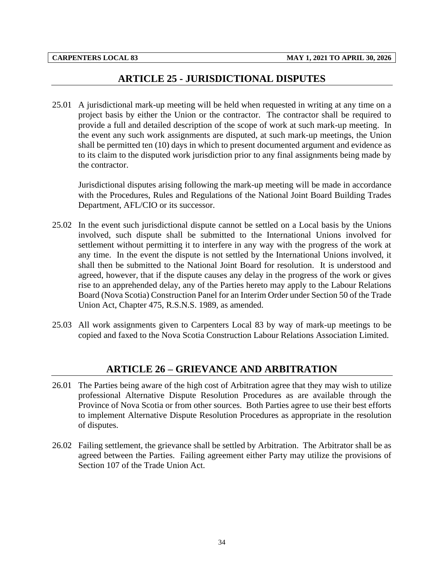# **ARTICLE 25 - JURISDICTIONAL DISPUTES**

25.01 A jurisdictional mark-up meeting will be held when requested in writing at any time on a project basis by either the Union or the contractor. The contractor shall be required to provide a full and detailed description of the scope of work at such mark-up meeting. In the event any such work assignments are disputed, at such mark-up meetings, the Union shall be permitted ten (10) days in which to present documented argument and evidence as to its claim to the disputed work jurisdiction prior to any final assignments being made by the contractor.

Jurisdictional disputes arising following the mark-up meeting will be made in accordance with the Procedures, Rules and Regulations of the National Joint Board Building Trades Department, AFL/CIO or its successor.

- 25.02 In the event such jurisdictional dispute cannot be settled on a Local basis by the Unions involved, such dispute shall be submitted to the International Unions involved for settlement without permitting it to interfere in any way with the progress of the work at any time. In the event the dispute is not settled by the International Unions involved, it shall then be submitted to the National Joint Board for resolution. It is understood and agreed, however, that if the dispute causes any delay in the progress of the work or gives rise to an apprehended delay, any of the Parties hereto may apply to the Labour Relations Board (Nova Scotia) Construction Panel for an Interim Order under Section 50 of the Trade Union Act, Chapter 475, R.S.N.S. 1989, as amended.
- 25.03 All work assignments given to Carpenters Local 83 by way of mark-up meetings to be copied and faxed to the Nova Scotia Construction Labour Relations Association Limited.

# **ARTICLE 26 – GRIEVANCE AND ARBITRATION**

- 26.01 The Parties being aware of the high cost of Arbitration agree that they may wish to utilize professional Alternative Dispute Resolution Procedures as are available through the Province of Nova Scotia or from other sources. Both Parties agree to use their best efforts to implement Alternative Dispute Resolution Procedures as appropriate in the resolution of disputes.
- 26.02 Failing settlement, the grievance shall be settled by Arbitration. The Arbitrator shall be as agreed between the Parties. Failing agreement either Party may utilize the provisions of Section 107 of the Trade Union Act.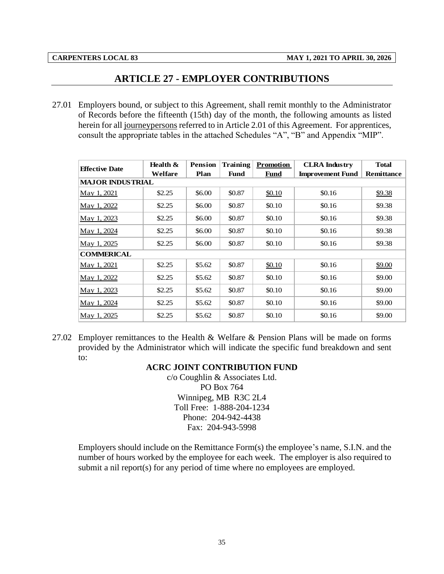# **ARTICLE 27 - EMPLOYER CONTRIBUTIONS**

27.01 Employers bound, or subject to this Agreement, shall remit monthly to the Administrator of Records before the fifteenth (15th) day of the month, the following amounts as listed herein for all journeypersons referred to in Article 2.01 of this Agreement. For apprentices, consult the appropriate tables in the attached Schedules "A", "B" and Appendix "MIP".

| <b>Effective Date</b>   | Health $\&$ | <b>Pension</b> | <b>Training</b> | <b>Promotion</b> | <b>CLRA</b> Industry    | <b>Total</b>      |
|-------------------------|-------------|----------------|-----------------|------------------|-------------------------|-------------------|
|                         | Welfare     | Plan           | Fund            | <b>Fund</b>      | <b>Improvement Fund</b> | <b>Remittance</b> |
| <b>MAJOR INDUSTRIAL</b> |             |                |                 |                  |                         |                   |
| May 1, 2021             | \$2.25      | \$6.00         | \$0.87          | \$0.10           | \$0.16                  | \$9.38            |
| May 1, 2022             | \$2.25      | \$6.00         | \$0.87          | \$0.10           | \$0.16                  | \$9.38            |
| May 1, 2023             | \$2.25      | \$6.00         | \$0.87          | \$0.10           | \$0.16                  | \$9.38            |
| May 1, 2024             | \$2.25      | \$6.00         | \$0.87          | \$0.10           | \$0.16                  | \$9.38            |
| May 1, 2025             | \$2.25      | \$6.00         | \$0.87          | \$0.10           | \$0.16                  | \$9.38            |
| <b>COMMERICAL</b>       |             |                |                 |                  |                         |                   |
| May 1, 2021             | \$2.25      | \$5.62         | \$0.87          | \$0.10           | \$0.16                  | \$9.00            |
| May 1, 2022             | \$2.25      | \$5.62         | \$0.87          | \$0.10           | \$0.16                  | \$9.00            |
| May 1, 2023             | \$2.25      | \$5.62         | \$0.87          | \$0.10           | \$0.16                  | \$9.00            |
| May 1, 2024             | \$2.25      | \$5.62         | \$0.87          | \$0.10           | \$0.16                  | \$9.00            |
| May 1, 2025             | \$2.25      | \$5.62         | \$0.87          | \$0.10           | \$0.16                  | \$9.00            |

27.02 Employer remittances to the Health & Welfare & Pension Plans will be made on forms provided by the Administrator which will indicate the specific fund breakdown and sent to:

### **ACRC JOINT CONTRIBUTION FUND**

c/o Coughlin & Associates Ltd. PO Box 764 Winnipeg, MB R3C 2L4 Toll Free: 1-888-204-1234 Phone: 204-942-4438 Fax: 204-943-5998

Employers should include on the Remittance Form(s) the employee's name, S.I.N. and the number of hours worked by the employee for each week. The employer is also required to submit a nil report(s) for any period of time where no employees are employed.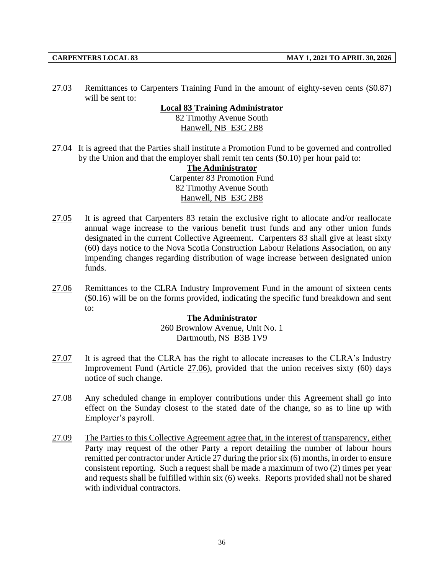27.03 Remittances to Carpenters Training Fund in the amount of eighty-seven cents (\$0.87) will be sent to:

# **Local 83 Training Administrator**

82 Timothy Avenue South Hanwell, NB E3C 2B8

27.04 It is agreed that the Parties shall institute a Promotion Fund to be governed and controlled by the Union and that the employer shall remit ten cents (\$0.10) per hour paid to:

> **The Administrator** Carpenter 83 Promotion Fund 82 Timothy Avenue South Hanwell, NB E3C 2B8

- 27.05 It is agreed that Carpenters 83 retain the exclusive right to allocate and/or reallocate annual wage increase to the various benefit trust funds and any other union funds designated in the current Collective Agreement. Carpenters 83 shall give at least sixty (60) days notice to the Nova Scotia Construction Labour Relations Association, on any impending changes regarding distribution of wage increase between designated union funds.
- 27.06 Remittances to the CLRA Industry Improvement Fund in the amount of sixteen cents (\$0.16) will be on the forms provided, indicating the specific fund breakdown and sent to:

#### **The Administrator**

260 Brownlow Avenue, Unit No. 1 Dartmouth, NS B3B 1V9

- $27.07$  It is agreed that the CLRA has the right to allocate increases to the CLRA's Industry Improvement Fund (Article 27.06), provided that the union receives sixty (60) days notice of such change.
- 27.08 Any scheduled change in employer contributions under this Agreement shall go into effect on the Sunday closest to the stated date of the change, so as to line up with Employer's payroll.
- 27.09 The Parties to this Collective Agreement agree that, in the interest of transparency, either Party may request of the other Party a report detailing the number of labour hours remitted per contractor under Article 27 during the prior six (6) months, in order to ensure consistent reporting. Such a request shall be made a maximum of two (2) times per year and requests shall be fulfilled within six (6) weeks. Reports provided shall not be shared with individual contractors.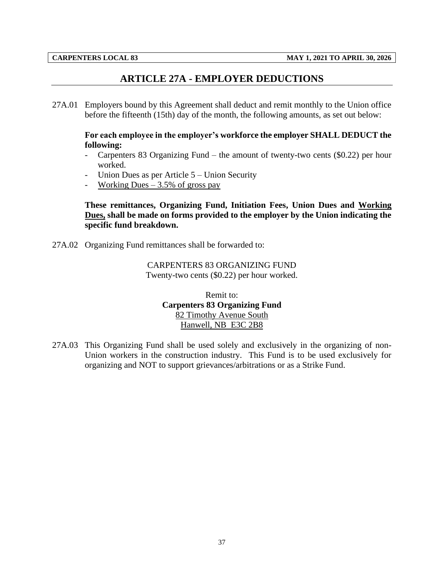# **ARTICLE 27A - EMPLOYER DEDUCTIONS**

27A.01 Employers bound by this Agreement shall deduct and remit monthly to the Union office before the fifteenth (15th) day of the month, the following amounts, as set out below:

#### **For each employee in the employer's workforce the employer SHALL DEDUCT the following:**

- Carpenters 83 Organizing Fund the amount of twenty-two cents (\$0.22) per hour worked.
- Union Dues as per Article  $5 -$ Union Security
- Working Dues 3.5% of gross pay

**These remittances, Organizing Fund, Initiation Fees, Union Dues and Working Dues, shall be made on forms provided to the employer by the Union indicating the specific fund breakdown.**

27A.02 Organizing Fund remittances shall be forwarded to:

CARPENTERS 83 ORGANIZING FUND Twenty-two cents (\$0.22) per hour worked.

> Remit to: **Carpenters 83 Organizing Fund** 82 Timothy Avenue South Hanwell, NB E3C 2B8

27A.03 This Organizing Fund shall be used solely and exclusively in the organizing of non-Union workers in the construction industry. This Fund is to be used exclusively for organizing and NOT to support grievances/arbitrations or as a Strike Fund.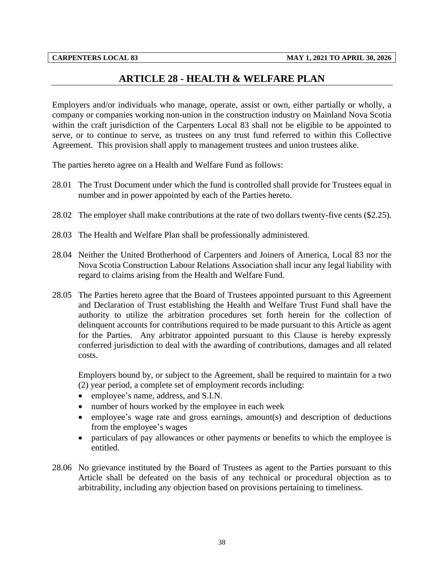# **ARTICLE 28 - HEALTH & WELFARE PLAN**

Employers and/or individuals who manage, operate, assist or own, either partially or wholly, a company or companies working non-union in the construction industry on Mainland Nova Scotia within the craft jurisdiction of the Carpenters Local 83 shall not be eligible to be appointed to serve, or to continue to serve, as trustees on any trust fund referred to within this Collective Agreement. This provision shall apply to management trustees and union trustees alike.

The parties hereto agree on a Health and Welfare Fund as follows:

- 28.01 The Trust Document under which the fund is controlled shall provide for Trustees equal in number and in power appointed by each of the Parties hereto.
- 28.02 The employer shall make contributions at the rate of two dollars twenty-five cents (\$2.25).
- 28.03 The Health and Welfare Plan shall be professionally administered.
- 28.04 Neither the United Brotherhood of Carpenters and Joiners of America, Local 83 nor the Nova Scotia Construction Labour Relations Association shall incur any legal liability with regard to claims arising from the Health and Welfare Fund.
- 28.05 The Parties hereto agree that the Board of Trustees appointed pursuant to this Agreement and Declaration of Trust establishing the Health and Welfare Trust Fund shall have the authority to utilize the arbitration procedures set forth herein for the collection of delinquent accounts for contributions required to be made pursuant to this Article as agent for the Parties. Any arbitrator appointed pursuant to this Clause is hereby expressly conferred jurisdiction to deal with the awarding of contributions, damages and all related costs.

Employers bound by, or subject to the Agreement, shall be required to maintain for a two (2) year period, a complete set of employment records including:

- employee's name, address, and S.I.N.
- number of hours worked by the employee in each week
- employee's wage rate and gross earnings, amount(s) and description of deductions from the employee's wages
- particulars of pay allowances or other payments or benefits to which the employee is entitled.
- 28.06 No grievance instituted by the Board of Trustees as agent to the Parties pursuant to this Article shall be defeated on the basis of any technical or procedural objection as to arbitrability, including any objection based on provisions pertaining to timeliness.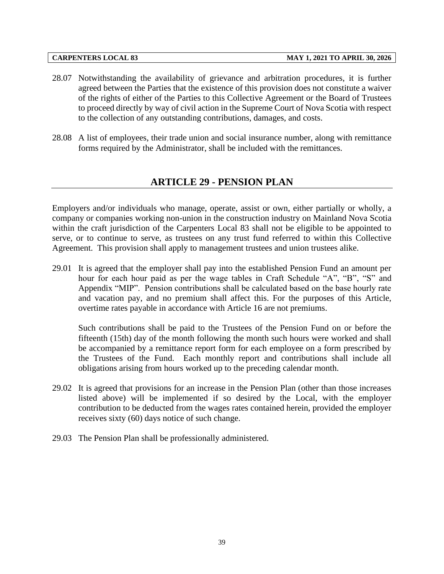- 28.07 Notwithstanding the availability of grievance and arbitration procedures, it is further agreed between the Parties that the existence of this provision does not constitute a waiver of the rights of either of the Parties to this Collective Agreement or the Board of Trustees to proceed directly by way of civil action in the Supreme Court of Nova Scotia with respect to the collection of any outstanding contributions, damages, and costs.
- 28.08 A list of employees, their trade union and social insurance number, along with remittance forms required by the Administrator, shall be included with the remittances.

# **ARTICLE 29 - PENSION PLAN**

Employers and/or individuals who manage, operate, assist or own, either partially or wholly, a company or companies working non-union in the construction industry on Mainland Nova Scotia within the craft jurisdiction of the Carpenters Local 83 shall not be eligible to be appointed to serve, or to continue to serve, as trustees on any trust fund referred to within this Collective Agreement. This provision shall apply to management trustees and union trustees alike.

29.01 It is agreed that the employer shall pay into the established Pension Fund an amount per hour for each hour paid as per the wage tables in Craft Schedule "A", "B", "S" and Appendix "MIP". Pension contributions shall be calculated based on the base hourly rate and vacation pay, and no premium shall affect this. For the purposes of this Article, overtime rates payable in accordance with Article 16 are not premiums.

Such contributions shall be paid to the Trustees of the Pension Fund on or before the fifteenth (15th) day of the month following the month such hours were worked and shall be accompanied by a remittance report form for each employee on a form prescribed by the Trustees of the Fund. Each monthly report and contributions shall include all obligations arising from hours worked up to the preceding calendar month.

- 29.02 It is agreed that provisions for an increase in the Pension Plan (other than those increases listed above) will be implemented if so desired by the Local, with the employer contribution to be deducted from the wages rates contained herein, provided the employer receives sixty (60) days notice of such change.
- 29.03 The Pension Plan shall be professionally administered.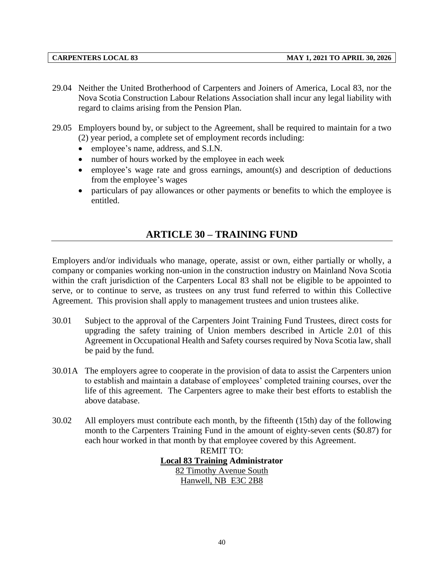- 29.04 Neither the United Brotherhood of Carpenters and Joiners of America, Local 83, nor the Nova Scotia Construction Labour Relations Association shall incur any legal liability with regard to claims arising from the Pension Plan.
- 29.05 Employers bound by, or subject to the Agreement, shall be required to maintain for a two (2) year period, a complete set of employment records including:
	- employee's name, address, and S.I.N.
	- number of hours worked by the employee in each week
	- employee's wage rate and gross earnings, amount(s) and description of deductions from the employee's wages
	- particulars of pay allowances or other payments or benefits to which the employee is entitled.

# **ARTICLE 30 – TRAINING FUND**

Employers and/or individuals who manage, operate, assist or own, either partially or wholly, a company or companies working non-union in the construction industry on Mainland Nova Scotia within the craft jurisdiction of the Carpenters Local 83 shall not be eligible to be appointed to serve, or to continue to serve, as trustees on any trust fund referred to within this Collective Agreement. This provision shall apply to management trustees and union trustees alike.

- 30.01 Subject to the approval of the Carpenters Joint Training Fund Trustees, direct costs for upgrading the safety training of Union members described in Article 2.01 of this Agreement in Occupational Health and Safety courses required by Nova Scotia law, shall be paid by the fund.
- 30.01A The employers agree to cooperate in the provision of data to assist the Carpenters union to establish and maintain a database of employees' completed training courses, over the life of this agreement. The Carpenters agree to make their best efforts to establish the above database.
- 30.02 All employers must contribute each month, by the fifteenth (15th) day of the following month to the Carpenters Training Fund in the amount of eighty-seven cents (\$0.87) for each hour worked in that month by that employee covered by this Agreement.

REMIT TO: **Local 83 Training Administrator** 82 Timothy Avenue South Hanwell, NB E3C 2B8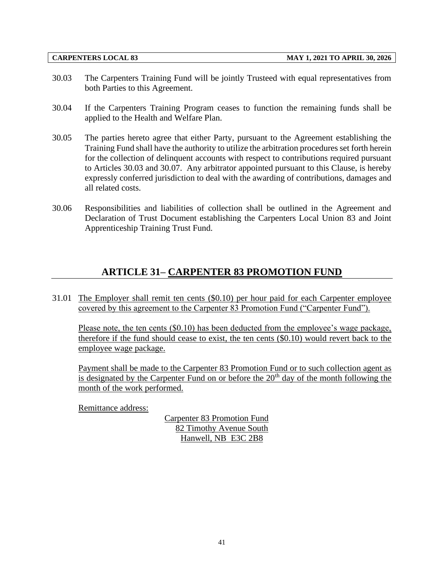- 30.03 The Carpenters Training Fund will be jointly Trusteed with equal representatives from both Parties to this Agreement.
- 30.04 If the Carpenters Training Program ceases to function the remaining funds shall be applied to the Health and Welfare Plan.
- 30.05 The parties hereto agree that either Party, pursuant to the Agreement establishing the Training Fund shall have the authority to utilize the arbitration procedures set forth herein for the collection of delinquent accounts with respect to contributions required pursuant to Articles 30.03 and 30.07. Any arbitrator appointed pursuant to this Clause, is hereby expressly conferred jurisdiction to deal with the awarding of contributions, damages and all related costs.
- 30.06 Responsibilities and liabilities of collection shall be outlined in the Agreement and Declaration of Trust Document establishing the Carpenters Local Union 83 and Joint Apprenticeship Training Trust Fund.

# **ARTICLE 31– CARPENTER 83 PROMOTION FUND**

31.01 The Employer shall remit ten cents (\$0.10) per hour paid for each Carpenter employee covered by this agreement to the Carpenter 83 Promotion Fund ("Carpenter Fund").

Please note, the ten cents (\$0.10) has been deducted from the employee's wage package, therefore if the fund should cease to exist, the ten cents (\$0.10) would revert back to the employee wage package.

Payment shall be made to the Carpenter 83 Promotion Fund or to such collection agent as is designated by the Carpenter Fund on or before the  $20<sup>th</sup>$  day of the month following the month of the work performed.

Remittance address:

Carpenter 83 Promotion Fund 82 Timothy Avenue South Hanwell, NB E3C 2B8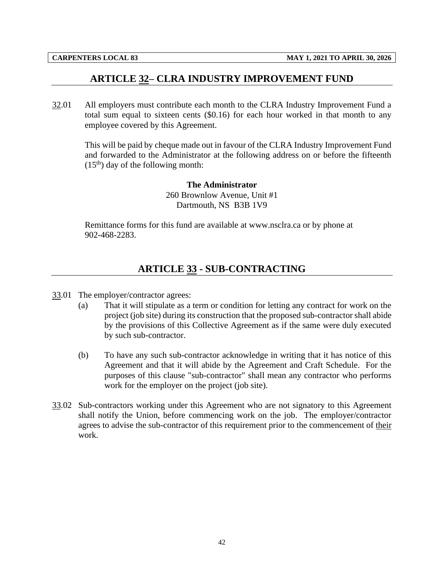# **ARTICLE 32– CLRA INDUSTRY IMPROVEMENT FUND**

32.01 All employers must contribute each month to the CLRA Industry Improvement Fund a total sum equal to sixteen cents (\$0.16) for each hour worked in that month to any employee covered by this Agreement.

This will be paid by cheque made out in favour of the CLRA Industry Improvement Fund and forwarded to the Administrator at the following address on or before the fifteenth  $(15<sup>th</sup>)$  day of the following month:

> **The Administrator** 260 Brownlow Avenue, Unit #1 Dartmouth, NS B3B 1V9

Remittance forms for this fund are available at www.nsclra.ca or by phone at 902-468-2283.

# **ARTICLE 33 - SUB-CONTRACTING**

- 33.01 The employer/contractor agrees:
	- (a) That it will stipulate as a term or condition for letting any contract for work on the project (job site) during its construction that the proposed sub-contractor shall abide by the provisions of this Collective Agreement as if the same were duly executed by such sub-contractor.
	- (b) To have any such sub-contractor acknowledge in writing that it has notice of this Agreement and that it will abide by the Agreement and Craft Schedule. For the purposes of this clause "sub-contractor" shall mean any contractor who performs work for the employer on the project (job site).
- 33.02 Sub-contractors working under this Agreement who are not signatory to this Agreement shall notify the Union, before commencing work on the job. The employer/contractor agrees to advise the sub-contractor of this requirement prior to the commencement of their work.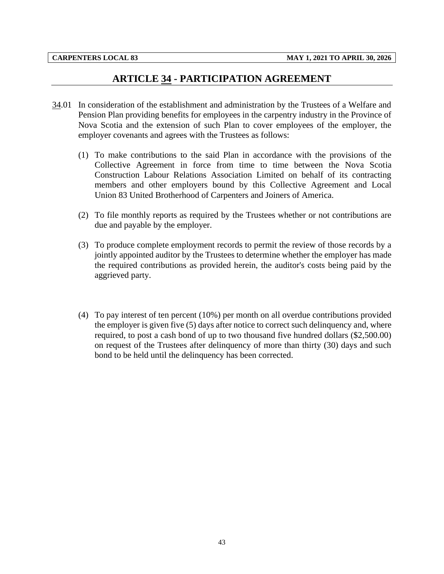# **ARTICLE 34 - PARTICIPATION AGREEMENT**

- 34.01 In consideration of the establishment and administration by the Trustees of a Welfare and Pension Plan providing benefits for employees in the carpentry industry in the Province of Nova Scotia and the extension of such Plan to cover employees of the employer, the employer covenants and agrees with the Trustees as follows:
	- (1) To make contributions to the said Plan in accordance with the provisions of the Collective Agreement in force from time to time between the Nova Scotia Construction Labour Relations Association Limited on behalf of its contracting members and other employers bound by this Collective Agreement and Local Union 83 United Brotherhood of Carpenters and Joiners of America.
	- (2) To file monthly reports as required by the Trustees whether or not contributions are due and payable by the employer.
	- (3) To produce complete employment records to permit the review of those records by a jointly appointed auditor by the Trustees to determine whether the employer has made the required contributions as provided herein, the auditor's costs being paid by the aggrieved party.
	- (4) To pay interest of ten percent (10%) per month on all overdue contributions provided the employer is given five (5) days after notice to correct such delinquency and, where required, to post a cash bond of up to two thousand five hundred dollars (\$2,500.00) on request of the Trustees after delinquency of more than thirty (30) days and such bond to be held until the delinquency has been corrected.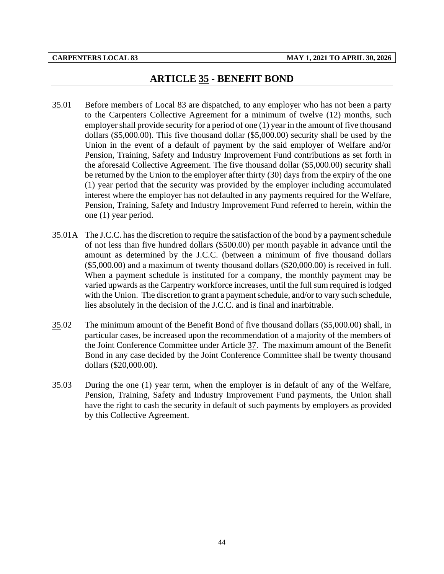# **ARTICLE 35 - BENEFIT BOND**

- 35.01 Before members of Local 83 are dispatched, to any employer who has not been a party to the Carpenters Collective Agreement for a minimum of twelve (12) months, such employer shall provide security for a period of one (1) year in the amount of five thousand dollars (\$5,000.00). This five thousand dollar (\$5,000.00) security shall be used by the Union in the event of a default of payment by the said employer of Welfare and/or Pension, Training, Safety and Industry Improvement Fund contributions as set forth in the aforesaid Collective Agreement. The five thousand dollar (\$5,000.00) security shall be returned by the Union to the employer after thirty (30) days from the expiry of the one (1) year period that the security was provided by the employer including accumulated interest where the employer has not defaulted in any payments required for the Welfare, Pension, Training, Safety and Industry Improvement Fund referred to herein, within the one (1) year period.
- 35.01A The J.C.C. has the discretion to require the satisfaction of the bond by a payment schedule of not less than five hundred dollars (\$500.00) per month payable in advance until the amount as determined by the J.C.C. (between a minimum of five thousand dollars (\$5,000.00) and a maximum of twenty thousand dollars (\$20,000.00) is received in full. When a payment schedule is instituted for a company, the monthly payment may be varied upwards as the Carpentry workforce increases, until the full sum required is lodged with the Union. The discretion to grant a payment schedule, and/or to vary such schedule, lies absolutely in the decision of the J.C.C. and is final and inarbitrable.
- 35.02 The minimum amount of the Benefit Bond of five thousand dollars (\$5,000.00) shall, in particular cases, be increased upon the recommendation of a majority of the members of the Joint Conference Committee under Article 37. The maximum amount of the Benefit Bond in any case decided by the Joint Conference Committee shall be twenty thousand dollars (\$20,000.00).
- 35.03 During the one (1) year term, when the employer is in default of any of the Welfare, Pension, Training, Safety and Industry Improvement Fund payments, the Union shall have the right to cash the security in default of such payments by employers as provided by this Collective Agreement.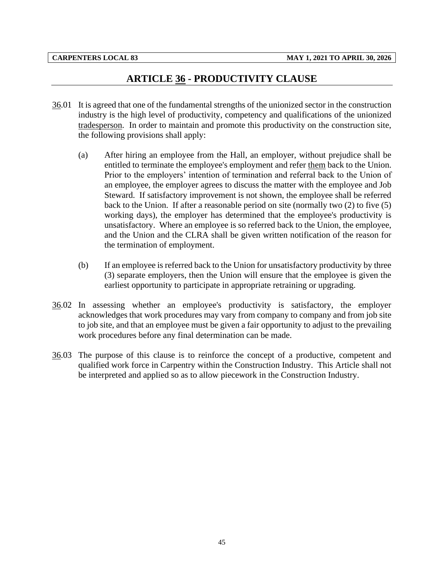# **ARTICLE 36 - PRODUCTIVITY CLAUSE**

- 36.01 It is agreed that one of the fundamental strengths of the unionized sector in the construction industry is the high level of productivity, competency and qualifications of the unionized tradesperson. In order to maintain and promote this productivity on the construction site, the following provisions shall apply:
	- (a) After hiring an employee from the Hall, an employer, without prejudice shall be entitled to terminate the employee's employment and refer them back to the Union. Prior to the employers' intention of termination and referral back to the Union of an employee, the employer agrees to discuss the matter with the employee and Job Steward. If satisfactory improvement is not shown, the employee shall be referred back to the Union. If after a reasonable period on site (normally two (2) to five (5) working days), the employer has determined that the employee's productivity is unsatisfactory. Where an employee is so referred back to the Union, the employee, and the Union and the CLRA shall be given written notification of the reason for the termination of employment.
	- (b) If an employee is referred back to the Union for unsatisfactory productivity by three (3) separate employers, then the Union will ensure that the employee is given the earliest opportunity to participate in appropriate retraining or upgrading.
- 36.02 In assessing whether an employee's productivity is satisfactory, the employer acknowledges that work procedures may vary from company to company and from job site to job site, and that an employee must be given a fair opportunity to adjust to the prevailing work procedures before any final determination can be made.
- 36.03 The purpose of this clause is to reinforce the concept of a productive, competent and qualified work force in Carpentry within the Construction Industry. This Article shall not be interpreted and applied so as to allow piecework in the Construction Industry.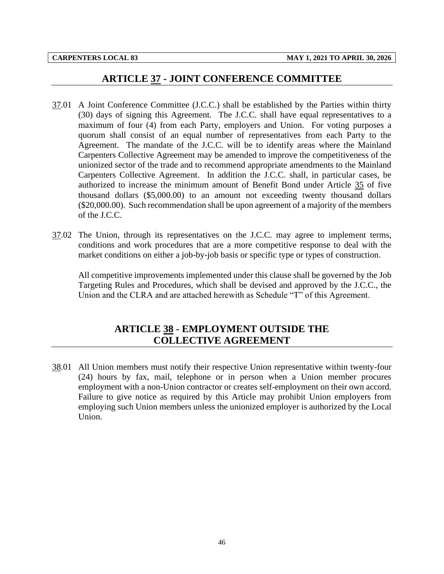# **ARTICLE 37 - JOINT CONFERENCE COMMITTEE**

- 37.01 A Joint Conference Committee (J.C.C.) shall be established by the Parties within thirty (30) days of signing this Agreement. The J.C.C. shall have equal representatives to a maximum of four (4) from each Party, employers and Union. For voting purposes a quorum shall consist of an equal number of representatives from each Party to the Agreement. The mandate of the J.C.C. will be to identify areas where the Mainland Carpenters Collective Agreement may be amended to improve the competitiveness of the unionized sector of the trade and to recommend appropriate amendments to the Mainland Carpenters Collective Agreement. In addition the J.C.C. shall, in particular cases, be authorized to increase the minimum amount of Benefit Bond under Article 35 of five thousand dollars (\$5,000.00) to an amount not exceeding twenty thousand dollars (\$20,000.00). Such recommendation shall be upon agreement of a majority of the members of the J.C.C.
- 37.02 The Union, through its representatives on the J.C.C. may agree to implement terms, conditions and work procedures that are a more competitive response to deal with the market conditions on either a job-by-job basis or specific type or types of construction.

All competitive improvements implemented under this clause shall be governed by the Job Targeting Rules and Procedures, which shall be devised and approved by the J.C.C., the Union and the CLRA and are attached herewith as Schedule "T" of this Agreement.

# **ARTICLE 38 - EMPLOYMENT OUTSIDE THE COLLECTIVE AGREEMENT**

38.01 All Union members must notify their respective Union representative within twenty-four (24) hours by fax, mail, telephone or in person when a Union member procures employment with a non-Union contractor or creates self-employment on their own accord. Failure to give notice as required by this Article may prohibit Union employers from employing such Union members unless the unionized employer is authorized by the Local Union.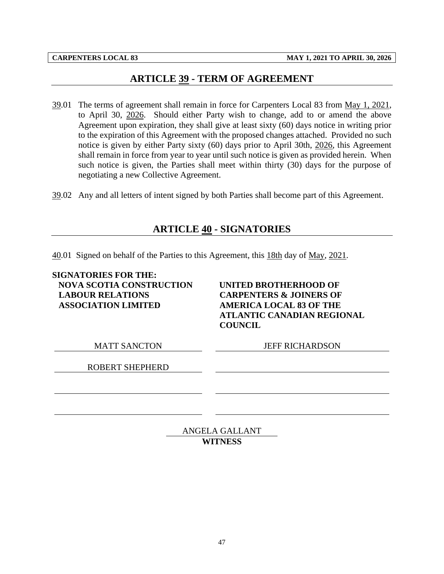# **ARTICLE 39 - TERM OF AGREEMENT**

- 39.01 The terms of agreement shall remain in force for Carpenters Local 83 from May 1, 2021, to April 30, 2026. Should either Party wish to change, add to or amend the above Agreement upon expiration, they shall give at least sixty (60) days notice in writing prior to the expiration of this Agreement with the proposed changes attached. Provided no such notice is given by either Party sixty (60) days prior to April 30th, 2026, this Agreement shall remain in force from year to year until such notice is given as provided herein. When such notice is given, the Parties shall meet within thirty (30) days for the purpose of negotiating a new Collective Agreement.
- 39.02 Any and all letters of intent signed by both Parties shall become part of this Agreement.

# **ARTICLE 40 - SIGNATORIES**

40.01 Signed on behalf of the Parties to this Agreement, this 18th day of May, 2021.

## **SIGNATORIES FOR THE: NOVA SCOTIA CONSTRUCTION LABOUR RELATIONS ASSOCIATION LIMITED**

**UNITED BROTHERHOOD OF CARPENTERS & JOINERS OF AMERICA LOCAL 83 OF THE ATLANTIC CANADIAN REGIONAL COUNCIL**

MATT SANCTON JEFF RICHARDSON

ROBERT SHEPHERD

ANGELA GALLANT **WITNESS**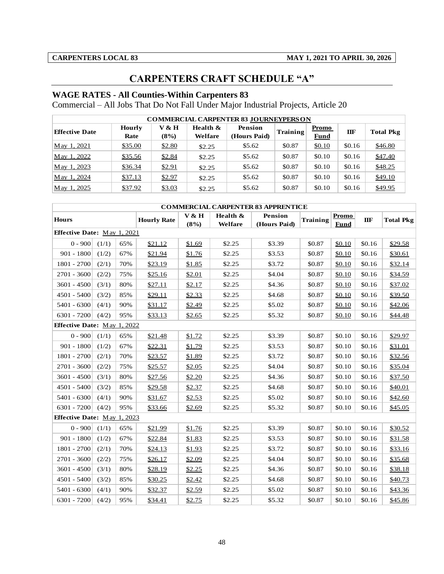# **CARPENTERS CRAFT SCHEDULE "A"**

# **WAGE RATES - All Counties-Within Carpenters 83**

Commercial – All Jobs That Do Not Fall Under Major Industrial Projects, Article 20

|                       | <b>COMMERCIAL CARPENTER 83 JOURNEYPERS ON</b> |               |                     |                                |          |               |         |                  |  |  |  |  |
|-----------------------|-----------------------------------------------|---------------|---------------------|--------------------------------|----------|---------------|---------|------------------|--|--|--|--|
| <b>Effective Date</b> | Hourly<br>Rate                                | V & H<br>(8%) | Health &<br>Welfare | <b>Pension</b><br>(Hours Paid) | Training | Promo<br>Fund | $\Pi$ F | <b>Total Pkg</b> |  |  |  |  |
| May 1, 2021           | \$35.00                                       | \$2.80        | \$2.25              | \$5.62                         | \$0.87   | \$0.10        | \$0.16  | \$46.80          |  |  |  |  |
| May 1, 2022           | \$35.56                                       | \$2.84        | \$2.25              | \$5.62                         | \$0.87   | \$0.10        | \$0.16  | \$47.40          |  |  |  |  |
| May 1, 2023           | \$36.34                                       | \$2.91        | \$2.25              | \$5.62                         | \$0.87   | \$0.10        | \$0.16  | \$48.25          |  |  |  |  |
| May 1, 2024           | \$37.13                                       | \$2.97        | \$2.25              | \$5.62                         | \$0.87   | \$0.10        | \$0.16  | \$49.10          |  |  |  |  |
| May 1, 2025           | \$37.92                                       | \$3.03        | \$2.25              | \$5.62                         | \$0.87   | \$0.10        | \$0.16  | \$49.95          |  |  |  |  |

|                                    |       |     |                    |               |                     | <b>COMMERCIAL CARPENTER 83 APPRENTICE</b> |                 |                             |        |                  |
|------------------------------------|-------|-----|--------------------|---------------|---------------------|-------------------------------------------|-----------------|-----------------------------|--------|------------------|
| <b>Hours</b>                       |       |     | <b>Hourly Rate</b> | V & H<br>(8%) | Health &<br>Welfare | <b>Pension</b><br>(Hours Paid)            | <b>Training</b> | <b>Promo</b><br><b>Fund</b> | IIF    | <b>Total Pkg</b> |
| <b>Effective Date:</b> May 1, 2021 |       |     |                    |               |                     |                                           |                 |                             |        |                  |
| $0 - 900$                          | (1/1) | 65% | \$21.12            | \$1.69        | \$2.25              | \$3.39                                    | \$0.87          | \$0.10                      | \$0.16 | \$29.58          |
| $901 - 1800$                       | (1/2) | 67% | \$21.94            | \$1.76        | \$2.25              | \$3.53                                    | \$0.87          | \$0.10                      | \$0.16 | \$30.61          |
| 1801 - 2700                        | (2/1) | 70% | \$23.19            | \$1.85        | \$2.25              | \$3.72                                    | \$0.87          | \$0.10                      | \$0.16 | \$32.14          |
| 2701 - 3600                        | (2/2) | 75% | \$25.16            | \$2.01        | \$2.25              | \$4.04                                    | \$0.87          | \$0.10                      | \$0.16 | \$34.59          |
| $3601 - 4500$                      | (3/1) | 80% | \$27.11            | \$2.17        | \$2.25              | \$4.36                                    | \$0.87          | \$0.10                      | \$0.16 | \$37.02          |
| 4501 - 5400                        | (3/2) | 85% | \$29.11            | \$2.33        | \$2.25              | \$4.68                                    | \$0.87          | \$0.10                      | \$0.16 | \$39.50          |
| 5401 - 6300                        | (4/1) | 90% | \$31.17            | \$2.49        | \$2.25              | \$5.02                                    | \$0.87          | \$0.10                      | \$0.16 | \$42.06          |
| 6301 - 7200                        | (4/2) | 95% | \$33.13            | \$2.65        | \$2.25              | \$5.32                                    | \$0.87          | \$0.10                      | \$0.16 | \$44.48          |
| <b>Effective Date:</b> May 1, 2022 |       |     |                    |               |                     |                                           |                 |                             |        |                  |
| $0 - 900$                          | (1/1) | 65% | \$21.48            | \$1.72        | \$2.25              | \$3.39                                    | \$0.87          | \$0.10                      | \$0.16 | \$29.97          |
| $901 - 1800$                       | (1/2) | 67% | \$22.31            | \$1.79        | \$2.25              | \$3.53                                    | \$0.87          | \$0.10                      | \$0.16 | \$31.01          |
| 1801 - 2700                        | (2/1) | 70% | \$23.57            | \$1.89        | \$2.25              | \$3.72                                    | \$0.87          | \$0.10                      | \$0.16 | \$32.56          |
| 2701 - 3600                        | (2/2) | 75% | \$25.57            | \$2.05        | \$2.25              | \$4.04                                    | \$0.87          | \$0.10                      | \$0.16 | \$35.04          |
| 3601 - 4500                        | (3/1) | 80% | \$27.56            | \$2.20        | \$2.25              | \$4.36                                    | \$0.87          | \$0.10                      | \$0.16 | \$37.50          |
| 4501 - 5400                        | (3/2) | 85% | \$29.58            | \$2.37        | \$2.25              | \$4.68                                    | \$0.87          | \$0.10                      | \$0.16 | \$40.01          |
| 5401 - 6300                        | (4/1) | 90% | \$31.67            | \$2.53        | \$2.25              | \$5.02                                    | \$0.87          | \$0.10                      | \$0.16 | \$42.60          |
| 6301 - 7200                        | (4/2) | 95% | \$33.66            | \$2.69        | \$2.25              | \$5.32                                    | \$0.87          | \$0.10                      | \$0.16 | \$45.05          |
| Effective Date: May 1, 2023        |       |     |                    |               |                     |                                           |                 |                             |        |                  |
| $0 - 900$                          | (1/1) | 65% | \$21.99            | \$1.76        | \$2.25              | \$3.39                                    | \$0.87          | \$0.10                      | \$0.16 | \$30.52          |
| $901 - 1800$                       | (1/2) | 67% | \$22.84            | \$1.83        | \$2.25              | \$3.53                                    | \$0.87          | \$0.10                      | \$0.16 | \$31.58          |
| 1801 - 2700                        | (2/1) | 70% | \$24.13            | \$1.93        | \$2.25              | \$3.72                                    | \$0.87          | \$0.10                      | \$0.16 | \$33.16          |
| $2701 - 3600$                      | (2/2) | 75% | \$26.17            | \$2.09        | \$2.25              | \$4.04                                    | \$0.87          | \$0.10                      | \$0.16 | \$35.68          |
| $3601 - 4500$                      | (3/1) | 80% | \$28.19            | \$2.25        | \$2.25              | \$4.36                                    | \$0.87          | \$0.10                      | \$0.16 | \$38.18          |
| 4501 - 5400                        | (3/2) | 85% | \$30.25            | \$2.42        | \$2.25              | \$4.68                                    | \$0.87          | \$0.10                      | \$0.16 | \$40.73          |
| 5401 - 6300                        | (4/1) | 90% | \$32.37            | \$2.59        | \$2.25              | \$5.02                                    | \$0.87          | \$0.10                      | \$0.16 | \$43.36          |
| 6301 - 7200                        | (4/2) | 95% | \$34.41            | \$2.75        | \$2.25              | \$5.32                                    | \$0.87          | \$0.10                      | \$0.16 | \$45.86          |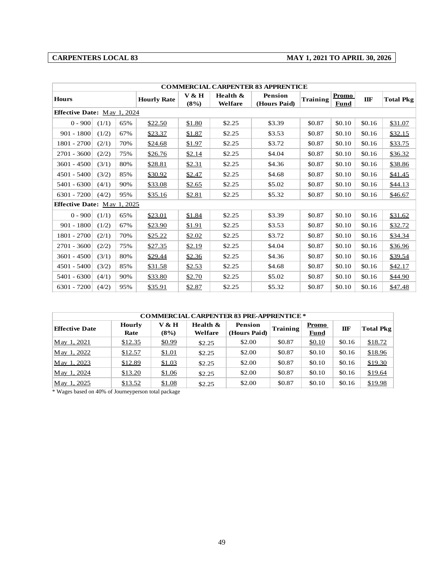# **CARPENTERS LOCAL 83 MAY 1, 2021 TO APRIL 30, 2026**

|                                    |       |     |                    |               |                     | <b>COMMERCIAL CARPENTER 83 APPRENTICE</b> |                 |                      |        |                  |
|------------------------------------|-------|-----|--------------------|---------------|---------------------|-------------------------------------------|-----------------|----------------------|--------|------------------|
| <b>Hours</b>                       |       |     | <b>Hourly Rate</b> | V & H<br>(8%) | Health &<br>Welfare | <b>Pension</b><br>(Hours Paid)            | <b>Training</b> | <b>Promo</b><br>Fund | IIF    | <b>Total Pkg</b> |
| <b>Effective Date:</b> May 1, 2024 |       |     |                    |               |                     |                                           |                 |                      |        |                  |
| $0 - 900$                          | (1/1) | 65% | \$22.50            | \$1.80        | \$2.25              | \$3.39                                    | \$0.87          | \$0.10               | \$0.16 | \$31.07          |
| $901 - 1800$                       | (1/2) | 67% | \$23.37            | \$1.87        | \$2.25              | \$3.53                                    | \$0.87          | \$0.10               | \$0.16 | \$32.15          |
| 1801 - 2700                        | (2/1) | 70% | \$24.68            | \$1.97        | \$2.25              | \$3.72                                    | \$0.87          | \$0.10               | \$0.16 | \$33.75          |
| 2701 - 3600                        | (2/2) | 75% | \$26.76            | \$2.14        | \$2.25              | \$4.04                                    | \$0.87          | \$0.10               | \$0.16 | \$36.32          |
| 3601 - 4500                        | (3/1) | 80% | \$28.81            | \$2.31        | \$2.25              | \$4.36                                    | \$0.87          | \$0.10               | \$0.16 | \$38.86          |
| 4501 - 5400                        | (3/2) | 85% | \$30.92            | \$2.47        | \$2.25              | \$4.68                                    | \$0.87          | \$0.10               | \$0.16 | \$41.45          |
| 5401 - 6300                        | (4/1) | 90% | \$33.08            | \$2.65        | \$2.25              | \$5.02                                    | \$0.87          | \$0.10               | \$0.16 | \$44.13          |
| 6301 - 7200                        | (4/2) | 95% | \$35.16            | \$2.81        | \$2.25              | \$5.32                                    | \$0.87          | \$0.10               | \$0.16 | \$46.67          |
| <b>Effective Date:</b> May 1, 2025 |       |     |                    |               |                     |                                           |                 |                      |        |                  |
| $0 - 900$                          | (1/1) | 65% | \$23.01            | \$1.84        | \$2.25              | \$3.39                                    | \$0.87          | \$0.10               | \$0.16 | \$31.62          |
| $901 - 1800$                       | (1/2) | 67% | \$23.90            | \$1.91        | \$2.25              | \$3.53                                    | \$0.87          | \$0.10               | \$0.16 | \$32.72          |
| 1801 - 2700                        | (2/1) | 70% | \$25.22            | \$2.02        | \$2.25              | \$3.72                                    | \$0.87          | \$0.10               | \$0.16 | \$34.34          |
| 2701 - 3600                        | (2/2) | 75% | \$27.35            | \$2.19        | \$2.25              | \$4.04                                    | \$0.87          | \$0.10               | \$0.16 | \$36.96          |
| 3601 - 4500                        | (3/1) | 80% | \$29.44            | \$2.36        | \$2.25              | \$4.36                                    | \$0.87          | \$0.10               | \$0.16 | \$39.54          |
| 4501 - 5400                        | (3/2) | 85% | \$31.58            | \$2.53        | \$2.25              | \$4.68                                    | \$0.87          | \$0.10               | \$0.16 | \$42.17          |
| 5401 - 6300                        | (4/1) | 90% | \$33.80            | \$2.70        | \$2.25              | \$5.02                                    | \$0.87          | \$0.10               | \$0.16 | \$44.90          |
| 6301 - 7200                        | (4/2) | 95% | \$35.91            | \$2.87        | \$2.25              | \$5.32                                    | \$0.87          | \$0.10               | \$0.16 | \$47.48          |

| <b>COMMERCIAL CARPENTER 83 PRE-APPRENTICE *</b> |                |               |                     |                                |          |                      |         |                  |  |  |  |
|-------------------------------------------------|----------------|---------------|---------------------|--------------------------------|----------|----------------------|---------|------------------|--|--|--|
| <b>Effective Date</b>                           | Hourly<br>Rate | V & H<br>(8%) | Health &<br>Welfare | <b>Pension</b><br>(Hours Paid) | Training | Promo<br><b>Fund</b> | $\Pi$ F | <b>Total Pkg</b> |  |  |  |
| May 1, 2021                                     | \$12.35        | \$0.99        | \$2.25              | \$2.00                         | \$0.87   | \$0.10               | \$0.16  | \$18.72          |  |  |  |
| May 1, 2022                                     | \$12.57        | \$1.01        | \$2.25              | \$2.00                         | \$0.87   | \$0.10               | \$0.16  | \$18.96          |  |  |  |
| May 1, 2023                                     | \$12.89        | \$1.03        | \$2.25              | \$2.00                         | \$0.87   | \$0.10               | \$0.16  | \$19.30          |  |  |  |
| May 1, 2024                                     | \$13.20        | \$1.06        | \$2.25              | \$2.00                         | \$0.87   | \$0.10               | \$0.16  | \$19.64          |  |  |  |
| May 1, 2025                                     | \$13.52        | \$1.08        | \$2.25              | \$2.00                         | \$0.87   | \$0.10               | \$0.16  | \$19.98          |  |  |  |

\* Wages based on 40% of Journeyperson total package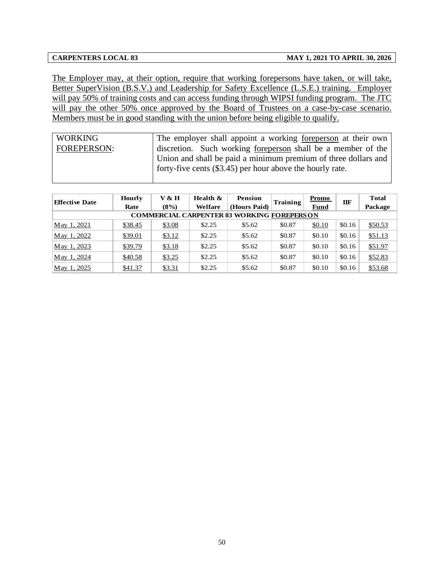The Employer may, at their option, require that working forepersons have taken, or will take, Better SuperVision (B.S.V.) and Leadership for Safety Excellence (L.S.E.) training. Employer will pay 50% of training costs and can access funding through WIPSI funding program. The JTC will pay the other 50% once approved by the Board of Trustees on a case-by-case scenario. Members must be in good standing with the union before being eligible to qualify.

| <b>WORKING</b>     | The employer shall appoint a working foreperson at their own   |
|--------------------|----------------------------------------------------------------|
| <b>FOREPERSON:</b> | discretion. Such working foreperson shall be a member of the   |
|                    | Union and shall be paid a minimum premium of three dollars and |
|                    | forty-five cents (\$3.45) per hour above the hourly rate.      |
|                    |                                                                |

| <b>Effective Date</b> | <b>Hourly</b> | V & H  | Health $\&$ | <b>Pension</b>                                    | Training | Promo       | IIF    | <b>Total</b> |
|-----------------------|---------------|--------|-------------|---------------------------------------------------|----------|-------------|--------|--------------|
|                       | Rate          | (8%)   | Welfare     | (Hours Paid)                                      |          | <b>Fund</b> |        | Package      |
|                       |               |        |             | <b>COMMERCIAL CARPENTER 83 WORKING FOREPERSON</b> |          |             |        |              |
| May 1, 2021           | \$38.45       | \$3.08 | \$2.25      | \$5.62                                            | \$0.87   | \$0.10      | \$0.16 | \$50.53      |
| May 1, 2022           | \$39.01       | \$3.12 | \$2.25      | \$5.62                                            | \$0.87   | \$0.10      | \$0.16 | \$51.13      |
| May 1, 2023           | \$39.79       | \$3.18 | \$2.25      | \$5.62                                            | \$0.87   | \$0.10      | \$0.16 | \$51.97      |
| May 1, 2024           | \$40.58       | \$3.25 | \$2.25      | \$5.62                                            | \$0.87   | \$0.10      | \$0.16 | \$52.83      |
| May 1, 2025           | \$41.37       | \$3.31 | \$2.25      | \$5.62                                            | \$0.87   | \$0.10      | \$0.16 | \$53.68      |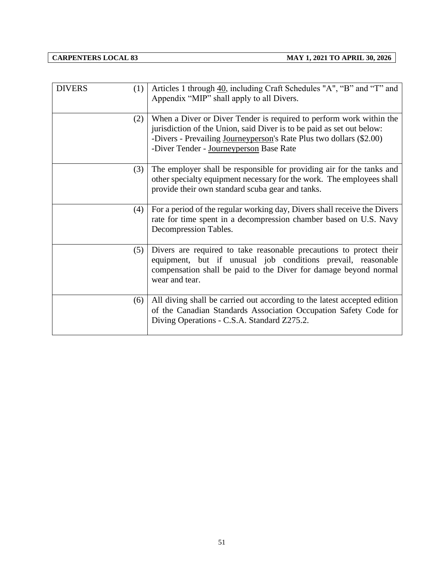| <b>DIVERS</b><br>(1) | Articles 1 through 40, including Craft Schedules "A", "B" and "T" and<br>Appendix "MIP" shall apply to all Divers.                                                                                                                                             |
|----------------------|----------------------------------------------------------------------------------------------------------------------------------------------------------------------------------------------------------------------------------------------------------------|
| (2)                  | When a Diver or Diver Tender is required to perform work within the<br>jurisdiction of the Union, said Diver is to be paid as set out below:<br>-Divers - Prevailing Journeyperson's Rate Plus two dollars (\$2.00)<br>-Diver Tender - Journeyperson Base Rate |
| (3)                  | The employer shall be responsible for providing air for the tanks and<br>other specialty equipment necessary for the work. The employees shall<br>provide their own standard scuba gear and tanks.                                                             |
| (4)                  | For a period of the regular working day, Divers shall receive the Divers<br>rate for time spent in a decompression chamber based on U.S. Navy<br>Decompression Tables.                                                                                         |
| (5)                  | Divers are required to take reasonable precautions to protect their<br>equipment, but if unusual job conditions prevail, reasonable<br>compensation shall be paid to the Diver for damage beyond normal<br>wear and tear.                                      |
| (6)                  | All diving shall be carried out according to the latest accepted edition<br>of the Canadian Standards Association Occupation Safety Code for<br>Diving Operations - C.S.A. Standard Z275.2.                                                                    |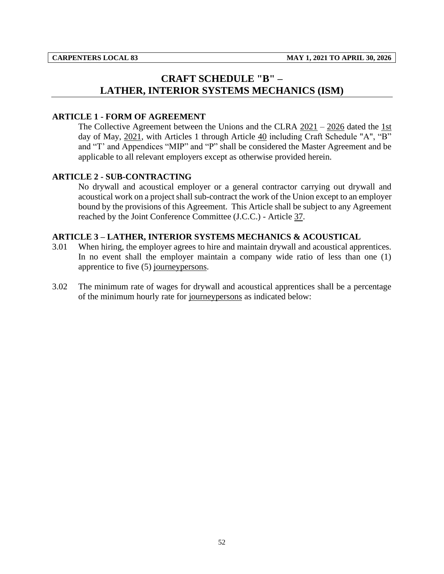# **CRAFT SCHEDULE "B" – LATHER, INTERIOR SYSTEMS MECHANICS (ISM)**

### **ARTICLE 1 - FORM OF AGREEMENT**

The Collective Agreement between the Unions and the CLRA 2021 – 2026 dated the 1st day of May, 2021, with Articles 1 through Article 40 including Craft Schedule "A", "B" and "T' and Appendices "MIP" and "P" shall be considered the Master Agreement and be applicable to all relevant employers except as otherwise provided herein.

### **ARTICLE 2 - SUB-CONTRACTING**

No drywall and acoustical employer or a general contractor carrying out drywall and acoustical work on a project shall sub-contract the work of the Union except to an employer bound by the provisions of this Agreement. This Article shall be subject to any Agreement reached by the Joint Conference Committee (J.C.C.) - Article 37.

### **ARTICLE 3 – LATHER, INTERIOR SYSTEMS MECHANICS & ACOUSTICAL**

- 3.01 When hiring, the employer agrees to hire and maintain drywall and acoustical apprentices. In no event shall the employer maintain a company wide ratio of less than one (1) apprentice to five (5) journeypersons.
- 3.02 The minimum rate of wages for drywall and acoustical apprentices shall be a percentage of the minimum hourly rate for journeypersons as indicated below: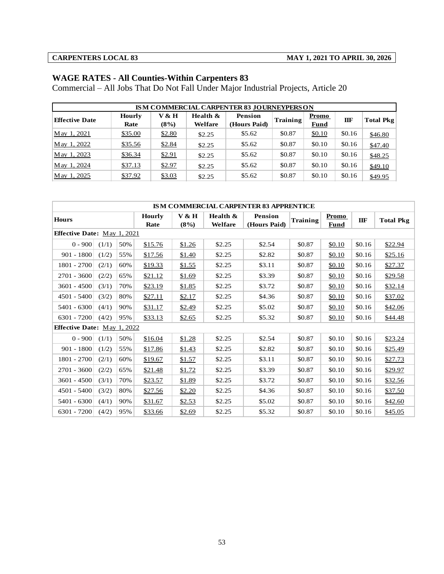# **WAGE RATES - All Counties-Within Carpenters 83**

Commercial – All Jobs That Do Not Fall Under Major Industrial Projects, Article 20

| ISM COMMERCIAL CARPENTER 83 JOURNEYPERSON |                       |               |                     |                         |                 |                      |         |                  |  |  |  |
|-------------------------------------------|-----------------------|---------------|---------------------|-------------------------|-----------------|----------------------|---------|------------------|--|--|--|
| <b>Effective Date</b>                     | <b>Hourly</b><br>Rate | V & H<br>(8%) | Health &<br>Welfare | Pension<br>(Hours Paid) | <b>Training</b> | Promo<br><b>Fund</b> | $\Pi$ F | <b>Total Pkg</b> |  |  |  |
| May 1, 2021                               | \$35.00               | \$2.80        | \$2.25              | \$5.62                  | \$0.87          | \$0.10               | \$0.16  | \$46.80          |  |  |  |
| May 1, 2022                               | \$35.56               | \$2.84        | \$2.25              | \$5.62                  | \$0.87          | \$0.10               | \$0.16  | \$47.40          |  |  |  |
| May 1, 2023                               | \$36.34               | \$2.91        | \$2.25              | \$5.62                  | \$0.87          | \$0.10               | \$0.16  | \$48.25          |  |  |  |
| May 1, 2024                               | \$37.13               | \$2.97        | \$2.25              | \$5.62                  | \$0.87          | \$0.10               | \$0.16  | \$49.10          |  |  |  |
| May 1, 2025                               | \$37.92               | \$3.03        | \$2.25              | \$5.62                  | \$0.87          | \$0.10               | \$0.16  | \$49.95          |  |  |  |

|                                    | <b>ISM COMMERCIAL CARPENTER 83 APPRENTICE</b> |     |                       |               |                        |                                |                 |                             |        |                  |  |  |  |
|------------------------------------|-----------------------------------------------|-----|-----------------------|---------------|------------------------|--------------------------------|-----------------|-----------------------------|--------|------------------|--|--|--|
| <b>Hours</b>                       |                                               |     | <b>Hourly</b><br>Rate | V & H<br>(8%) | Health $\&$<br>Welfare | <b>Pension</b><br>(Hours Paid) | <b>Training</b> | <b>Promo</b><br><b>Fund</b> | IIF    | <b>Total Pkg</b> |  |  |  |
| <b>Effective Date:</b> May 1, 2021 |                                               |     |                       |               |                        |                                |                 |                             |        |                  |  |  |  |
| $0 - 900$                          | (1/1)                                         | 50% | \$15.76               | \$1.26        | \$2.25                 | \$2.54                         | \$0.87          | \$0.10                      | \$0.16 | \$22.94          |  |  |  |
| $901 - 1800$                       | (1/2)                                         | 55% | \$17.56               | \$1.40        | \$2.25                 | \$2.82                         | \$0.87          | \$0.10                      | \$0.16 | \$25.16          |  |  |  |
| 1801 - 2700                        | (2/1)                                         | 60% | \$19.33               | \$1.55        | \$2.25                 | \$3.11                         | \$0.87          | \$0.10                      | \$0.16 | \$27.37          |  |  |  |
| $2701 - 3600$                      | (2/2)                                         | 65% | \$21.12               | \$1.69        | \$2.25                 | \$3.39                         | \$0.87          | \$0.10                      | \$0.16 | \$29.58          |  |  |  |
| $3601 - 4500$                      | (3/1)                                         | 70% | \$23.19               | \$1.85        | \$2.25                 | \$3.72                         | \$0.87          | \$0.10                      | \$0.16 | \$32.14          |  |  |  |
| $4501 - 5400$                      | (3/2)                                         | 80% | \$27.11               | \$2.17        | \$2.25                 | \$4.36                         | \$0.87          | \$0.10                      | \$0.16 | \$37.02          |  |  |  |
| 5401 - 6300                        | (4/1)                                         | 90% | \$31.17               | \$2.49        | \$2.25                 | \$5.02                         | \$0.87          | \$0.10                      | \$0.16 | \$42.06          |  |  |  |
| 6301 - 7200                        | (4/2)                                         | 95% | \$33.13               | \$2.65        | \$2.25                 | \$5.32                         | \$0.87          | \$0.10                      | \$0.16 | \$44.48          |  |  |  |
| <b>Effective Date:</b> May 1, 2022 |                                               |     |                       |               |                        |                                |                 |                             |        |                  |  |  |  |
| $0 - 900$                          | (1/1)                                         | 50% | \$16.04               | \$1.28        | \$2.25                 | \$2.54                         | \$0.87          | \$0.10                      | \$0.16 | \$23.24          |  |  |  |
| $901 - 1800$                       | (1/2)                                         | 55% | \$17.86               | \$1.43        | \$2.25                 | \$2.82                         | \$0.87          | \$0.10                      | \$0.16 | \$25.49          |  |  |  |
| 1801 - 2700                        | (2/1)                                         | 60% | \$19.67               | \$1.57        | \$2.25                 | \$3.11                         | \$0.87          | \$0.10                      | \$0.16 | \$27.73          |  |  |  |
| 2701 - 3600                        | (2/2)                                         | 65% | \$21.48               | \$1.72        | \$2.25                 | \$3.39                         | \$0.87          | \$0.10                      | \$0.16 | \$29.97          |  |  |  |
| $3601 - 4500$                      | (3/1)                                         | 70% | \$23.57               | \$1.89        | \$2.25                 | \$3.72                         | \$0.87          | \$0.10                      | \$0.16 | \$32.56          |  |  |  |
| $4501 - 5400$                      | (3/2)                                         | 80% | \$27.56               | \$2.20        | \$2.25                 | \$4.36                         | \$0.87          | \$0.10                      | \$0.16 | \$37.50          |  |  |  |
| 5401 - 6300                        | (4/1)                                         | 90% | \$31.67               | \$2.53        | \$2.25                 | \$5.02                         | \$0.87          | \$0.10                      | \$0.16 | \$42.60          |  |  |  |
| 6301 - 7200                        | (4/2)                                         | 95% | \$33.66               | \$2.69        | \$2.25                 | \$5.32                         | \$0.87          | \$0.10                      | \$0.16 | \$45.05          |  |  |  |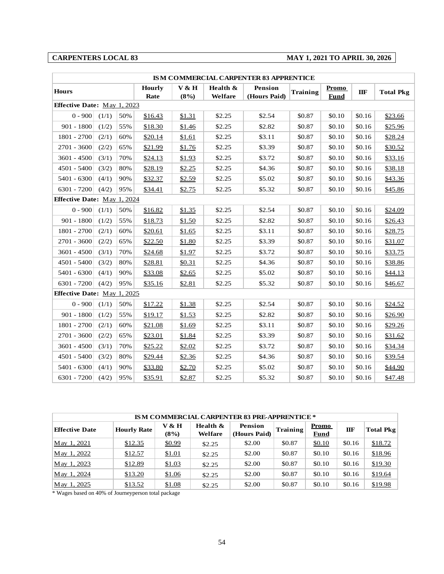# **CARPENTERS LOCAL 83 MAY 1, 2021 TO APRIL 30, 2026**

|                                    | ISM COMMERCIAL CARPENTER 83 APPRENTICE |     |                       |               |                     |                                |                 |                             |        |                  |  |  |  |
|------------------------------------|----------------------------------------|-----|-----------------------|---------------|---------------------|--------------------------------|-----------------|-----------------------------|--------|------------------|--|--|--|
| <b>Hours</b>                       |                                        |     | <b>Hourly</b><br>Rate | V & H<br>(8%) | Health &<br>Welfare | <b>Pension</b><br>(Hours Paid) | <b>Training</b> | <b>Promo</b><br><b>Fund</b> | IIF    | <b>Total Pkg</b> |  |  |  |
| <b>Effective Date:</b> May 1, 2023 |                                        |     |                       |               |                     |                                |                 |                             |        |                  |  |  |  |
| $0 - 900$                          | (1/1)                                  | 50% | \$16.43               | \$1.31        | \$2.25              | \$2.54                         | \$0.87          | \$0.10                      | \$0.16 | \$23.66          |  |  |  |
| $901 - 1800$                       | (1/2)                                  | 55% | \$18.30               | \$1.46        | \$2.25              | \$2.82                         | \$0.87          | \$0.10                      | \$0.16 | \$25.96          |  |  |  |
| 1801 - 2700                        | (2/1)                                  | 60% | \$20.14               | \$1.61        | \$2.25              | \$3.11                         | \$0.87          | \$0.10                      | \$0.16 | \$28.24          |  |  |  |
| 2701 - 3600                        | (2/2)                                  | 65% | \$21.99               | \$1.76        | \$2.25              | \$3.39                         | \$0.87          | \$0.10                      | \$0.16 | \$30.52          |  |  |  |
| $3601 - 4500$                      | (3/1)                                  | 70% | \$24.13               | \$1.93        | \$2.25              | \$3.72                         | \$0.87          | \$0.10                      | \$0.16 | \$33.16          |  |  |  |
| $4501 - 5400$                      | (3/2)                                  | 80% | \$28.19               | \$2.25        | \$2.25              | \$4.36                         | \$0.87          | \$0.10                      | \$0.16 | \$38.18          |  |  |  |
| $5401 - 6300$                      | (4/1)                                  | 90% | \$32.37               | \$2.59        | \$2.25              | \$5.02                         | \$0.87          | \$0.10                      | \$0.16 | \$43.36          |  |  |  |
| 6301 - 7200                        | (4/2)                                  | 95% | \$34.41               | \$2.75        | \$2.25              | \$5.32                         | \$0.87          | \$0.10                      | \$0.16 | \$45.86          |  |  |  |
| Effective Date: May 1, 2024        |                                        |     |                       |               |                     |                                |                 |                             |        |                  |  |  |  |
| $0 - 900$                          | (1/1)                                  | 50% | \$16.82               | \$1.35        | \$2.25              | \$2.54                         | \$0.87          | \$0.10                      | \$0.16 | \$24.09          |  |  |  |
| $901 - 1800$                       | (1/2)                                  | 55% | \$18.73               | \$1.50        | \$2.25              | \$2.82                         | \$0.87          | \$0.10                      | \$0.16 | \$26.43          |  |  |  |
| 1801 - 2700                        | (2/1)                                  | 60% | \$20.61               | \$1.65        | \$2.25              | \$3.11                         | \$0.87          | \$0.10                      | \$0.16 | \$28.75          |  |  |  |
| $2701 - 3600$                      | (2/2)                                  | 65% | \$22.50               | \$1.80        | \$2.25              | \$3.39                         | \$0.87          | \$0.10                      | \$0.16 | \$31.07          |  |  |  |
| $3601 - 4500$                      | (3/1)                                  | 70% | \$24.68               | \$1.97        | \$2.25              | \$3.72                         | \$0.87          | \$0.10                      | \$0.16 | \$33.75          |  |  |  |
| $4501 - 5400$                      | (3/2)                                  | 80% | \$28.81               | \$0.31        | \$2.25              | \$4.36                         | \$0.87          | \$0.10                      | \$0.16 | \$38.86          |  |  |  |
| $5401 - 6300$                      | (4/1)                                  | 90% | \$33.08               | \$2.65        | \$2.25              | \$5.02                         | \$0.87          | \$0.10                      | \$0.16 | \$44.13          |  |  |  |
| 6301 - 7200                        | (4/2)                                  | 95% | \$35.16               | \$2.81        | \$2.25              | \$5.32                         | \$0.87          | \$0.10                      | \$0.16 | \$46.67          |  |  |  |
| Effective Date: May 1, 2025        |                                        |     |                       |               |                     |                                |                 |                             |        |                  |  |  |  |
| $0 - 900$                          | (1/1)                                  | 50% | \$17.22               | \$1.38        | \$2.25              | \$2.54                         | \$0.87          | \$0.10                      | \$0.16 | \$24.52          |  |  |  |
| $901 - 1800$                       | (1/2)                                  | 55% | \$19.17               | \$1.53        | \$2.25              | \$2.82                         | \$0.87          | \$0.10                      | \$0.16 | \$26.90          |  |  |  |
| 1801 - 2700                        | (2/1)                                  | 60% | \$21.08               | \$1.69        | \$2.25              | \$3.11                         | \$0.87          | \$0.10                      | \$0.16 | \$29.26          |  |  |  |
| 2701 - 3600                        | (2/2)                                  | 65% | \$23.01               | \$1.84        | \$2.25              | \$3.39                         | \$0.87          | \$0.10                      | \$0.16 | \$31.62          |  |  |  |
| $3601 - 4500$                      | (3/1)                                  | 70% | \$25.22               | \$2.02        | \$2.25              | \$3.72                         | \$0.87          | \$0.10                      | \$0.16 | \$34.34          |  |  |  |
| $4501 - 5400$                      | (3/2)                                  | 80% | \$29.44               | \$2.36        | \$2.25              | \$4.36                         | \$0.87          | \$0.10                      | \$0.16 | \$39.54          |  |  |  |
| 5401 - 6300                        | (4/1)                                  | 90% | \$33.80               | \$2.70        | \$2.25              | \$5.02                         | \$0.87          | \$0.10                      | \$0.16 | \$44.90          |  |  |  |
| 6301 - 7200                        | (4/2)                                  | 95% | \$35.91               | \$2.87        | \$2.25              | \$5.32                         | \$0.87          | \$0.10                      | \$0.16 | \$47.48          |  |  |  |

| <b>ISM COMMERCIAL CARPENTER 83 PRE-APPRENTICE *</b> |                    |               |                        |                                |          |                             |        |                  |  |  |  |
|-----------------------------------------------------|--------------------|---------------|------------------------|--------------------------------|----------|-----------------------------|--------|------------------|--|--|--|
| <b>Effective Date</b>                               | <b>Hourly Rate</b> | V & H<br>(8%) | Health $\&$<br>Welfare | <b>Pension</b><br>(Hours Paid) | Training | <b>Promo</b><br><b>Fund</b> | ПF     | <b>Total Pkg</b> |  |  |  |
| May 1, 2021                                         | \$12.35            | \$0.99        | \$2.25                 | \$2.00                         | \$0.87   | \$0.10                      | \$0.16 | \$18.72          |  |  |  |
| May 1, 2022                                         | \$12.57            | \$1.01        | \$2.25                 | \$2.00                         | \$0.87   | \$0.10                      | \$0.16 | \$18.96          |  |  |  |
| May 1, 2023                                         | \$12.89            | \$1.03        | \$2.25                 | \$2.00                         | \$0.87   | \$0.10                      | \$0.16 | \$19.30          |  |  |  |
| May 1, 2024                                         | \$13.20            | \$1.06        | \$2.25                 | \$2.00                         | \$0.87   | \$0.10                      | \$0.16 | \$19.64          |  |  |  |
| May 1, 2025                                         | \$13.52            | \$1.08        | \$2.25                 | \$2.00                         | \$0.87   | \$0.10                      | \$0.16 | \$19.98          |  |  |  |

\* Wages based on 40% of Journeyperson total package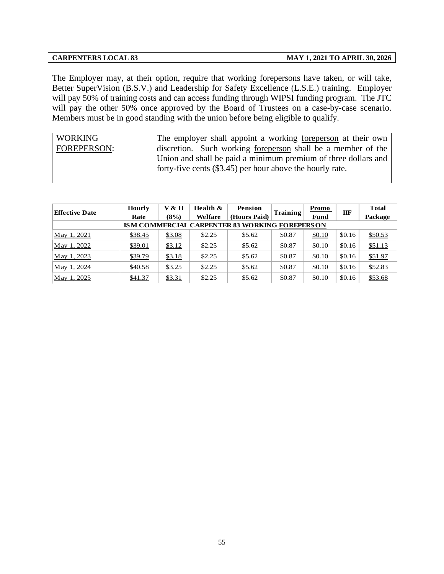The Employer may, at their option, require that working forepersons have taken, or will take, Better SuperVision (B.S.V.) and Leadership for Safety Excellence (L.S.E.) training. Employer will pay 50% of training costs and can access funding through WIPSI funding program. The JTC will pay the other 50% once approved by the Board of Trustees on a case-by-case scenario. Members must be in good standing with the union before being eligible to qualify.

| <b>WORKING</b>     | The employer shall appoint a working foreperson at their own   |
|--------------------|----------------------------------------------------------------|
| <b>FOREPERSON:</b> | discretion. Such working foreperson shall be a member of the   |
|                    | Union and shall be paid a minimum premium of three dollars and |
|                    | forty-five cents (\$3.45) per hour above the hourly rate.      |
|                    |                                                                |

| <b>Effective Date</b> | <b>Hourly</b> | V & H  | Health & | <b>Pension</b>                                        | Training | Promo  | IIF    | <b>Total</b> |
|-----------------------|---------------|--------|----------|-------------------------------------------------------|----------|--------|--------|--------------|
|                       | Rate          | (8%)   | Welfare  | (Hours Paid)                                          |          | Fund   |        | Package      |
|                       |               |        |          | <b>ISM COMMERCIAL CARPENTER 83 WORKING FOREPERSON</b> |          |        |        |              |
| May 1, 2021           | \$38.45       | \$3.08 | \$2.25   | \$5.62                                                | \$0.87   | \$0.10 | \$0.16 | \$50.53      |
| May 1, 2022           | \$39.01       | \$3.12 | \$2.25   | \$5.62                                                | \$0.87   | \$0.10 | \$0.16 | \$51.13      |
| May 1, 2023           | \$39.79       | \$3.18 | \$2.25   | \$5.62                                                | \$0.87   | \$0.10 | \$0.16 | \$51.97      |
| May 1, 2024           | \$40.58       | \$3.25 | \$2.25   | \$5.62                                                | \$0.87   | \$0.10 | \$0.16 | \$52.83      |
| May 1, 2025           | \$41.37       | \$3.31 | \$2.25   | \$5.62                                                | \$0.87   | \$0.10 | \$0.16 | \$53.68      |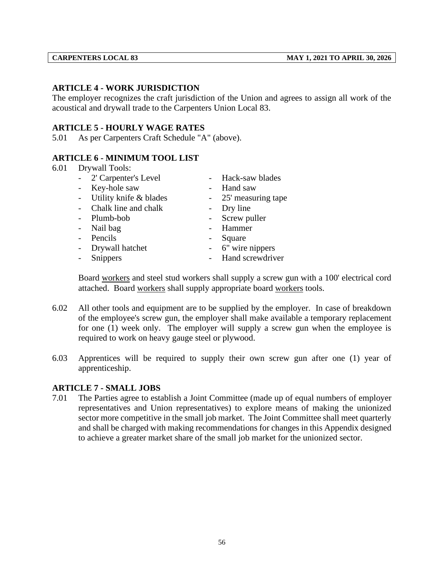### **ARTICLE 4 - WORK JURISDICTION**

The employer recognizes the craft jurisdiction of the Union and agrees to assign all work of the acoustical and drywall trade to the Carpenters Union Local 83.

### **ARTICLE 5 - HOURLY WAGE RATES**

5.01 As per Carpenters Craft Schedule "A" (above).

### **ARTICLE 6 - MINIMUM TOOL LIST**

| 6.01 | <b>Drywall Tools:</b>                    |                                      |
|------|------------------------------------------|--------------------------------------|
|      | - 2' Carpenter's Level                   | - Hack-saw blades                    |
|      | Key-hole saw<br>$\sim$                   | Hand saw<br>$\overline{\phantom{0}}$ |
|      | - Utility knife & blades                 | - 25' measuring tape                 |
|      | - Chalk line and chalk                   | Dry line<br>$\blacksquare$           |
|      | - Plumb-bob                              | Screw puller<br>$\sim 100$           |
|      | Nail bag<br>$\overline{\phantom{a}}$     | Hammer<br>$\overline{\phantom{0}}$   |
|      | Pencils<br>$\overline{\phantom{a}}$      | Square<br>-                          |
|      | Drywall hatchet<br>$\blacksquare$        | - 6" wire nippers                    |
|      | Snippers<br>$\qquad \qquad \blacksquare$ | Hand screwdriver                     |
|      |                                          |                                      |

Board workers and steel stud workers shall supply a screw gun with a 100' electrical cord attached. Board workers shall supply appropriate board workers tools.

- 6.02 All other tools and equipment are to be supplied by the employer. In case of breakdown of the employee's screw gun, the employer shall make available a temporary replacement for one (1) week only. The employer will supply a screw gun when the employee is required to work on heavy gauge steel or plywood.
- 6.03 Apprentices will be required to supply their own screw gun after one (1) year of apprenticeship.

### **ARTICLE 7 - SMALL JOBS**

7.01 The Parties agree to establish a Joint Committee (made up of equal numbers of employer representatives and Union representatives) to explore means of making the unionized sector more competitive in the small job market. The Joint Committee shall meet quarterly and shall be charged with making recommendations for changes in this Appendix designed to achieve a greater market share of the small job market for the unionized sector.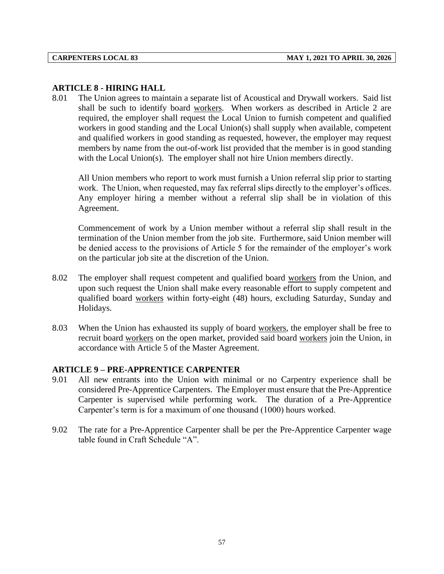#### **ARTICLE 8 - HIRING HALL**

8.01 The Union agrees to maintain a separate list of Acoustical and Drywall workers. Said list shall be such to identify board workers. When workers as described in Article 2 are required, the employer shall request the Local Union to furnish competent and qualified workers in good standing and the Local Union(s) shall supply when available, competent and qualified workers in good standing as requested, however, the employer may request members by name from the out-of-work list provided that the member is in good standing with the Local Union(s). The employer shall not hire Union members directly.

All Union members who report to work must furnish a Union referral slip prior to starting work. The Union, when requested, may fax referral slips directly to the employer's offices. Any employer hiring a member without a referral slip shall be in violation of this Agreement.

Commencement of work by a Union member without a referral slip shall result in the termination of the Union member from the job site. Furthermore, said Union member will be denied access to the provisions of Article 5 for the remainder of the employer's work on the particular job site at the discretion of the Union.

- 8.02 The employer shall request competent and qualified board workers from the Union, and upon such request the Union shall make every reasonable effort to supply competent and qualified board workers within forty-eight (48) hours, excluding Saturday, Sunday and Holidays.
- 8.03 When the Union has exhausted its supply of board workers, the employer shall be free to recruit board workers on the open market, provided said board workers join the Union, in accordance with Article 5 of the Master Agreement.

### **ARTICLE 9 – PRE-APPRENTICE CARPENTER**

- 9.01 All new entrants into the Union with minimal or no Carpentry experience shall be considered Pre-Apprentice Carpenters. The Employer must ensure that the Pre-Apprentice Carpenter is supervised while performing work. The duration of a Pre-Apprentice Carpenter's term is for a maximum of one thousand (1000) hours worked.
- 9.02 The rate for a Pre-Apprentice Carpenter shall be per the Pre-Apprentice Carpenter wage table found in Craft Schedule "A".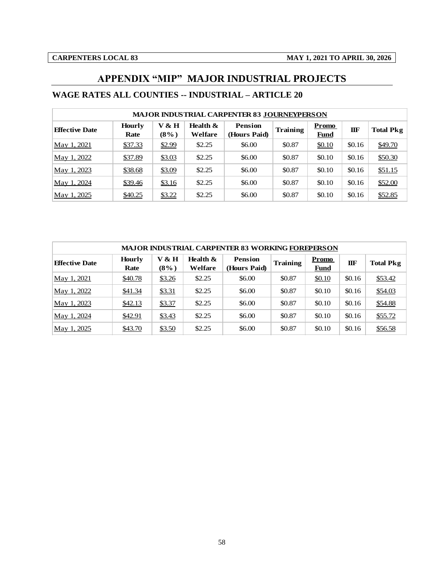# **APPENDIX "MIP" MAJOR INDUSTRIAL PROJECTS**

#### **WAGE RATES ALL COUNTIES -- INDUSTRIAL – ARTICLE 20**

| <b>MAJOR INDUSTRIAL CARPENTER 83 JOURNEYPERSON</b> |                       |                  |                        |                                |                 |                             |        |                  |  |
|----------------------------------------------------|-----------------------|------------------|------------------------|--------------------------------|-----------------|-----------------------------|--------|------------------|--|
| <b>Effective Date</b>                              | <b>Hourly</b><br>Rate | V & H<br>$(8\%)$ | Health $\&$<br>Welfare | <b>Pension</b><br>(Hours Paid) | <b>Training</b> | <b>Promo</b><br><b>Fund</b> | IIF    | <b>Total Pkg</b> |  |
| May 1, 2021                                        | \$37.33               | \$2.99           | \$2.25                 | \$6.00                         | \$0.87          | \$0.10                      | \$0.16 | \$49.70          |  |
| May 1, 2022                                        | \$37.89               | \$3.03           | \$2.25                 | \$6.00                         | \$0.87          | \$0.10                      | \$0.16 | \$50.30          |  |
| May 1, 2023                                        | \$38.68               | \$3.09           | \$2.25                 | \$6.00                         | \$0.87          | \$0.10                      | \$0.16 | \$51.15          |  |
| May 1, 2024                                        | \$39.46               | \$3.16           | \$2.25                 | \$6.00                         | \$0.87          | \$0.10                      | \$0.16 | \$52.00          |  |
| May 1, 2025                                        | \$40.25               | \$3.22           | \$2.25                 | \$6.00                         | \$0.87          | \$0.10                      | \$0.16 | \$52.85          |  |

|                       | <b>MAJOR INDUSTRIAL CARPENTER 83 WORKING FOREPERSON</b> |                  |                     |                                |                 |                      |        |                  |  |  |
|-----------------------|---------------------------------------------------------|------------------|---------------------|--------------------------------|-----------------|----------------------|--------|------------------|--|--|
| <b>Effective Date</b> | <b>Hourly</b><br>Rate                                   | V & H<br>$(8\%)$ | Health &<br>Welfare | <b>Pension</b><br>(Hours Paid) | <b>Training</b> | Promo<br><b>Fund</b> | ШF     | <b>Total Pkg</b> |  |  |
| May 1, 2021           | \$40.78                                                 | \$3.26           | \$2.25              | \$6.00                         | \$0.87          | \$0.10               | \$0.16 | \$53.42          |  |  |
| May 1, 2022           | \$41.34                                                 | \$3.31           | \$2.25              | \$6.00                         | \$0.87          | \$0.10               | \$0.16 | \$54.03          |  |  |
| May 1, 2023           | \$42.13                                                 | \$3.37           | \$2.25              | \$6.00                         | \$0.87          | \$0.10               | \$0.16 | \$54.88          |  |  |
| May 1, 2024           | \$42.91                                                 | \$3.43           | \$2.25              | \$6.00                         | \$0.87          | \$0.10               | \$0.16 | \$55.72          |  |  |
| May 1, 2025           | \$43.70                                                 | \$3.50           | \$2.25              | \$6.00                         | \$0.87          | \$0.10               | \$0.16 | \$56.58          |  |  |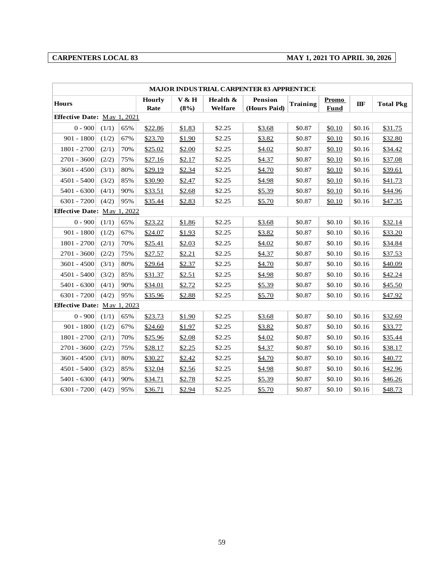# **CARPENTERS LOCAL 83 MAY 1, 2021 TO APRIL 30, 2026**

|                             | <b>MAJOR INDUS TRIAL CARPENTER 83 APPRENTICE</b> |     |                       |               |                        |                                |                 |                      |                                  |                  |
|-----------------------------|--------------------------------------------------|-----|-----------------------|---------------|------------------------|--------------------------------|-----------------|----------------------|----------------------------------|------------------|
| <b>Hours</b>                |                                                  |     | <b>Hourly</b><br>Rate | V & H<br>(8%) | Health $\&$<br>Welfare | <b>Pension</b><br>(Hours Paid) | <b>Training</b> | Promo<br><b>Fund</b> | $\mathbf{I}\mathbf{I}\mathbf{F}$ | <b>Total Pkg</b> |
| Effective Date: May 1, 2021 |                                                  |     |                       |               |                        |                                |                 |                      |                                  |                  |
| $0 - 900$                   | (1/1)                                            | 65% | \$22.86               | \$1.83        | \$2.25                 | \$3.68                         | \$0.87          | \$0.10               | \$0.16                           | \$31.75          |
| $901 - 1800$                | (1/2)                                            | 67% | \$23.70               | \$1.90        | \$2.25                 | \$3.82                         | \$0.87          | \$0.10               | \$0.16                           | \$32.80          |
| 1801 - 2700                 | (2/1)                                            | 70% | \$25.02               | \$2.00        | \$2.25                 | \$4.02                         | \$0.87          | \$0.10               | \$0.16                           | \$34.42          |
| 2701 - 3600                 | (2/2)                                            | 75% | \$27.16               | \$2.17        | \$2.25                 | \$4.37                         | \$0.87          | \$0.10               | \$0.16                           | \$37.08          |
| 3601 - 4500                 | (3/1)                                            | 80% | \$29.19               | \$2.34        | \$2.25                 | \$4.70                         | \$0.87          | \$0.10               | \$0.16                           | \$39.61          |
| $4501 - 5400$               | (3/2)                                            | 85% | \$30.90               | \$2.47        | \$2.25                 | \$4.98                         | \$0.87          | \$0.10               | \$0.16                           | \$41.73          |
| 5401 - 6300                 | (4/1)                                            | 90% | \$33.51               | \$2.68        | \$2.25                 | \$5.39                         | \$0.87          | \$0.10               | \$0.16                           | \$44.96          |
| 6301 - 7200                 | (4/2)                                            | 95% | \$35.44               | \$2.83        | \$2.25                 | \$5.70                         | \$0.87          | \$0.10               | \$0.16                           | \$47.35          |
| Effective Date: May 1, 2022 |                                                  |     |                       |               |                        |                                |                 |                      |                                  |                  |
| $0 - 900$                   | (1/1)                                            | 65% | \$23.22               | \$1.86        | \$2.25                 | \$3.68                         | \$0.87          | \$0.10               | \$0.16                           | \$32.14          |
| $901 - 1800$                | (1/2)                                            | 67% | \$24.07               | \$1.93        | \$2.25                 | \$3.82                         | \$0.87          | \$0.10               | \$0.16                           | \$33.20          |
| 1801 - 2700                 | (2/1)                                            | 70% | \$25.41               | \$2.03        | \$2.25                 | \$4.02                         | \$0.87          | \$0.10               | \$0.16                           | \$34.84          |
| 2701 - 3600                 | (2/2)                                            | 75% | \$27.57               | \$2.21        | \$2.25                 | \$4.37                         | \$0.87          | \$0.10               | \$0.16                           | \$37.53          |
| 3601 - 4500                 | (3/1)                                            | 80% | \$29.64               | \$2.37        | \$2.25                 | \$4.70                         | \$0.87          | \$0.10               | \$0.16                           | \$40.09          |
| $4501 - 5400$               | (3/2)                                            | 85% | \$31.37               | \$2.51        | \$2.25                 | \$4.98                         | \$0.87          | \$0.10               | \$0.16                           | \$42.24          |
| 5401 - 6300                 | (4/1)                                            | 90% | \$34.01               | \$2.72        | \$2.25                 | \$5.39                         | \$0.87          | \$0.10               | \$0.16                           | \$45.50          |
| 6301 - 7200                 | (4/2)                                            | 95% | \$35.96               | \$2.88        | \$2.25                 | \$5.70                         | \$0.87          | \$0.10               | \$0.16                           | \$47.92          |
| Effective Date: May 1, 2023 |                                                  |     |                       |               |                        |                                |                 |                      |                                  |                  |
| $0 - 900$                   | (1/1)                                            | 65% | \$23.73               | \$1.90        | \$2.25                 | \$3.68                         | \$0.87          | \$0.10               | \$0.16                           | \$32.69          |
| $901 - 1800$                | (1/2)                                            | 67% | \$24.60               | \$1.97        | \$2.25                 | \$3.82                         | \$0.87          | \$0.10               | \$0.16                           | \$33.77          |
| 1801 - 2700                 | (2/1)                                            | 70% | \$25.96               | \$2.08        | \$2.25                 | \$4.02                         | \$0.87          | \$0.10               | \$0.16                           | \$35.44          |
| 2701 - 3600                 | (2/2)                                            | 75% | \$28.17               | \$2.25        | \$2.25                 | \$4.37                         | \$0.87          | \$0.10               | \$0.16                           | \$38.17          |
| 3601 - 4500                 | (3/1)                                            | 80% | \$30.27               | \$2.42        | \$2.25                 | \$4.70                         | \$0.87          | \$0.10               | \$0.16                           | \$40.77          |
| $4501 - 5400$               | (3/2)                                            | 85% | \$32.04               | \$2.56        | \$2.25                 | \$4.98                         | \$0.87          | \$0.10               | \$0.16                           | \$42.96          |
| 5401 - 6300                 | (4/1)                                            | 90% | \$34.71               | \$2.78        | \$2.25                 | \$5.39                         | \$0.87          | \$0.10               | \$0.16                           | \$46.26          |
| 6301 - 7200                 | (4/2)                                            | 95% | \$36.71               | \$2.94        | \$2.25                 | \$5.70                         | \$0.87          | \$0.10               | \$0.16                           | \$48.73          |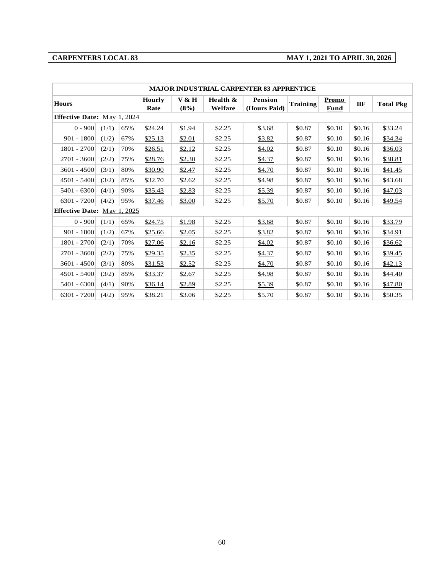### **CARPENTERS LOCAL 83 MAY 1, 2021 TO APRIL 30, 2026**

|                                    | <b>MAJOR INDUS TRIAL CARPENTER 83 APPRENTICE</b> |     |                |               |                        |                                |          |                             |            |                  |  |
|------------------------------------|--------------------------------------------------|-----|----------------|---------------|------------------------|--------------------------------|----------|-----------------------------|------------|------------------|--|
| <b>Hours</b>                       |                                                  |     | Hourly<br>Rate | V & H<br>(8%) | Health $\&$<br>Welfare | <b>Pension</b><br>(Hours Paid) | Training | <b>Promo</b><br><b>Fund</b> | <b>IIF</b> | <b>Total Pkg</b> |  |
| <b>Effective Date:</b> May 1, 2024 |                                                  |     |                |               |                        |                                |          |                             |            |                  |  |
| $0 - 900$                          | (1/1)                                            | 65% | \$24.24        | \$1.94        | \$2.25                 | \$3.68                         | \$0.87   | \$0.10                      | \$0.16     | \$33.24          |  |
| $901 - 1800$                       | (1/2)                                            | 67% | \$25.13        | \$2.01        | \$2.25                 | \$3.82                         | \$0.87   | \$0.10                      | \$0.16     | \$34.34          |  |
| 1801 - 2700                        | (2/1)                                            | 70% | \$26.51        | \$2.12        | \$2.25                 | \$4.02                         | \$0.87   | \$0.10                      | \$0.16     | \$36.03          |  |
| 2701 - 3600                        | (2/2)                                            | 75% | \$28.76        | \$2.30        | \$2.25                 | \$4.37                         | \$0.87   | \$0.10                      | \$0.16     | \$38.81          |  |
| $3601 - 4500$                      | (3/1)                                            | 80% | \$30.90        | \$2.47        | \$2.25                 | \$4.70                         | \$0.87   | \$0.10                      | \$0.16     | \$41.45          |  |
| 4501 - 5400                        | (3/2)                                            | 85% | \$32.70        | \$2.62        | \$2.25                 | \$4.98                         | \$0.87   | \$0.10                      | \$0.16     | \$43.68          |  |
| 5401 - 6300                        | (4/1)                                            | 90% | \$35.43        | \$2.83        | \$2.25                 | \$5.39                         | \$0.87   | \$0.10                      | \$0.16     | \$47.03          |  |
| 6301 - 7200                        | (4/2)                                            | 95% | \$37.46        | \$3.00        | \$2.25                 | \$5.70                         | \$0.87   | \$0.10                      | \$0.16     | \$49.54          |  |
| <b>Effective Date:</b> May 1, 2025 |                                                  |     |                |               |                        |                                |          |                             |            |                  |  |
| $0 - 900$                          | (1/1)                                            | 65% | \$24.75        | \$1.98        | \$2.25                 | \$3.68                         | \$0.87   | \$0.10                      | \$0.16     | \$33.79          |  |
| $901 - 1800$                       | (1/2)                                            | 67% | \$25.66        | \$2.05        | \$2.25                 | \$3.82                         | \$0.87   | \$0.10                      | \$0.16     | \$34.91          |  |
| 1801 - 2700                        | (2/1)                                            | 70% | \$27.06        | \$2.16        | \$2.25                 | \$4.02                         | \$0.87   | \$0.10                      | \$0.16     | \$36.62          |  |
| 2701 - 3600                        | (2/2)                                            | 75% | \$29.35        | \$2.35        | \$2.25                 | \$4.37                         | \$0.87   | \$0.10                      | \$0.16     | \$39.45          |  |
| $3601 - 4500$                      | (3/1)                                            | 80% | \$31.53        | \$2.52        | \$2.25                 | \$4.70                         | \$0.87   | \$0.10                      | \$0.16     | \$42.13          |  |
| $4501 - 5400$                      | (3/2)                                            | 85% | \$33.37        | \$2.67        | \$2.25                 | \$4.98                         | \$0.87   | \$0.10                      | \$0.16     | \$44.40          |  |
| 5401 - 6300                        | (4/1)                                            | 90% | \$36.14        | \$2.89        | \$2.25                 | \$5.39                         | \$0.87   | \$0.10                      | \$0.16     | \$47.80          |  |
| $6301 - 7200$                      | (4/2)                                            | 95% | \$38.21        | \$3.06        | \$2.25                 | \$5.70                         | \$0.87   | \$0.10                      | \$0.16     | \$50.35          |  |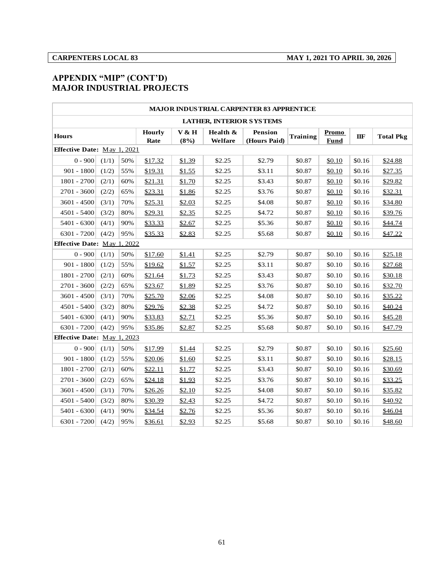### **APPENDIX "MIP" (CONT'D) MAJOR INDUSTRIAL PROJECTS**

|                                    | <b>MAJOR INDUS TRIAL CARPENTER 83 APPRENTICE</b> |     |                       |               |                        |                                |                 |                      |        |                  |
|------------------------------------|--------------------------------------------------|-----|-----------------------|---------------|------------------------|--------------------------------|-----------------|----------------------|--------|------------------|
|                                    | <b>LATHER, INTERIOR SYSTEMS</b>                  |     |                       |               |                        |                                |                 |                      |        |                  |
| <b>Hours</b>                       |                                                  |     | <b>Hourly</b><br>Rate | V & H<br>(8%) | Health $\&$<br>Welfare | <b>Pension</b><br>(Hours Paid) | <b>Training</b> | Promo<br><b>Fund</b> | IIF    | <b>Total Pkg</b> |
| <b>Effective Date:</b> May 1, 2021 |                                                  |     |                       |               |                        |                                |                 |                      |        |                  |
| $0 - 900$                          | (1/1)                                            | 50% | \$17.32               | \$1.39        | \$2.25                 | \$2.79                         | \$0.87          | \$0.10               | \$0.16 | \$24.88          |
| $901 - 1800$                       | (1/2)                                            | 55% | \$19.31               | \$1.55        | \$2.25                 | \$3.11                         | \$0.87          | \$0.10               | \$0.16 | \$27.35          |
| 1801 - 2700                        | (2/1)                                            | 60% | \$21.31               | \$1.70        | \$2.25                 | \$3.43                         | \$0.87          | \$0.10               | \$0.16 | \$29.82          |
| 2701 - 3600                        | (2/2)                                            | 65% | \$23.31               | \$1.86        | \$2.25                 | \$3.76                         | \$0.87          | \$0.10               | \$0.16 | \$32.31          |
| $3601 - 4500$                      | (3/1)                                            | 70% | \$25.31               | \$2.03        | \$2.25                 | \$4.08                         | \$0.87          | \$0.10               | \$0.16 | \$34.80          |
| $4501 - 5400$                      | (3/2)                                            | 80% | \$29.31               | \$2.35        | \$2.25                 | \$4.72                         | \$0.87          | \$0.10               | \$0.16 | \$39.76          |
| 5401 - 6300                        | (4/1)                                            | 90% | \$33.33               | \$2.67        | \$2.25                 | \$5.36                         | \$0.87          | \$0.10               | \$0.16 | \$44.74          |
| $6301 - 7200$                      | (4/2)                                            | 95% | \$35.33               | \$2.83        | \$2.25                 | \$5.68                         | \$0.87          | \$0.10               | \$0.16 | \$47.22          |
| <b>Effective Date:</b> May 1, 2022 |                                                  |     |                       |               |                        |                                |                 |                      |        |                  |
| $0 - 900$                          | (1/1)                                            | 50% | \$17.60               | \$1.41        | \$2.25                 | \$2.79                         | \$0.87          | \$0.10               | \$0.16 | \$25.18          |
| $901 - 1800$                       | (1/2)                                            | 55% | \$19.62               | \$1.57        | \$2.25                 | \$3.11                         | \$0.87          | \$0.10               | \$0.16 | \$27.68          |
| 1801 - 2700                        | (2/1)                                            | 60% | \$21.64               | \$1.73        | \$2.25                 | \$3.43                         | \$0.87          | \$0.10               | \$0.16 | \$30.18          |
| 2701 - 3600                        | (2/2)                                            | 65% | \$23.67               | \$1.89        | \$2.25                 | \$3.76                         | \$0.87          | \$0.10               | \$0.16 | \$32.70          |
| $3601 - 4500$                      | (3/1)                                            | 70% | \$25.70               | \$2.06        | \$2.25                 | \$4.08                         | \$0.87          | \$0.10               | \$0.16 | \$35.22          |
| $4501 - 5400$                      | (3/2)                                            | 80% | \$29.76               | \$2.38        | \$2.25                 | \$4.72                         | \$0.87          | \$0.10               | \$0.16 | \$40.24          |
| 5401 - 6300                        | (4/1)                                            | 90% | \$33.83               | \$2.71        | \$2.25                 | \$5.36                         | \$0.87          | \$0.10               | \$0.16 | \$45.28          |
| $6301 - 7200$                      | (4/2)                                            | 95% | \$35.86               | \$2.87        | \$2.25                 | \$5.68                         | \$0.87          | \$0.10               | \$0.16 | \$47.79          |
| <b>Effective Date:</b> May 1, 2023 |                                                  |     |                       |               |                        |                                |                 |                      |        |                  |
| $0 - 900$                          | (1/1)                                            | 50% | \$17.99               | \$1.44        | \$2.25                 | \$2.79                         | \$0.87          | \$0.10               | \$0.16 | \$25.60          |
| $901 - 1800$                       | (1/2)                                            | 55% | \$20.06               | \$1.60        | \$2.25                 | \$3.11                         | \$0.87          | \$0.10               | \$0.16 | \$28.15          |
| 1801 - 2700                        | (2/1)                                            | 60% | \$22.11               | \$1.77        | \$2.25                 | \$3.43                         | \$0.87          | \$0.10               | \$0.16 | \$30.69          |
| 2701 - 3600                        | (2/2)                                            | 65% | \$24.18               | \$1.93        | \$2.25                 | \$3.76                         | \$0.87          | \$0.10               | \$0.16 | \$33.25          |
| $3601 - 4500$                      | (3/1)                                            | 70% | \$26.26               | \$2.10        | \$2.25                 | \$4.08                         | \$0.87          | \$0.10               | \$0.16 | \$35.82          |
| $4501 - 5400$                      | (3/2)                                            | 80% | \$30.39               | \$2.43        | \$2.25                 | \$4.72                         | \$0.87          | \$0.10               | \$0.16 | \$40.92          |
| 5401 - 6300                        | (4/1)                                            | 90% | \$34.54               | \$2.76        | \$2.25                 | \$5.36                         | \$0.87          | \$0.10               | \$0.16 | \$46.04          |
| 6301 - 7200                        | (4/2)                                            | 95% | \$36.61               | \$2.93        | \$2.25                 | \$5.68                         | \$0.87          | \$0.10               | \$0.16 | \$48.60          |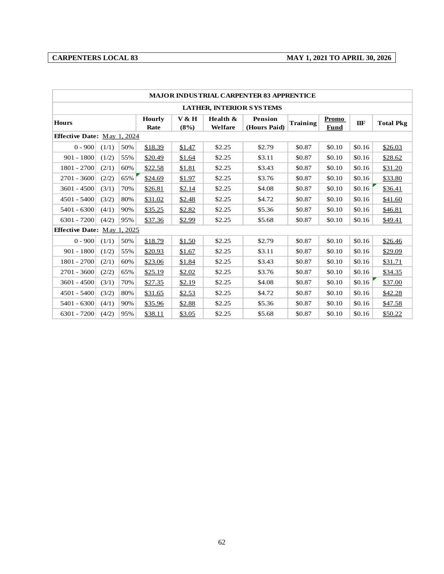### **CARPENTERS LOCAL 83 MAY 1, 2021 TO APRIL 30, 2026**

|                             | <b>MAJOR INDUS TRIAL CARPENTER 83 APPRENTICE</b> |     |                |               |                     |                                 |          |                      |            |                  |
|-----------------------------|--------------------------------------------------|-----|----------------|---------------|---------------------|---------------------------------|----------|----------------------|------------|------------------|
|                             |                                                  |     |                |               |                     | <b>LATHER, INTERIOR SYSTEMS</b> |          |                      |            |                  |
| <b>Hours</b>                |                                                  |     | Hourly<br>Rate | V & H<br>(8%) | Health &<br>Welfare | <b>Pension</b><br>(Hours Paid)  | Training | Promo<br><b>Fund</b> | <b>IIF</b> | <b>Total Pkg</b> |
| Effective Date: May 1, 2024 |                                                  |     |                |               |                     |                                 |          |                      |            |                  |
| $0 - 900$                   | (1/1)                                            | 50% | \$18.39        | \$1.47        | \$2.25              | \$2.79                          | \$0.87   | \$0.10               | \$0.16     | \$26.03          |
| $901 - 1800$                | (1/2)                                            | 55% | \$20.49        | \$1.64        | \$2.25              | \$3.11                          | \$0.87   | \$0.10               | \$0.16     | \$28.62          |
| 1801 - 2700                 | (2/1)                                            | 60% | \$22.58        | \$1.81        | \$2.25              | \$3.43                          | \$0.87   | \$0.10               | \$0.16     | \$31.20          |
| 2701 - 3600                 | (2/2)                                            | 65% | \$24.69        | \$1.97        | \$2.25              | \$3.76                          | \$0.87   | \$0.10               | \$0.16     | \$33.80          |
| $3601 - 4500$               | (3/1)                                            | 70% | \$26.81        | \$2.14        | \$2.25              | \$4.08                          | \$0.87   | \$0.10               | \$0.16     | \$36.41          |
| $4501 - 5400$               | (3/2)                                            | 80% | \$31.02        | \$2.48        | \$2.25              | \$4.72                          | \$0.87   | \$0.10               | \$0.16     | \$41.60          |
| 5401 - 6300                 | (4/1)                                            | 90% | \$35.25        | \$2.82        | \$2.25              | \$5.36                          | \$0.87   | \$0.10               | \$0.16     | \$46.81          |
| 6301 - 7200                 | (4/2)                                            | 95% | \$37.36        | \$2.99        | \$2.25              | \$5.68                          | \$0.87   | \$0.10               | \$0.16     | \$49.41          |
| Effective Date: May 1, 2025 |                                                  |     |                |               |                     |                                 |          |                      |            |                  |
| $0 - 900$                   | (1/1)                                            | 50% | \$18.79        | \$1.50        | \$2.25              | \$2.79                          | \$0.87   | \$0.10               | \$0.16     | \$26.46          |
| $901 - 1800$                | (1/2)                                            | 55% | \$20.93        | \$1.67        | \$2.25              | \$3.11                          | \$0.87   | \$0.10               | \$0.16     | \$29.09          |
| 1801 - 2700                 | (2/1)                                            | 60% | \$23.06        | \$1.84        | \$2.25              | \$3.43                          | \$0.87   | \$0.10               | \$0.16     | \$31.71          |
| 2701 - 3600                 | (2/2)                                            | 65% | \$25.19        | \$2.02        | \$2.25              | \$3.76                          | \$0.87   | \$0.10               | \$0.16     | \$34.35          |
| $3601 - 4500$               | (3/1)                                            | 70% | \$27.35        | \$2.19        | \$2.25              | \$4.08                          | \$0.87   | \$0.10               | \$0.16     | \$37.00          |
| $4501 - 5400$               | (3/2)                                            | 80% | \$31.65        | \$2.53        | \$2.25              | \$4.72                          | \$0.87   | \$0.10               | \$0.16     | \$42.28          |
| 5401 - 6300                 | (4/1)                                            | 90% | \$35.96        | \$2.88        | \$2.25              | \$5.36                          | \$0.87   | \$0.10               | \$0.16     | \$47.58          |
| $6301 - 7200$               | (4/2)                                            | 95% | \$38.11        | \$3.05        | \$2.25              | \$5.68                          | \$0.87   | \$0.10               | \$0.16     | \$50.22          |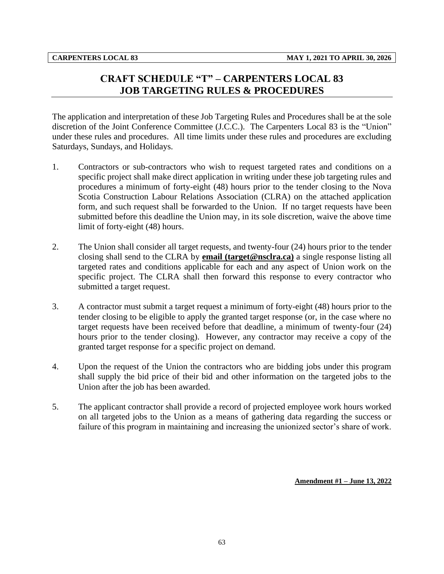# **CRAFT SCHEDULE "T" – CARPENTERS LOCAL 83 JOB TARGETING RULES & PROCEDURES**

The application and interpretation of these Job Targeting Rules and Procedures shall be at the sole discretion of the Joint Conference Committee (J.C.C.). The Carpenters Local 83 is the "Union" under these rules and procedures. All time limits under these rules and procedures are excluding Saturdays, Sundays, and Holidays.

- 1. Contractors or sub-contractors who wish to request targeted rates and conditions on a specific project shall make direct application in writing under these job targeting rules and procedures a minimum of forty-eight (48) hours prior to the tender closing to the Nova Scotia Construction Labour Relations Association (CLRA) on the attached application form, and such request shall be forwarded to the Union. If no target requests have been submitted before this deadline the Union may, in its sole discretion, waive the above time limit of forty-eight (48) hours.
- 2. The Union shall consider all target requests, and twenty-four (24) hours prior to the tender closing shall send to the CLRA by **email (target@nsclra.ca)** a single response listing all targeted rates and conditions applicable for each and any aspect of Union work on the specific project. The CLRA shall then forward this response to every contractor who submitted a target request.
- 3. A contractor must submit a target request a minimum of forty-eight (48) hours prior to the tender closing to be eligible to apply the granted target response (or, in the case where no target requests have been received before that deadline, a minimum of twenty-four (24) hours prior to the tender closing). However, any contractor may receive a copy of the granted target response for a specific project on demand.
- 4. Upon the request of the Union the contractors who are bidding jobs under this program shall supply the bid price of their bid and other information on the targeted jobs to the Union after the job has been awarded.
- 5. The applicant contractor shall provide a record of projected employee work hours worked on all targeted jobs to the Union as a means of gathering data regarding the success or failure of this program in maintaining and increasing the unionized sector's share of work.

**Amendment #1 – June 13, 2022**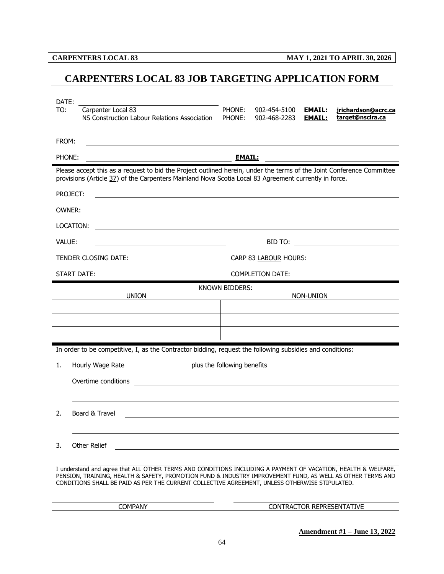**CARPENTERS LOCAL 83 MAY 1, 2021 TO APRIL 30, 2026**

# **CARPENTERS LOCAL 83 JOB TARGETING APPLICATION FORM**

| DATE:<br>TO:<br>Carpenter Local 83                                                                                                                                                                                                                                                                                            | PHONE:         | 902-454-5100 | <b>EMAIL:</b> | jrichardson@acrc.ca       |
|-------------------------------------------------------------------------------------------------------------------------------------------------------------------------------------------------------------------------------------------------------------------------------------------------------------------------------|----------------|--------------|---------------|---------------------------|
| NS Construction Labour Relations Association                                                                                                                                                                                                                                                                                  | PHONE:         | 902-468-2283 | <b>EMAIL:</b> | target@nsclra.ca          |
| FROM:                                                                                                                                                                                                                                                                                                                         |                |              |               |                           |
| PHONE:                                                                                                                                                                                                                                                                                                                        | <b>EMAIL:</b>  |              |               |                           |
| Please accept this as a request to bid the Project outlined herein, under the terms of the Joint Conference Committee<br>provisions (Article 37) of the Carpenters Mainland Nova Scotia Local 83 Agreement currently in force.                                                                                                |                |              |               |                           |
| PROJECT:                                                                                                                                                                                                                                                                                                                      |                |              |               |                           |
| OWNER:<br>and the control of the control of the control of the control of the control of the control of the control of the                                                                                                                                                                                                    |                |              |               |                           |
| LOCATION:                                                                                                                                                                                                                                                                                                                     |                |              |               |                           |
| VALUE:                                                                                                                                                                                                                                                                                                                        |                | BID TO:      |               |                           |
| TENDER CLOSING DATE:                                                                                                                                                                                                                                                                                                          |                |              |               | CARP 83 LABOUR HOURS:     |
| START DATE:                                                                                                                                                                                                                                                                                                                   |                |              |               |                           |
| <b>UNION</b>                                                                                                                                                                                                                                                                                                                  | KNOWN BIDDERS: |              | NON-UNION     |                           |
|                                                                                                                                                                                                                                                                                                                               |                |              |               |                           |
|                                                                                                                                                                                                                                                                                                                               |                |              |               |                           |
|                                                                                                                                                                                                                                                                                                                               |                |              |               |                           |
| In order to be competitive, I, as the Contractor bidding, request the following subsidies and conditions:                                                                                                                                                                                                                     |                |              |               |                           |
| plus the following benefits<br>1.<br>Hourly Wage Rate                                                                                                                                                                                                                                                                         |                |              |               |                           |
| Overtime conditions                                                                                                                                                                                                                                                                                                           |                |              |               |                           |
|                                                                                                                                                                                                                                                                                                                               |                |              |               |                           |
| Board & Travel<br>2.                                                                                                                                                                                                                                                                                                          |                |              |               |                           |
|                                                                                                                                                                                                                                                                                                                               |                |              |               |                           |
| Other Relief<br>3.                                                                                                                                                                                                                                                                                                            |                |              |               |                           |
| I understand and agree that ALL OTHER TERMS AND CONDITIONS INCLUDING A PAYMENT OF VACATION, HEALTH & WELFARE,<br>PENSION, TRAINING, HEALTH & SAFETY, PROMOTION FUND & INDUSTRY IMPROVEMENT FUND, AS WELL AS OTHER TERMS AND<br>CONDITIONS SHALL BE PAID AS PER THE CURRENT COLLECTIVE AGREEMENT, UNLESS OTHERWISE STIPULATED. |                |              |               |                           |
| <b>COMPANY</b>                                                                                                                                                                                                                                                                                                                |                |              |               | CONTRACTOR REPRESENTATIVE |

**Amendment #1 – June 13, 2022**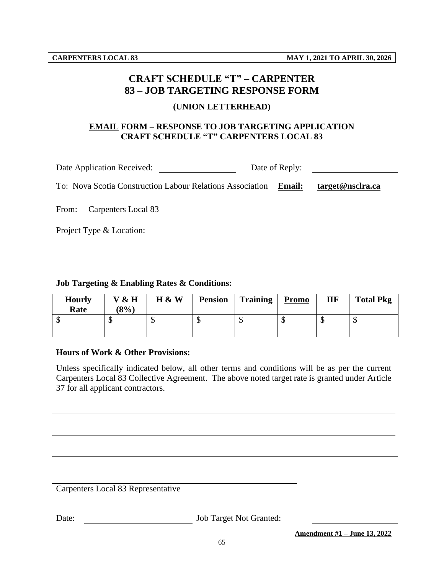# **CRAFT SCHEDULE "T" – CARPENTER 83 – JOB TARGETING RESPONSE FORM**

#### **(UNION LETTERHEAD)**

## **EMAIL FORM – RESPONSE TO JOB TARGETING APPLICATION CRAFT SCHEDULE "T" CARPENTERS LOCAL 83**

Date Application Received: Date of Reply: To: Nova Scotia Construction Labour Relations Association **Email: target@nsclra.ca**

From: Carpenters Local 83

Project Type & Location:

#### **Job Targeting & Enabling Rates & Conditions:**

| <b>Hourly</b><br>Rate | V & H<br>(8%) | H & W | <b>Pension</b> | <b>Training</b> | <b>Promo</b> | ШF | <b>Total Pkg</b> |
|-----------------------|---------------|-------|----------------|-----------------|--------------|----|------------------|
|                       |               |       |                |                 | τD           | ◡  | ◡                |

#### **Hours of Work & Other Provisions:**

Unless specifically indicated below, all other terms and conditions will be as per the current Carpenters Local 83 Collective Agreement. The above noted target rate is granted under Article 37 for all applicant contractors.

Carpenters Local 83 Representative

Date: Job Target Not Granted:

**Amendment #1 – June 13, 2022**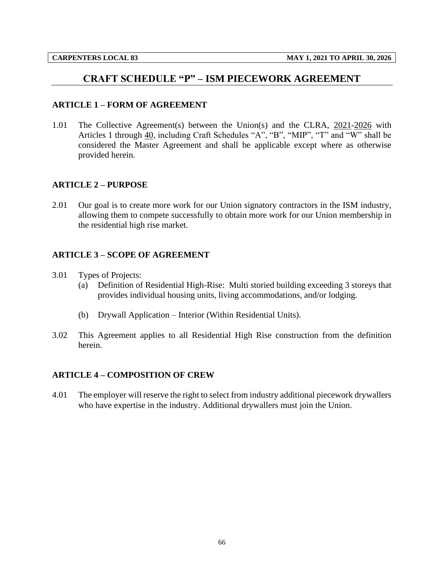# **CRAFT SCHEDULE "P" – ISM PIECEWORK AGREEMENT**

#### **ARTICLE 1 – FORM OF AGREEMENT**

1.01 The Collective Agreement(s) between the Union(s) and the CLRA, 2021-2026 with Articles 1 through 40, including Craft Schedules "A", "B", "MIP", "T" and "W" shall be considered the Master Agreement and shall be applicable except where as otherwise provided herein.

#### **ARTICLE 2 – PURPOSE**

2.01 Our goal is to create more work for our Union signatory contractors in the ISM industry, allowing them to compete successfully to obtain more work for our Union membership in the residential high rise market.

### **ARTICLE 3 – SCOPE OF AGREEMENT**

- 3.01 Types of Projects:
	- (a) Definition of Residential High-Rise: Multi storied building exceeding 3 storeys that provides individual housing units, living accommodations, and/or lodging.
	- (b) Drywall Application Interior (Within Residential Units).
- 3.02 This Agreement applies to all Residential High Rise construction from the definition herein.

### **ARTICLE 4 – COMPOSITION OF CREW**

4.01 The employer will reserve the right to select from industry additional piecework drywallers who have expertise in the industry. Additional drywallers must join the Union.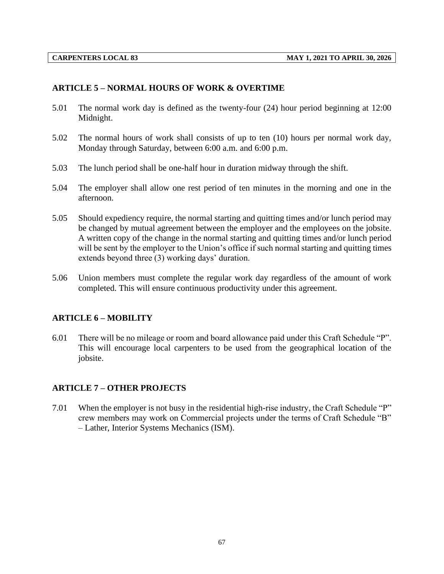### **ARTICLE 5 – NORMAL HOURS OF WORK & OVERTIME**

- 5.01 The normal work day is defined as the twenty-four (24) hour period beginning at 12:00 Midnight.
- 5.02 The normal hours of work shall consists of up to ten (10) hours per normal work day, Monday through Saturday, between 6:00 a.m. and 6:00 p.m.
- 5.03 The lunch period shall be one-half hour in duration midway through the shift.
- 5.04 The employer shall allow one rest period of ten minutes in the morning and one in the afternoon.
- 5.05 Should expediency require, the normal starting and quitting times and/or lunch period may be changed by mutual agreement between the employer and the employees on the jobsite. A written copy of the change in the normal starting and quitting times and/or lunch period will be sent by the employer to the Union's office if such normal starting and quitting times extends beyond three (3) working days' duration.
- 5.06 Union members must complete the regular work day regardless of the amount of work completed. This will ensure continuous productivity under this agreement.

### **ARTICLE 6 – MOBILITY**

6.01 There will be no mileage or room and board allowance paid under this Craft Schedule "P". This will encourage local carpenters to be used from the geographical location of the jobsite.

### **ARTICLE 7 – OTHER PROJECTS**

7.01 When the employer is not busy in the residential high-rise industry, the Craft Schedule "P" crew members may work on Commercial projects under the terms of Craft Schedule "B" – Lather, Interior Systems Mechanics (ISM).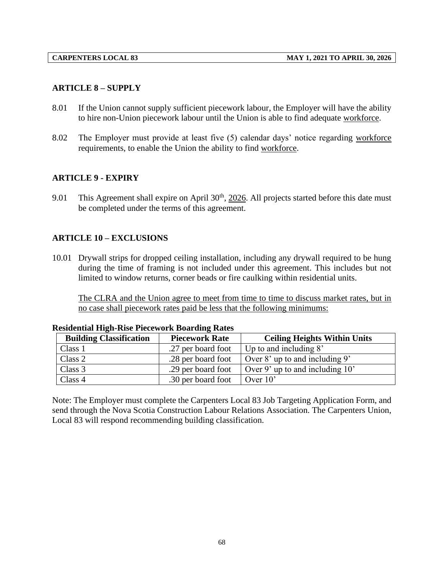### **ARTICLE 8 – SUPPLY**

- 8.01 If the Union cannot supply sufficient piecework labour, the Employer will have the ability to hire non-Union piecework labour until the Union is able to find adequate workforce.
- 8.02 The Employer must provide at least five (5) calendar days' notice regarding workforce requirements, to enable the Union the ability to find workforce.

### **ARTICLE 9 - EXPIRY**

9.01 This Agreement shall expire on April  $30<sup>th</sup>$ ,  $2026$ . All projects started before this date must be completed under the terms of this agreement.

### **ARTICLE 10 – EXCLUSIONS**

10.01 Drywall strips for dropped ceiling installation, including any drywall required to be hung during the time of framing is not included under this agreement. This includes but not limited to window returns, corner beads or fire caulking within residential units.

The CLRA and the Union agree to meet from time to time to discuss market rates, but in no case shall piecework rates paid be less that the following minimums:

| <b>Building Classification</b> | <b>Piecework Rate</b> | <b>Ceiling Heights Within Units</b> |
|--------------------------------|-----------------------|-------------------------------------|
| Class 1                        | .27 per board foot    | Up to and including $8'$            |
| Class 2                        | .28 per board foot    | Over 8' up to and including 9'      |
| Class 3                        | .29 per board foot    | Over 9' up to and including $10'$   |
| Class 4                        | .30 per board foot    | Over $10^{\circ}$                   |

#### **Residential High-Rise Piecework Boarding Rates**

Note: The Employer must complete the Carpenters Local 83 Job Targeting Application Form, and send through the Nova Scotia Construction Labour Relations Association. The Carpenters Union, Local 83 will respond recommending building classification.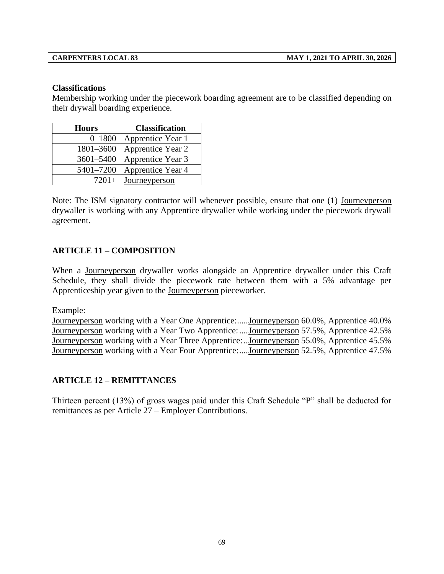#### **Classifications**

Membership working under the piecework boarding agreement are to be classified depending on their drywall boarding experience.

| <b>Hours</b> | <b>Classification</b> |
|--------------|-----------------------|
| $0 - 1800$   | Apprentice Year 1     |
| 1801-3600    | Apprentice Year 2     |
| 3601-5400    | Apprentice Year 3     |
| 5401-7200    | Apprentice Year 4     |
| $7201+$      | Journeyperson         |

Note: The ISM signatory contractor will whenever possible, ensure that one (1) Journeyperson drywaller is working with any Apprentice drywaller while working under the piecework drywall agreement.

## **ARTICLE 11 – COMPOSITION**

When a Journeyperson drywaller works alongside an Apprentice drywaller under this Craft Schedule, they shall divide the piecework rate between them with a 5% advantage per Apprenticeship year given to the Journeyperson pieceworker.

Example:

Journeyperson working with a Year One Apprentice:.....Journeyperson 60.0%, Apprentice 40.0% Journeyperson working with a Year Two Apprentice:....Journeyperson 57.5%, Apprentice 42.5% Journeyperson working with a Year Three Apprentice:..Journeyperson 55.0%, Apprentice 45.5% Journeyperson working with a Year Four Apprentice:....Journeyperson 52.5%, Apprentice 47.5%

## **ARTICLE 12 – REMITTANCES**

Thirteen percent (13%) of gross wages paid under this Craft Schedule "P" shall be deducted for remittances as per Article 27 – Employer Contributions.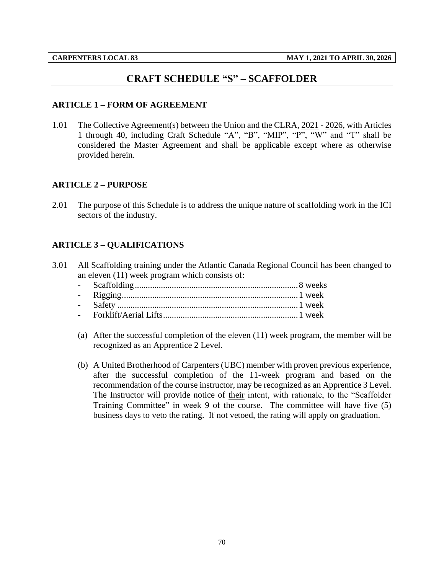# **CRAFT SCHEDULE "S" – SCAFFOLDER**

#### **ARTICLE 1 – FORM OF AGREEMENT**

1.01 The Collective Agreement(s) between the Union and the CLRA, 2021 - 2026, with Articles 1 through 40, including Craft Schedule "A", "B", "MIP", "P", "W" and "T" shall be considered the Master Agreement and shall be applicable except where as otherwise provided herein.

#### **ARTICLE 2 – PURPOSE**

2.01 The purpose of this Schedule is to address the unique nature of scaffolding work in the ICI sectors of the industry.

## **ARTICLE 3 – QUALIFICATIONS**

3.01 All Scaffolding training under the Atlantic Canada Regional Council has been changed to an eleven (11) week program which consists of:

- (a) After the successful completion of the eleven (11) week program, the member will be recognized as an Apprentice 2 Level.
- (b) A United Brotherhood of Carpenters (UBC) member with proven previous experience, after the successful completion of the 11-week program and based on the recommendation of the course instructor, may be recognized as an Apprentice 3 Level. The Instructor will provide notice of their intent, with rationale, to the "Scaffolder Training Committee" in week 9 of the course. The committee will have five (5) business days to veto the rating. If not vetoed, the rating will apply on graduation.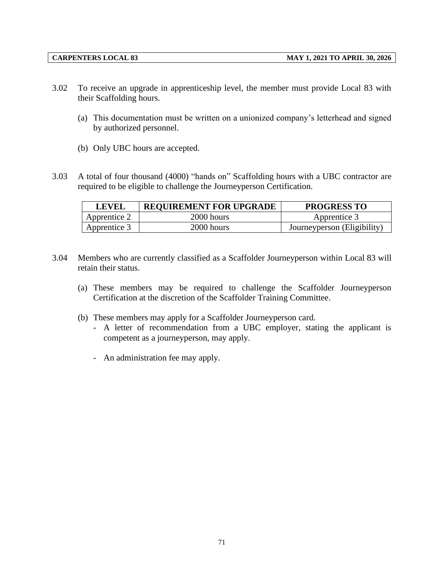- 3.02 To receive an upgrade in apprenticeship level, the member must provide Local 83 with their Scaffolding hours.
	- (a) This documentation must be written on a unionized company's letterhead and signed by authorized personnel.
	- (b) Only UBC hours are accepted.
- 3.03 A total of four thousand (4000) "hands on" Scaffolding hours with a UBC contractor are required to be eligible to challenge the Journeyperson Certification.

| <b>LEVEL</b> | <b>REQUIREMENT FOR UPGRADE</b> | <b>PROGRESS TO</b>          |
|--------------|--------------------------------|-----------------------------|
| Apprentice 2 | 2000 hours                     | Apprentice 3                |
| Apprentice 3 | 2000 hours                     | Journeyperson (Eligibility) |

- 3.04 Members who are currently classified as a Scaffolder Journeyperson within Local 83 will retain their status.
	- (a) These members may be required to challenge the Scaffolder Journeyperson Certification at the discretion of the Scaffolder Training Committee.
	- (b) These members may apply for a Scaffolder Journeyperson card.
		- A letter of recommendation from a UBC employer, stating the applicant is competent as a journeyperson, may apply.
		- An administration fee may apply.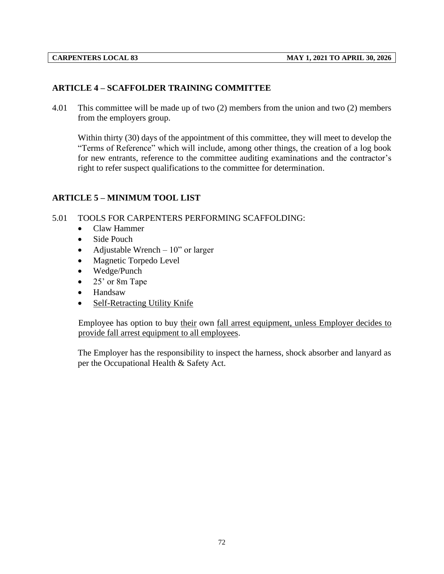## **ARTICLE 4 – SCAFFOLDER TRAINING COMMITTEE**

4.01 This committee will be made up of two (2) members from the union and two (2) members from the employers group.

Within thirty (30) days of the appointment of this committee, they will meet to develop the "Terms of Reference" which will include, among other things, the creation of a log book for new entrants, reference to the committee auditing examinations and the contractor's right to refer suspect qualifications to the committee for determination.

## **ARTICLE 5 – MINIMUM TOOL LIST**

- 5.01 TOOLS FOR CARPENTERS PERFORMING SCAFFOLDING:
	- Claw Hammer
	- Side Pouch
	- Adjustable Wrench  $-10$ " or larger
	- Magnetic Torpedo Level
	- Wedge/Punch
	- 25' or 8m Tape
	- Handsaw
	- Self-Retracting Utility Knife

Employee has option to buy their own fall arrest equipment, unless Employer decides to provide fall arrest equipment to all employees.

The Employer has the responsibility to inspect the harness, shock absorber and lanyard as per the Occupational Health & Safety Act.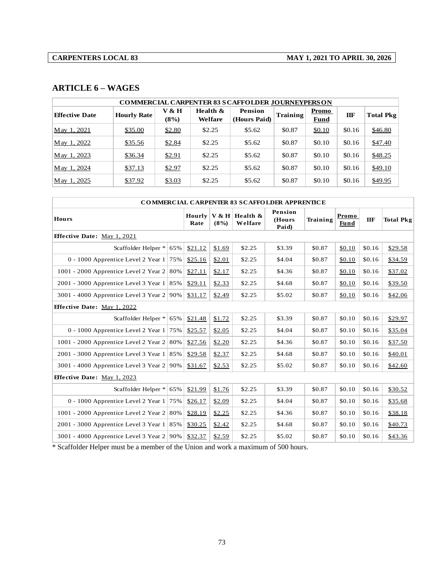# **ARTICLE 6 – WAGES**

|                       | <b>COMMERCIAL CARPENTER 83 S CAFFOLDER JOURNEYPERS ON</b> |               |                     |                                                      |                 |                             |              |                  |  |  |  |  |  |
|-----------------------|-----------------------------------------------------------|---------------|---------------------|------------------------------------------------------|-----------------|-----------------------------|--------------|------------------|--|--|--|--|--|
| <b>Effective Date</b> | <b>Hourly Rate</b>                                        | V & H<br>(8%) | Health &<br>Welfare | Pension<br>(Hours Paid)                              | <b>Training</b> | <b>Promo</b><br><b>Fund</b> | $\mathbf{I}$ | <b>Total Pkg</b> |  |  |  |  |  |
| May 1, 2021           | \$35.00                                                   | \$2.80        | \$2.25              | \$5.62                                               | \$0.87          | \$0.10                      | \$0.16       | \$46.80          |  |  |  |  |  |
| May 1, 2022           | \$35.56                                                   | \$2.84        | \$2.25              | \$5.62                                               | \$0.87          | \$0.10                      | \$0.16       | \$47.40          |  |  |  |  |  |
| May 1, 2023           | \$36.34                                                   | \$2.91        | \$2.25              | \$5.62                                               | \$0.87          | \$0.10                      | \$0.16       | \$48.25          |  |  |  |  |  |
| May 1, 2024           | \$37.13                                                   | \$2.97        | \$2.25              | \$5.62                                               | \$0.87          | \$0.10                      | \$0.16       | \$49.10          |  |  |  |  |  |
| May 1, 2025           | \$37.92                                                   | \$3.03        | \$2.25              | \$5.62                                               | \$0.87          | \$0.10                      | \$0.16       | \$49.95          |  |  |  |  |  |
|                       |                                                           |               |                     |                                                      |                 |                             |              |                  |  |  |  |  |  |
|                       |                                                           |               |                     | <b>COMMERCIAL CARPENTER 83 SCAFFOLDER APPRENTICE</b> |                 |                             |              |                  |  |  |  |  |  |
|                       |                                                           |               |                     |                                                      | <b>D</b> ongian |                             |              |                  |  |  |  |  |  |

| <b>COMMERCIAL CARPENTER 83 SCAFFOLDER APPRENTICE</b> |     |                |         |                                        |                            |          |                      |            |                  |  |
|------------------------------------------------------|-----|----------------|---------|----------------------------------------|----------------------------|----------|----------------------|------------|------------------|--|
| Hours                                                |     | Hourly<br>Rate | $(8\%)$ | $\sqrt{V \& H}$ Health $\&$<br>Welfare | Pension<br>(Hours<br>Paid) | Training | Promo<br><b>Fund</b> | <b>IIF</b> | <b>Total Pkg</b> |  |
| Effective Date: May 1, 2021                          |     |                |         |                                        |                            |          |                      |            |                  |  |
| Scaffolder Helper <sup>*</sup>                       | 65% | \$21.12        | \$1.69  | \$2.25                                 | \$3.39                     | \$0.87   | \$0.10               | \$0.16     | \$29.58          |  |
| 0 - 1000 Apprentice Level 2 Year 1                   | 75% | \$25.16        | \$2.01  | \$2.25                                 | \$4.04                     | \$0.87   | \$0.10               | \$0.16     | \$34.59          |  |
| 1001 - 2000 Apprentice Level 2 Year $2 \mid$         | 80% | \$27.11        | \$2.17  | \$2.25                                 | \$4.36                     | \$0.87   | \$0.10               | \$0.16     | \$37.02          |  |
| 2001 - 3000 Apprentice Level 3 Year $1 \mid 85\%$    |     | \$29.11        | \$2.33  | \$2.25                                 | \$4.68                     | \$0.87   | \$0.10               | \$0.16     | \$39.50          |  |
| 3001 - 4000 Apprentice Level 3 Year 2 90%            |     | \$31.17        | \$2.49  | \$2.25                                 | \$5.02                     | \$0.87   | \$0.10               | \$0.16     | \$42.06          |  |
| Effective Date: May 1, 2022                          |     |                |         |                                        |                            |          |                      |            |                  |  |
| Scaffolder Helper *                                  | 65% | \$21.48        | \$1.72  | \$2.25                                 | \$3.39                     | \$0.87   | \$0.10               | \$0.16     | \$29.97          |  |
| 0 - 1000 Apprentice Level 2 Year 1                   | 75% | \$25.57        | \$2.05  | \$2.25                                 | \$4.04                     | \$0.87   | \$0.10               | \$0.16     | \$35.04          |  |
| 1001 - 2000 Apprentice Level 2 Year $2 \mid 80\%$    |     | \$27.56        | \$2.20  | \$2.25                                 | \$4.36                     | \$0.87   | \$0.10               | \$0.16     | \$37.50          |  |
| 2001 - 3000 Apprentice Level 3 Year $1 \mid 85\%$    |     | \$29.58        | \$2.37  | \$2.25                                 | \$4.68                     | \$0.87   | \$0.10               | \$0.16     | \$40.01          |  |
| 3001 - 4000 Apprentice Level 3 Year $2 \mid$         | 90% | \$31.67        | \$2.53  | \$2.25                                 | \$5.02                     | \$0.87   | \$0.10               | \$0.16     | \$42.60          |  |
| Effective Date: May 1, 2023                          |     |                |         |                                        |                            |          |                      |            |                  |  |
| Scaffolder Helper <sup>*</sup>                       | 65% | \$21.99        | \$1.76  | \$2.25                                 | \$3.39                     | \$0.87   | \$0.10               | \$0.16     | \$30.52          |  |
| 0 - 1000 Apprentice Level 2 Year $1 75\%$            |     | \$26.17        | \$2.09  | \$2.25                                 | \$4.04                     | \$0.87   | \$0.10               | \$0.16     | \$35.68          |  |
| 1001 - 2000 Apprentice Level 2 Year $2 \mid$         | 80% | \$28.19        | \$2.25  | \$2.25                                 | \$4.36                     | \$0.87   | \$0.10               | \$0.16     | \$38.18          |  |
| 2001 - 3000 Apprentice Level 3 Year $1 \mid 85\%$    |     | \$30.25        | \$2.42  | \$2.25                                 | \$4.68                     | \$0.87   | \$0.10               | \$0.16     | \$40.73          |  |
| 3001 - 4000 Apprentice Level 3 Year $2 90\%$         |     | \$32.37        | \$2.59  | \$2.25                                 | \$5.02                     | \$0.87   | \$0.10               | \$0.16     | \$43.36          |  |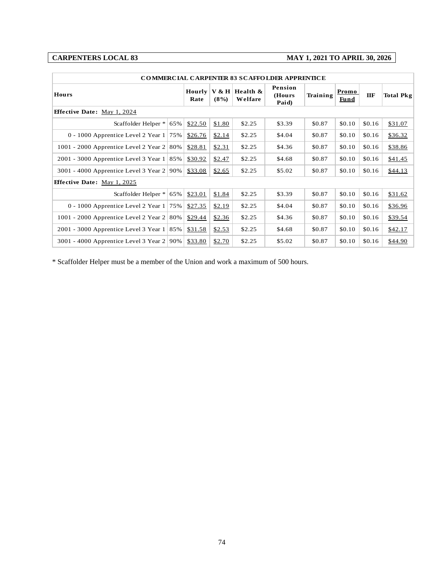## **CARPENTERS LOCAL 83 MAY 1, 2021 TO APRIL 30, 2026**

| <b>CARPENTERS LOCAL 83</b>                           |     |                |         |                                                           |        | <b>MAY 1, 2021 TO APRIL 30, 2026</b> |                             |        |                  |  |  |
|------------------------------------------------------|-----|----------------|---------|-----------------------------------------------------------|--------|--------------------------------------|-----------------------------|--------|------------------|--|--|
| <b>COMMERCIAL CARPENTER 83 SCAFFOLDER APPRENTICE</b> |     |                |         |                                                           |        |                                      |                             |        |                  |  |  |
| <b>Hours</b>                                         |     | Hourly<br>Rate | $(8\%)$ | Pension<br>V & H   Health &<br>(Hours<br>Welfare<br>Paid) |        | Training                             | <b>Promo</b><br><b>Fund</b> | IIF    | <b>Total Pkg</b> |  |  |
| <b>Effective Date:</b> May 1, 2024                   |     |                |         |                                                           |        |                                      |                             |        |                  |  |  |
| Scaffolder Helper *                                  | 65% | \$22.50        | \$1.80  | \$2.25                                                    | \$3.39 | \$0.87                               | \$0.10                      | \$0.16 | \$31.07          |  |  |
| 0 - 1000 Apprentice Level 2 Year $1 75\%$            |     | \$26.76        | \$2.14  | \$2.25                                                    | \$4.04 | \$0.87                               | \$0.10                      | \$0.16 | \$36.32          |  |  |
| 1001 - 2000 Apprentice Level 2 Year 2                | 80% | \$28.81        | \$2.31  | \$2.25                                                    | \$4.36 | \$0.87                               | \$0.10                      | \$0.16 | \$38.86          |  |  |
| 2001 - 3000 Apprentice Level 3 Year $1 \vert$        | 85% | \$30.92        | \$2.47  | \$2.25                                                    | \$4.68 | \$0.87                               | \$0.10                      | \$0.16 | \$41.45          |  |  |
| 3001 - 4000 Apprentice Level 3 Year $2 90\%$         |     | \$33.08        | \$2.65  | \$2.25                                                    | \$5.02 | \$0.87                               | \$0.10                      | \$0.16 | \$44.13          |  |  |
| Effective Date: May 1, 2025                          |     |                |         |                                                           |        |                                      |                             |        |                  |  |  |
| Scaffolder Helper *                                  | 65% | \$23.01        | \$1.84  | \$2.25                                                    | \$3.39 | \$0.87                               | \$0.10                      | \$0.16 | \$31.62          |  |  |
| 0 - 1000 Apprentice Level 2 Year $1 75\%$            |     | \$27.35        | \$2.19  | \$2.25                                                    | \$4.04 | \$0.87                               | \$0.10                      | \$0.16 | \$36.96          |  |  |
| 1001 - 2000 Apprentice Level 2 Year 2                | 80% | \$29.44        | \$2.36  | \$2.25                                                    | \$4.36 | \$0.87                               | \$0.10                      | \$0.16 | \$39.54          |  |  |
| 2001 - 3000 Apprentice Level 3 Year $1 \mid 85\%$    |     | \$31.58        | \$2.53  | \$2.25                                                    | \$4.68 | \$0.87                               | \$0.10                      | \$0.16 | \$42.17          |  |  |
| 3001 - 4000 Apprentice Level 3 Year 2 90%            |     | \$33.80        | \$2.70  | \$2.25                                                    | \$5.02 | \$0.87                               | \$0.10                      | \$0.16 | \$44.90          |  |  |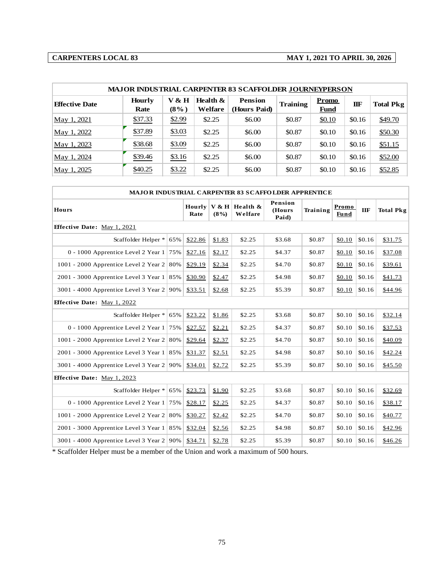# **CARPENTERS LOCAL 83 MAY 1, 2021 TO APRIL 30, 2026**

| <b>MAJOR INDUSTRIAL CARPENTER 83 SCAFFOLDER JOURNEYPERSON</b> |                       |                  |                        |                                |                 |                      |        |                  |  |  |  |  |
|---------------------------------------------------------------|-----------------------|------------------|------------------------|--------------------------------|-----------------|----------------------|--------|------------------|--|--|--|--|
| <b>Effective Date</b>                                         | <b>Hourly</b><br>Rate | V & H<br>$(8\%)$ | Health $\&$<br>Welfare | <b>Pension</b><br>(Hours Paid) | <b>Training</b> | Promo<br><b>Fund</b> | IIF    | <b>Total Pkg</b> |  |  |  |  |
| May 1, 2021                                                   | \$37.33               | \$2.99           | \$2.25                 | \$6.00                         | \$0.87          | \$0.10               | \$0.16 | \$49.70          |  |  |  |  |
| May 1, 2022                                                   | \$37.89               | \$3.03           | \$2.25                 | \$6.00                         | \$0.87          | \$0.10               | \$0.16 | \$50.30          |  |  |  |  |
| May 1, 2023                                                   | \$38.68               | \$3.09           | \$2.25                 | \$6.00                         | \$0.87          | \$0.10               | \$0.16 | \$51.15          |  |  |  |  |
| May 1, 2024                                                   | \$39.46               | \$3.16           | \$2.25                 | \$6.00                         | \$0.87          | \$0.10               | \$0.16 | \$52.00          |  |  |  |  |
| May 1, 2025                                                   | \$40.25               | \$3.22           | \$2.25                 | \$6.00                         | \$0.87          | \$0.10               | \$0.16 | \$52.85          |  |  |  |  |

| May 1, 2025                                                | \$40.25                        | \$3.22 |                                              | \$2.25 | \$6.00  |  | \$0.87                            | \$0.10   |               | \$0.16 | \$52.85          |
|------------------------------------------------------------|--------------------------------|--------|----------------------------------------------|--------|---------|--|-----------------------------------|----------|---------------|--------|------------------|
|                                                            |                                |        |                                              |        |         |  |                                   |          |               |        |                  |
| <b>MAJOR INDUSTRIAL CARPENTER 83 SCAFFOLDER APPRENTICE</b> |                                |        |                                              |        |         |  |                                   |          |               |        |                  |
| <b>Hours</b>                                               |                                |        | Hourly $ V & H $ Health &<br>$(8\%)$<br>Rate |        | Welfare |  | <b>Pension</b><br>(Hours<br>Paid) | Training | Promo<br>Fund | IIF    | <b>Total Pkg</b> |
| <b>Effective Date:</b> May 1, 2021                         |                                |        |                                              |        |         |  |                                   |          |               |        |                  |
|                                                            | Scaffolder Helper <sup>*</sup> | 65%    | \$22.86                                      | \$1.83 | \$2.25  |  | \$3.68                            | \$0.87   | \$0.10        | \$0.16 | \$31.75          |
| 0 - 1000 Apprentice Level 2 Year 1 $ 75\% $                |                                |        | \$27.16                                      | \$2.17 | \$2.25  |  | \$4.37                            | \$0.87   | \$0.10        | \$0.16 | \$37.08          |
| 1001 - 2000 Apprentice Level 2 Year $2 \mid 80\%$          |                                |        | \$29.19                                      | \$2.34 | \$2.25  |  | \$4.70                            | \$0.87   | \$0.10        | \$0.16 | \$39.61          |
| 2001 - 3000 Apprentice Level 3 Year $1 \mid 85\%$          |                                |        | \$30.90                                      | \$2.47 | \$2.25  |  | \$4.98                            | \$0.87   | \$0.10        | \$0.16 | \$41.73          |
| 3001 - 4000 Apprentice Level 3 Year $2 90\%$               |                                |        | \$33.51                                      | \$2.68 | \$2.25  |  | \$5.39                            | \$0.87   | \$0.10        | \$0.16 | \$44.96          |
| Effective Date: May 1, 2022                                |                                |        |                                              |        |         |  |                                   |          |               |        |                  |
|                                                            | Scaffolder Helper <sup>*</sup> | 65%    | \$23.22                                      | \$1.86 | \$2.25  |  | \$3.68                            | \$0.87   | \$0.10        | \$0.16 | \$32.14          |
| 0 - 1000 Apprentice Level 2 Year 1                         |                                | 75%    | \$27.57                                      | \$2.21 | \$2.25  |  | \$4.37                            | \$0.87   | \$0.10        | \$0.16 | \$37.53          |
| 1001 - 2000 Apprentice Level 2 Year 2                      |                                | 80%    | \$29.64                                      | \$2.37 | \$2.25  |  | \$4.70                            | \$0.87   | \$0.10        | \$0.16 | \$40.09          |
| 2001 - 3000 Apprentice Level 3 Year $1 \mid 85\%$          |                                |        | \$31.37                                      | \$2.51 | \$2.25  |  | \$4.98                            | \$0.87   | \$0.10        | \$0.16 | \$42.24          |
| 3001 - 4000 Apprentice Level 3 Year $2 90\%$               |                                |        | \$34.01                                      | \$2.72 | \$2.25  |  | \$5.39                            | \$0.87   | \$0.10        | \$0.16 | \$45.50          |
| <b>Effective Date:</b> May 1, 2023                         |                                |        |                                              |        |         |  |                                   |          |               |        |                  |
|                                                            | Scaffolder Helper <sup>*</sup> | 65%    | \$23.73                                      | \$1.90 | \$2.25  |  | \$3.68                            | \$0.87   | \$0.10        | \$0.16 | \$32.69          |
| 0 - 1000 Apprentice Level 2 Year 1 $ 75\% $                |                                |        | \$28.17                                      | \$2.25 | \$2.25  |  | \$4.37                            | \$0.87   | \$0.10        | \$0.16 | \$38.17          |
| 1001 - 2000 Apprentice Level 2 Year 2                      |                                | 80%    | \$30.27                                      | \$2.42 | \$2.25  |  | \$4.70                            | \$0.87   | \$0.10        | \$0.16 | \$40.77          |
| 2001 - 3000 Apprentice Level 3 Year $1 \mid 85\%$          |                                |        | \$32.04                                      | \$2.56 | \$2.25  |  | \$4.98                            | \$0.87   | \$0.10        | \$0.16 | \$42.96          |
| 3001 - 4000 Apprentice Level 3 Year $2 90\%$               |                                |        | \$34.71                                      | \$2.78 | \$2.25  |  | \$5.39                            | \$0.87   | \$0.10        | \$0.16 | \$46.26          |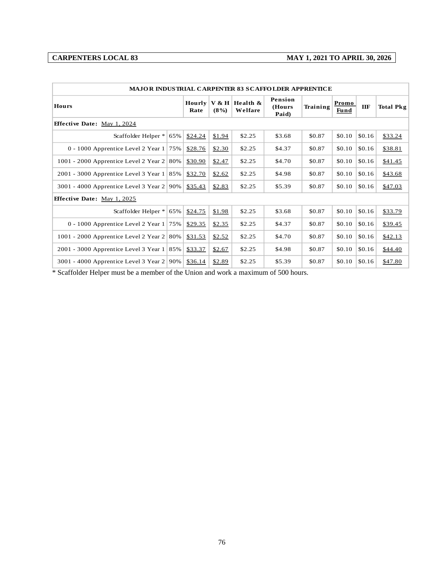## **CARPENTERS LOCAL 83 MAY 1, 2021 TO APRIL 30, 2026**

| <b>MAJOR INDUSTRIAL CARPENTER 83 SCAFFOLDER APPRENTICE</b><br><b>Hours</b> |                | $(8\%)$<br>Rate | Hourly $V & H$ Health &<br>Welfare | Pension<br>(Hours<br>Paid) | Training | Promo<br><b>Fund</b> | IIF    | <b>Total Pkg</b> |  |  |
|----------------------------------------------------------------------------|----------------|-----------------|------------------------------------|----------------------------|----------|----------------------|--------|------------------|--|--|
| Effective Date: May 1, 2024                                                |                |                 |                                    |                            |          |                      |        |                  |  |  |
| Scaffolder Helper *                                                        | 65%<br>\$24.24 | \$1.94          | \$2.25                             | \$3.68                     | \$0.87   | \$0.10               | \$0.16 | \$33.24          |  |  |
| 0 - 1000 Apprentice Level 2 Year 1                                         | 75%<br>\$28.76 | \$2.30          | \$2.25                             | \$4.37                     | \$0.87   | \$0.10               | \$0.16 | \$38.81          |  |  |
| 1001 - 2000 Apprentice Level 2 Year 2                                      | \$30.90<br>80% | \$2.47          | \$2.25                             | \$4.70                     | \$0.87   | \$0.10               | \$0.16 | \$41.45          |  |  |
| 2001 - 3000 Apprentice Level 3 Year $1 \mid 85\%$                          | \$32.70        | \$2.62          | \$2.25                             | \$4.98                     | \$0.87   | \$0.10               | \$0.16 | \$43.68          |  |  |
| 3001 - 4000 Apprentice Level 3 Year $2 90\%$                               | \$35.43        | \$2.83          | \$2.25                             | \$5.39                     | \$0.87   | \$0.10               | \$0.16 | \$47.03          |  |  |
| Effective Date: May 1, 2025                                                |                |                 |                                    |                            |          |                      |        |                  |  |  |
| Scaffolder Helper *                                                        | 65%<br>\$24.75 | \$1.98          | \$2.25                             | \$3.68                     | \$0.87   | \$0.10               | \$0.16 | \$33.79          |  |  |
| 0 - 1000 Apprentice Level 2 Year 1                                         | 75%<br>\$29.35 | \$2.35          | \$2.25                             | \$4.37                     | \$0.87   | \$0.10               | \$0.16 | \$39.45          |  |  |
| 1001 - 2000 Apprentice Level 2 Year 2                                      | \$31.53<br>80% | \$2.52          | \$2.25                             | \$4.70                     | \$0.87   | \$0.10               | \$0.16 | \$42.13          |  |  |
| 2001 - 3000 Apprentice Level 3 Year $1 \mid 85\%$                          | \$33.37        | \$2.67          | \$2.25                             | \$4.98                     | \$0.87   | \$0.10               | \$0.16 | \$44.40          |  |  |
| 3001 - 4000 Apprentice Level 3 Year $2 90\%$                               | \$36.14        | \$2.89          | \$2.25                             | \$5.39                     | \$0.87   | \$0.10               | \$0.16 | \$47.80          |  |  |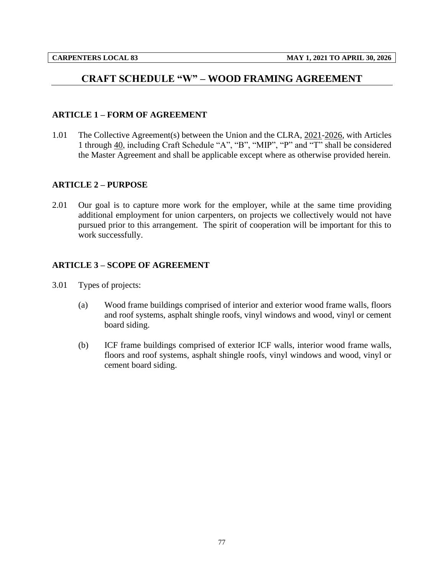# **CRAFT SCHEDULE "W" – WOOD FRAMING AGREEMENT**

### **ARTICLE 1 – FORM OF AGREEMENT**

1.01 The Collective Agreement(s) between the Union and the CLRA, 2021-2026, with Articles 1 through 40, including Craft Schedule "A", "B", "MIP", "P" and "T" shall be considered the Master Agreement and shall be applicable except where as otherwise provided herein.

## **ARTICLE 2 – PURPOSE**

2.01 Our goal is to capture more work for the employer, while at the same time providing additional employment for union carpenters, on projects we collectively would not have pursued prior to this arrangement. The spirit of cooperation will be important for this to work successfully.

## **ARTICLE 3 – SCOPE OF AGREEMENT**

- 3.01 Types of projects:
	- (a) Wood frame buildings comprised of interior and exterior wood frame walls, floors and roof systems, asphalt shingle roofs, vinyl windows and wood, vinyl or cement board siding.
	- (b) ICF frame buildings comprised of exterior ICF walls, interior wood frame walls, floors and roof systems, asphalt shingle roofs, vinyl windows and wood, vinyl or cement board siding.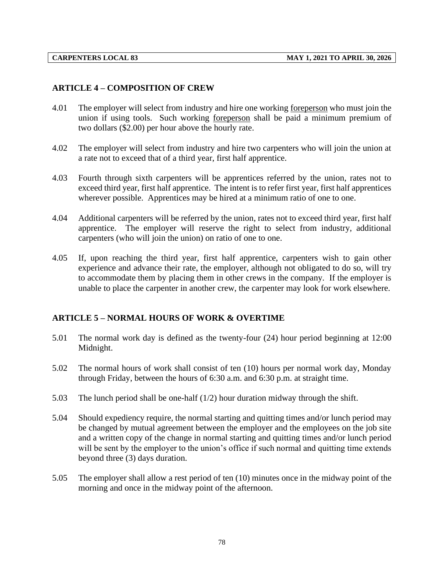### **ARTICLE 4 – COMPOSITION OF CREW**

- 4.01 The employer will select from industry and hire one working foreperson who must join the union if using tools. Such working foreperson shall be paid a minimum premium of two dollars (\$2.00) per hour above the hourly rate.
- 4.02 The employer will select from industry and hire two carpenters who will join the union at a rate not to exceed that of a third year, first half apprentice.
- 4.03 Fourth through sixth carpenters will be apprentices referred by the union, rates not to exceed third year, first half apprentice. The intent is to refer first year, first half apprentices wherever possible. Apprentices may be hired at a minimum ratio of one to one.
- 4.04 Additional carpenters will be referred by the union, rates not to exceed third year, first half apprentice. The employer will reserve the right to select from industry, additional carpenters (who will join the union) on ratio of one to one.
- 4.05 If, upon reaching the third year, first half apprentice, carpenters wish to gain other experience and advance their rate, the employer, although not obligated to do so, will try to accommodate them by placing them in other crews in the company. If the employer is unable to place the carpenter in another crew, the carpenter may look for work elsewhere.

#### **ARTICLE 5 – NORMAL HOURS OF WORK & OVERTIME**

- 5.01 The normal work day is defined as the twenty-four (24) hour period beginning at 12:00 Midnight.
- 5.02 The normal hours of work shall consist of ten (10) hours per normal work day, Monday through Friday, between the hours of 6:30 a.m. and 6:30 p.m. at straight time.
- 5.03 The lunch period shall be one-half (1/2) hour duration midway through the shift.
- 5.04 Should expediency require, the normal starting and quitting times and/or lunch period may be changed by mutual agreement between the employer and the employees on the job site and a written copy of the change in normal starting and quitting times and/or lunch period will be sent by the employer to the union's office if such normal and quitting time extends beyond three (3) days duration.
- 5.05 The employer shall allow a rest period of ten (10) minutes once in the midway point of the morning and once in the midway point of the afternoon.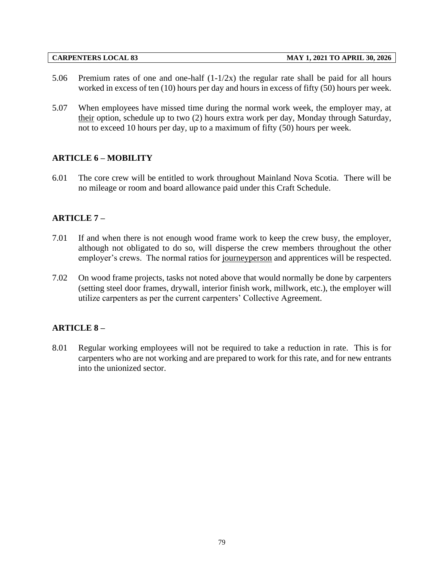- 5.06 Premium rates of one and one-half  $(1-1/2x)$  the regular rate shall be paid for all hours worked in excess of ten (10) hours per day and hours in excess of fifty (50) hours per week.
- 5.07 When employees have missed time during the normal work week, the employer may, at their option, schedule up to two (2) hours extra work per day, Monday through Saturday, not to exceed 10 hours per day, up to a maximum of fifty (50) hours per week.

## **ARTICLE 6 – MOBILITY**

6.01 The core crew will be entitled to work throughout Mainland Nova Scotia. There will be no mileage or room and board allowance paid under this Craft Schedule.

## **ARTICLE 7 –**

- 7.01 If and when there is not enough wood frame work to keep the crew busy, the employer, although not obligated to do so, will disperse the crew members throughout the other employer's crews. The normal ratios for journeyperson and apprentices will be respected.
- 7.02 On wood frame projects, tasks not noted above that would normally be done by carpenters (setting steel door frames, drywall, interior finish work, millwork, etc.), the employer will utilize carpenters as per the current carpenters' Collective Agreement.

## **ARTICLE 8 –**

8.01 Regular working employees will not be required to take a reduction in rate. This is for carpenters who are not working and are prepared to work for this rate, and for new entrants into the unionized sector.